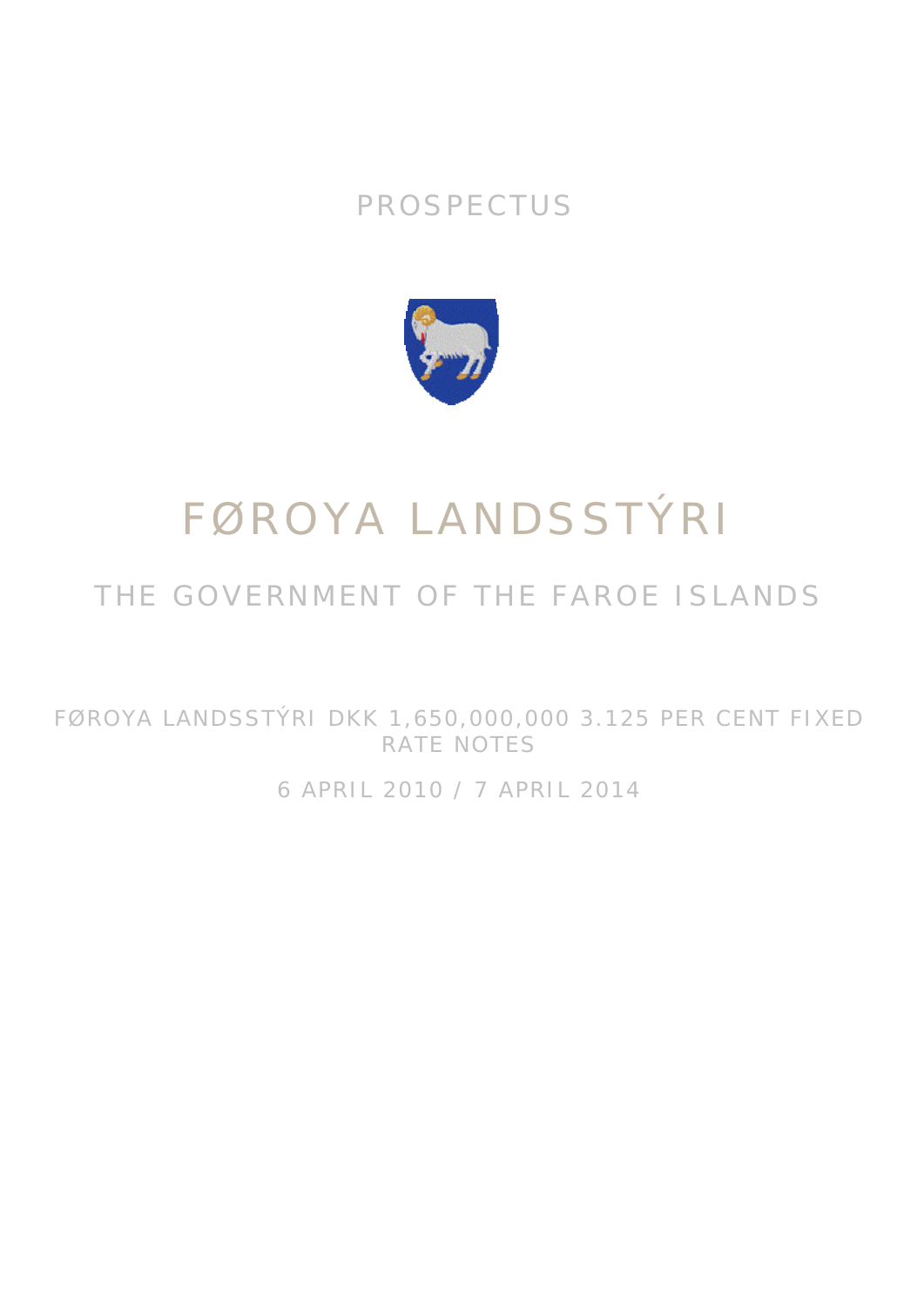## PROSPECTUS



# FØROYA LANDSSTÝRI

## THE GOVERNMENT OF THE FAROE ISLANDS

FØROYA LANDSSTÝRI DKK 1,650,000,000 3.125 PER CENT FIXED RATE NOTES

6 APRIL 2010 / 7 APRIL 2014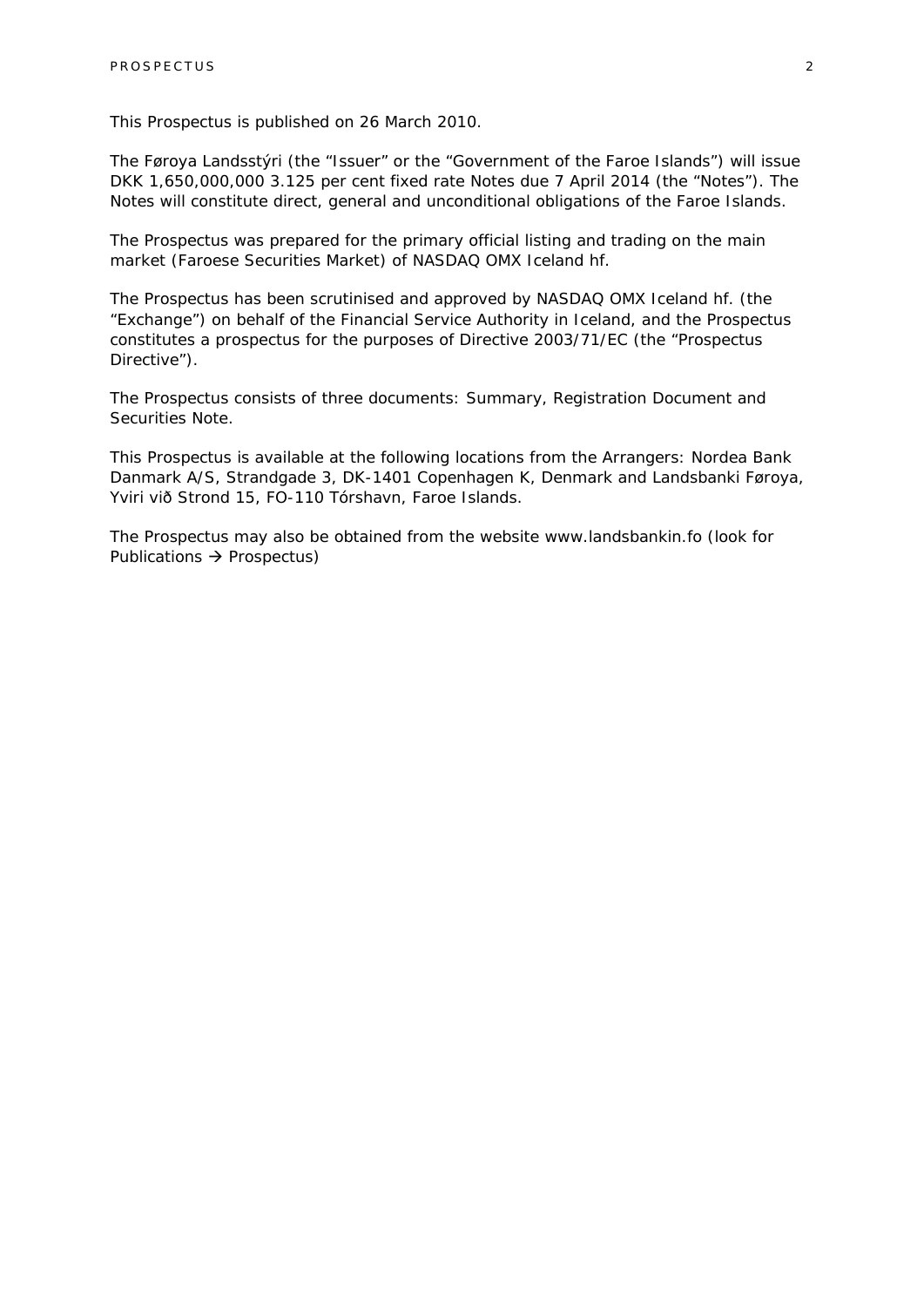This Prospectus is published on 26 March 2010.

The Føroya Landsstýri (the "Issuer" or the "Government of the Faroe Islands") will issue DKK 1,650,000,000 3.125 per cent fixed rate Notes due 7 April 2014 (the "Notes"). The Notes will constitute direct, general and unconditional obligations of the Faroe Islands.

The Prospectus was prepared for the primary official listing and trading on the main market (Faroese Securities Market) of NASDAQ OMX Iceland hf.

The Prospectus has been scrutinised and approved by NASDAQ OMX Iceland hf. (the "Exchange") on behalf of the Financial Service Authority in Iceland, and the Prospectus constitutes a prospectus for the purposes of Directive 2003/71/EC (the "Prospectus Directive").

The Prospectus consists of three documents: Summary, Registration Document and Securities Note.

This Prospectus is available at the following locations from the Arrangers: Nordea Bank Danmark A/S, Strandgade 3, DK-1401 Copenhagen K, Denmark and Landsbanki Føroya, Yviri við Strond 15, FO-110 Tórshavn, Faroe Islands.

The Prospectus may also be obtained from the website www.landsbankin.fo (look for Publications  $\rightarrow$  Prospectus)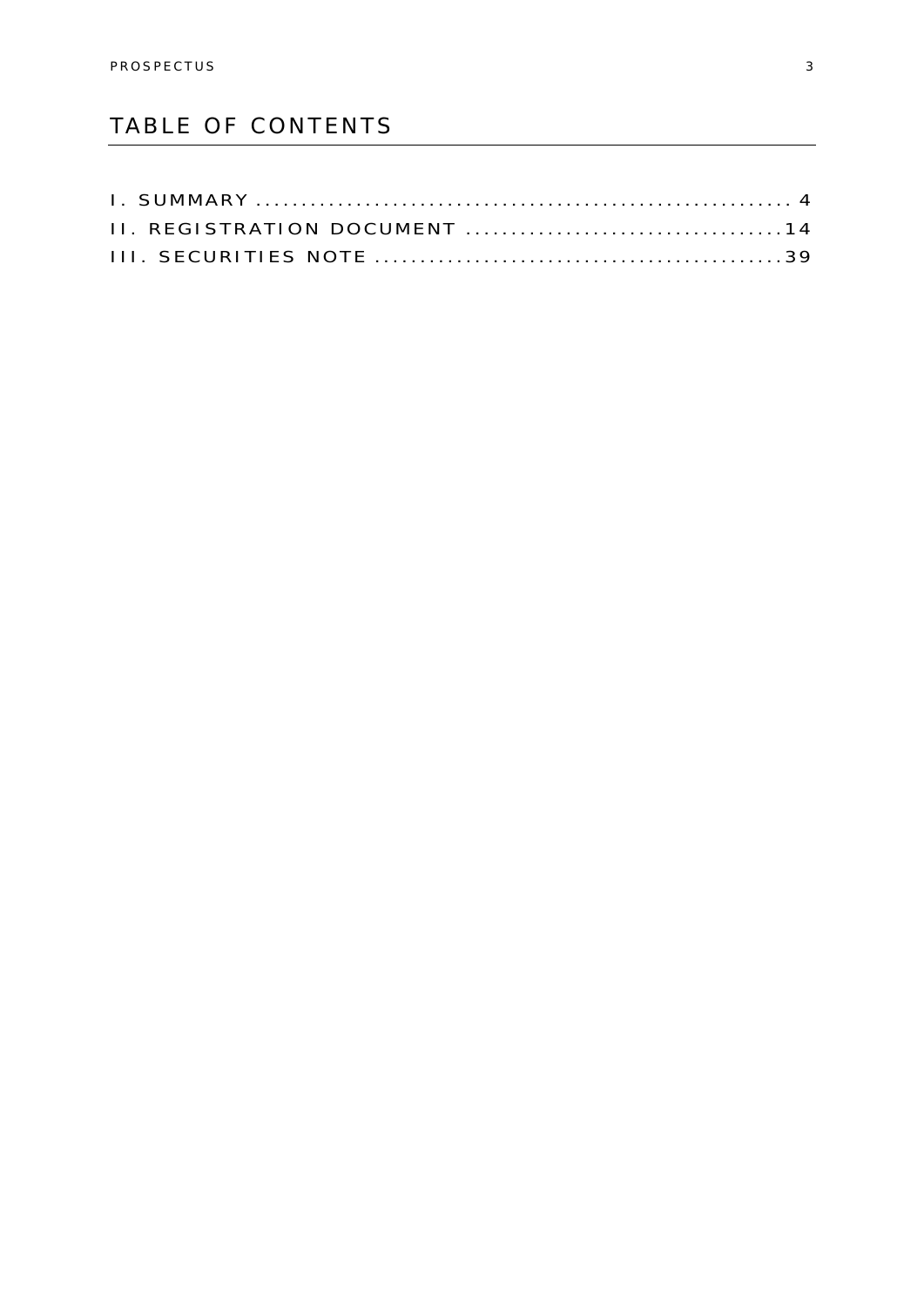### TABLE OF CONTENTS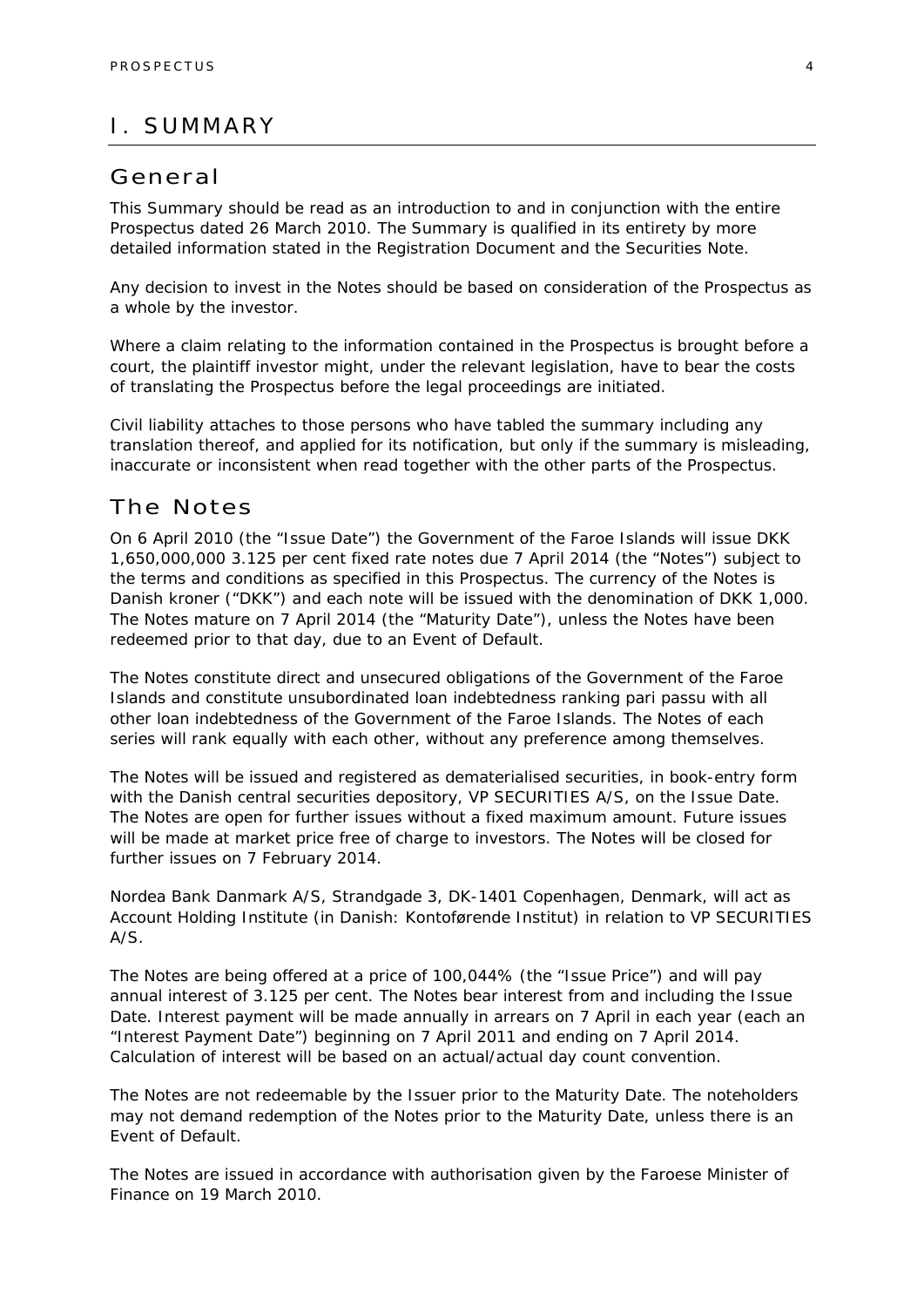### I. SUMMARY

### General

This Summary should be read as an introduction to and in conjunction with the entire Prospectus dated 26 March 2010. The Summary is qualified in its entirety by more detailed information stated in the Registration Document and the Securities Note.

Any decision to invest in the Notes should be based on consideration of the Prospectus as a whole by the investor.

Where a claim relating to the information contained in the Prospectus is brought before a court, the plaintiff investor might, under the relevant legislation, have to bear the costs of translating the Prospectus before the legal proceedings are initiated.

Civil liability attaches to those persons who have tabled the summary including any translation thereof, and applied for its notification, but only if the summary is misleading, inaccurate or inconsistent when read together with the other parts of the Prospectus.

### The Notes

On 6 April 2010 (the "Issue Date") the Government of the Faroe Islands will issue DKK 1,650,000,000 3.125 per cent fixed rate notes due 7 April 2014 (the "Notes") subject to the terms and conditions as specified in this Prospectus. The currency of the Notes is Danish kroner ("DKK") and each note will be issued with the denomination of DKK 1,000. The Notes mature on 7 April 2014 (the "Maturity Date"), unless the Notes have been redeemed prior to that day, due to an Event of Default.

The Notes constitute direct and unsecured obligations of the Government of the Faroe Islands and constitute unsubordinated loan indebtedness ranking *pari passu* with all other loan indebtedness of the Government of the Faroe Islands. The Notes of each series will rank equally with each other, without any preference among themselves.

The Notes will be issued and registered as dematerialised securities, in book-entry form with the Danish central securities depository, VP SECURITIES A/S, on the Issue Date. The Notes are open for further issues without a fixed maximum amount. Future issues will be made at market price free of charge to investors. The Notes will be closed for further issues on 7 February 2014.

Nordea Bank Danmark A/S, Strandgade 3, DK-1401 Copenhagen, Denmark, will act as Account Holding Institute (in Danish: *Kontoførende Institut*) in relation to VP SECURITIES A/S.

The Notes are being offered at a price of 100,044% (the "Issue Price") and will pay annual interest of 3.125 per cent. The Notes bear interest from and including the Issue Date. Interest payment will be made annually in arrears on 7 April in each year (each an "Interest Payment Date") beginning on 7 April 2011 and ending on 7 April 2014. Calculation of interest will be based on an actual/actual day count convention.

The Notes are not redeemable by the Issuer prior to the Maturity Date. The noteholders may not demand redemption of the Notes prior to the Maturity Date, unless there is an Event of Default.

The Notes are issued in accordance with authorisation given by the Faroese Minister of Finance on 19 March 2010.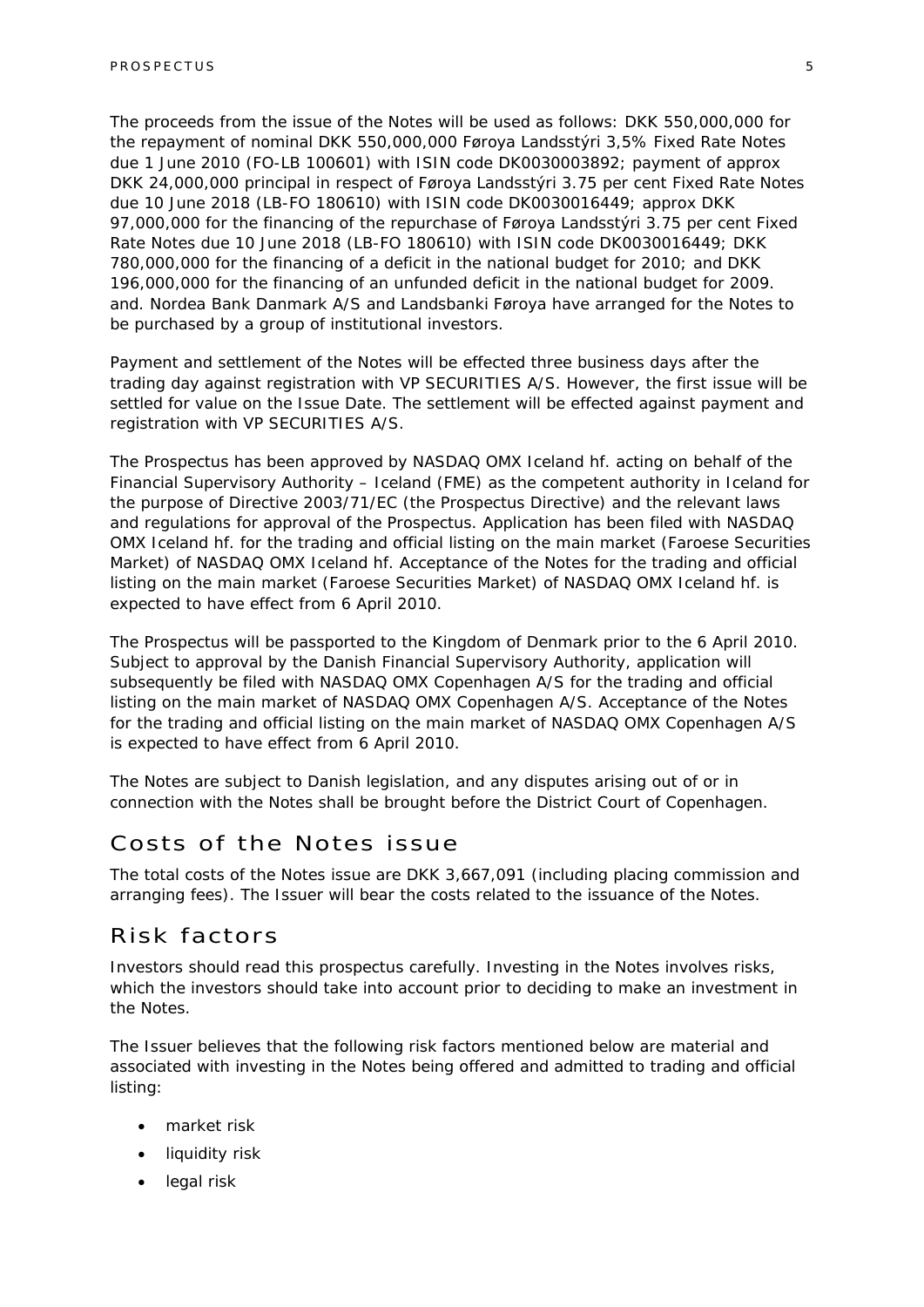The proceeds from the issue of the Notes will be used as follows: DKK 550,000,000 for the repayment of nominal DKK 550,000,000 Føroya Landsstýri 3,5% Fixed Rate Notes due 1 June 2010 (FO-LB 100601) with ISIN code DK0030003892; payment of approx DKK 24,000,000 principal in respect of Føroya Landsstýri 3.75 per cent Fixed Rate Notes due 10 June 2018 (LB-FO 180610) with ISIN code DK0030016449; approx DKK 97,000,000 for the financing of the repurchase of Føroya Landsstýri 3.75 per cent Fixed Rate Notes due 10 June 2018 (LB-FO 180610) with ISIN code DK0030016449; DKK 780,000,000 for the financing of a deficit in the national budget for 2010; and DKK 196,000,000 for the financing of an unfunded deficit in the national budget for 2009. and. Nordea Bank Danmark A/S and Landsbanki Føroya have arranged for the Notes to be purchased by a group of institutional investors.

Payment and settlement of the Notes will be effected three business days after the trading day against registration with VP SECURITIES A/S. However, the first issue will be settled for value on the Issue Date. The settlement will be effected against payment and registration with VP SECURITIES A/S.

The Prospectus has been approved by NASDAQ OMX Iceland hf. acting on behalf of the Financial Supervisory Authority – Iceland (FME) as the competent authority in Iceland for the purpose of Directive 2003/71/EC (the Prospectus Directive) and the relevant laws and regulations for approval of the Prospectus. Application has been filed with NASDAQ OMX Iceland hf. for the trading and official listing on the main market (Faroese Securities Market) of NASDAQ OMX Iceland hf. Acceptance of the Notes for the trading and official listing on the main market (Faroese Securities Market) of NASDAQ OMX Iceland hf. is expected to have effect from 6 April 2010.

The Prospectus will be passported to the Kingdom of Denmark prior to the 6 April 2010. Subject to approval by the Danish Financial Supervisory Authority, application will subsequently be filed with NASDAQ OMX Copenhagen A/S for the trading and official listing on the main market of NASDAQ OMX Copenhagen A/S. Acceptance of the Notes for the trading and official listing on the main market of NASDAQ OMX Copenhagen A/S is expected to have effect from 6 April 2010.

The Notes are subject to Danish legislation, and any disputes arising out of or in connection with the Notes shall be brought before the District Court of Copenhagen.

### Costs of the Notes issue

The total costs of the Notes issue are DKK 3,667,091 (including placing commission and arranging fees). The Issuer will bear the costs related to the issuance of the Notes.

### Risk factors

Investors should read this prospectus carefully. Investing in the Notes involves risks, which the investors should take into account prior to deciding to make an investment in the Notes.

The Issuer believes that the following risk factors mentioned below are material and associated with investing in the Notes being offered and admitted to trading and official listing:

- market risk
- liquidity risk
- legal risk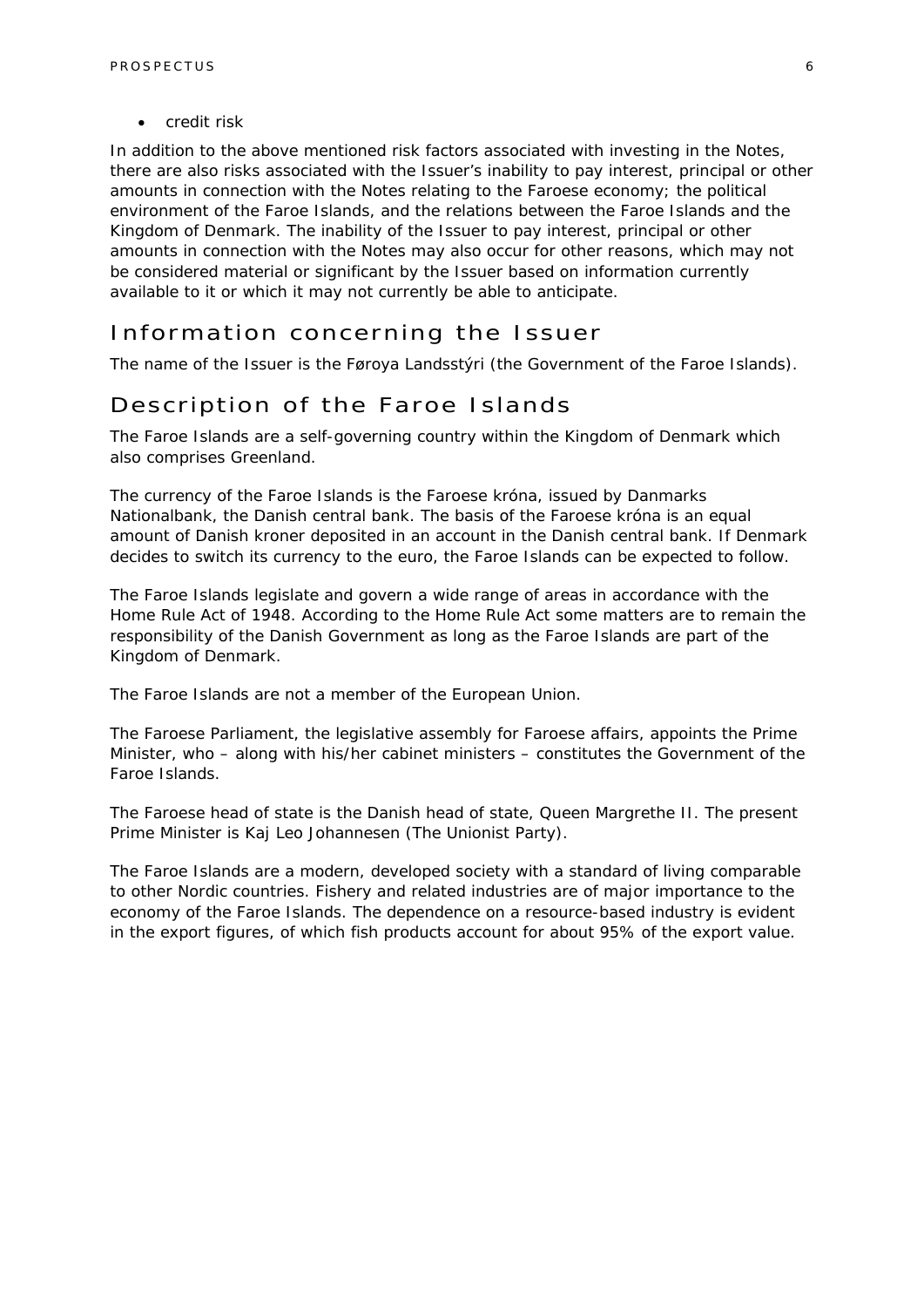• credit risk

In addition to the above mentioned risk factors associated with investing in the Notes, there are also risks associated with the Issuer's inability to pay interest, principal or other amounts in connection with the Notes relating to the Faroese economy; the political environment of the Faroe Islands, and the relations between the Faroe Islands and the Kingdom of Denmark. The inability of the Issuer to pay interest, principal or other amounts in connection with the Notes may also occur for other reasons, which may not be considered material or significant by the Issuer based on information currently available to it or which it may not currently be able to anticipate.

### Information concerning the Issuer

The name of the Issuer is the Føroya Landsstýri (the Government of the Faroe Islands).

### Description of the Faroe Islands

The Faroe Islands are a self-governing country within the Kingdom of Denmark which also comprises Greenland.

The currency of the Faroe Islands is the Faroese króna, issued by Danmarks Nationalbank, the Danish central bank. The basis of the Faroese króna is an equal amount of Danish kroner deposited in an account in the Danish central bank. If Denmark decides to switch its currency to the euro, the Faroe Islands can be expected to follow.

The Faroe Islands legislate and govern a wide range of areas in accordance with the Home Rule Act of 1948. According to the Home Rule Act some matters are to remain the responsibility of the Danish Government as long as the Faroe Islands are part of the Kingdom of Denmark.

The Faroe Islands are not a member of the European Union.

The Faroese Parliament, the legislative assembly for Faroese affairs, appoints the Prime Minister, who – along with his/her cabinet ministers – constitutes the Government of the Faroe Islands.

The Faroese head of state is the Danish head of state, Queen Margrethe II. The present Prime Minister is Kaj Leo Johannesen (The Unionist Party).

The Faroe Islands are a modern, developed society with a standard of living comparable to other Nordic countries. Fishery and related industries are of major importance to the economy of the Faroe Islands. The dependence on a resource-based industry is evident in the export figures, of which fish products account for about 95% of the export value.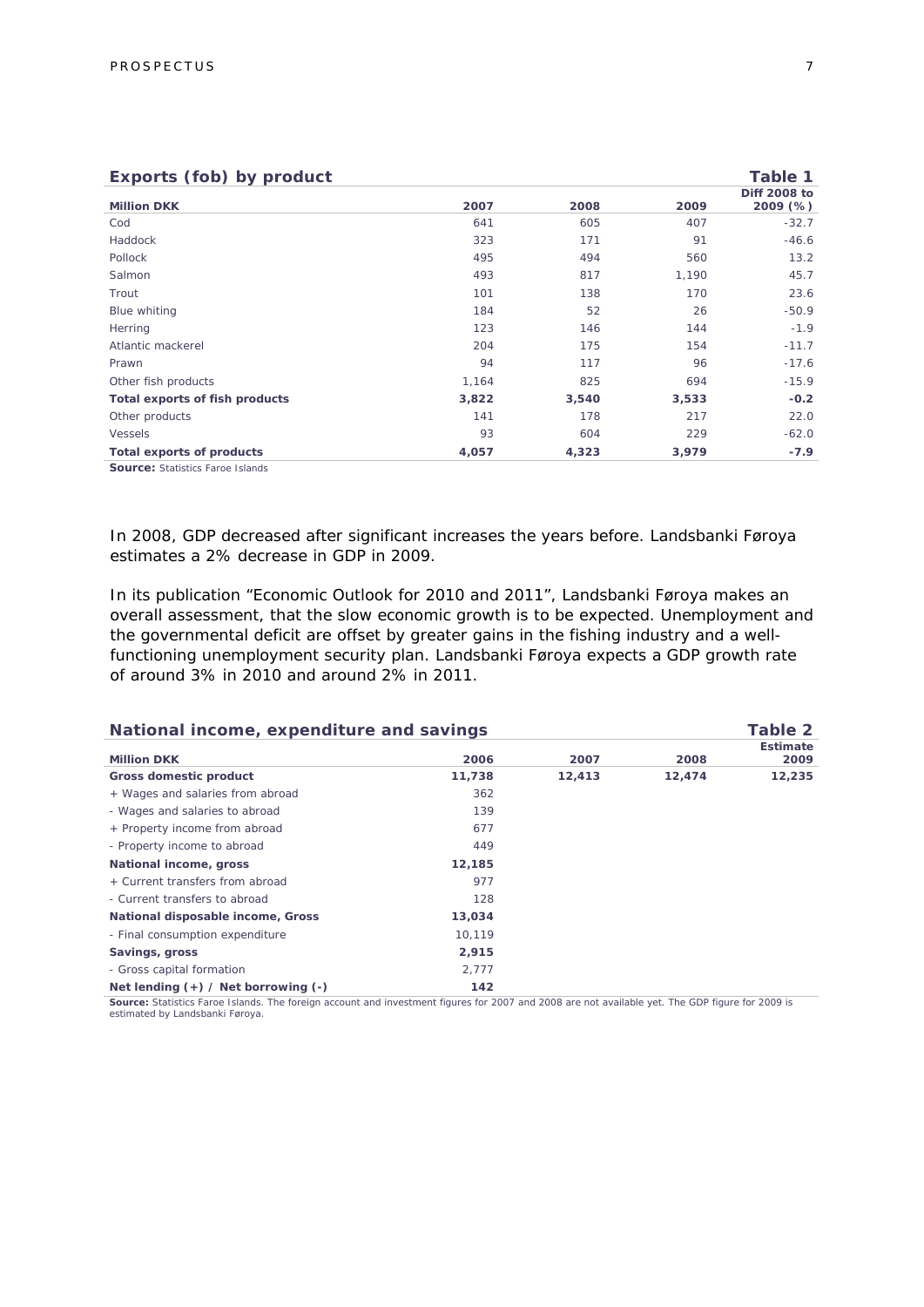| Exports (fob) by product |       |       |                          |  |
|--------------------------|-------|-------|--------------------------|--|
| 2007                     | 2008  | 2009  | Diff 2008 to<br>2009 (%) |  |
| 641                      | 605   | 407   | $-32.7$                  |  |
| 323                      | 171   | 91    | $-46.6$                  |  |
| 495                      | 494   | 560   | 13.2                     |  |
| 493                      | 817   | 1,190 | 45.7                     |  |
| 101                      | 138   | 170   | 23.6                     |  |
| 184                      | 52    | 26    | $-50.9$                  |  |
| 123                      | 146   | 144   | $-1.9$                   |  |
| 204                      | 175   | 154   | $-11.7$                  |  |
| 94                       | 117   | 96    | $-17.6$                  |  |
| 1,164                    | 825   | 694   | $-15.9$                  |  |
| 3,822                    | 3,540 | 3,533 | $-0.2$                   |  |
| 141                      | 178   | 217   | 22.0                     |  |
| 93                       | 604   | 229   | $-62.0$                  |  |
| 4,057                    | 4,323 | 3,979 | $-7.9$                   |  |
|                          |       |       |                          |  |

**Source:** Statistics Faroe Islands

In 2008, GDP decreased after significant increases the years before. Landsbanki Føroya estimates a 2% decrease in GDP in 2009.

In its publication "Economic Outlook for 2010 and 2011", Landsbanki Føroya makes an overall assessment, that the slow economic growth is to be expected. Unemployment and the governmental deficit are offset by greater gains in the fishing industry and a wellfunctioning unemployment security plan. Landsbanki Føroya expects a GDP growth rate of around 3% in 2010 and around 2% in 2011.

| National income, expenditure and savings |        |        | Table 2                 |
|------------------------------------------|--------|--------|-------------------------|
| 2006                                     | 2007   | 2008   | <b>Estimate</b><br>2009 |
| 11,738                                   | 12,413 | 12,474 | 12,235                  |
| 362                                      |        |        |                         |
| 139                                      |        |        |                         |
| 677                                      |        |        |                         |
| 449                                      |        |        |                         |
| 12,185                                   |        |        |                         |
| 977                                      |        |        |                         |
| 128                                      |        |        |                         |
| 13,034                                   |        |        |                         |
| 10.119                                   |        |        |                         |
| 2,915                                    |        |        |                         |
| 2,777                                    |        |        |                         |
| 142                                      |        |        |                         |
|                                          |        | .      |                         |

Source: Statistics Faroe Islands. The foreign account and investment figures for 2007 and 2008 are not available yet. The GDP figure for 2009 is estimated by Landsbanki Føroya.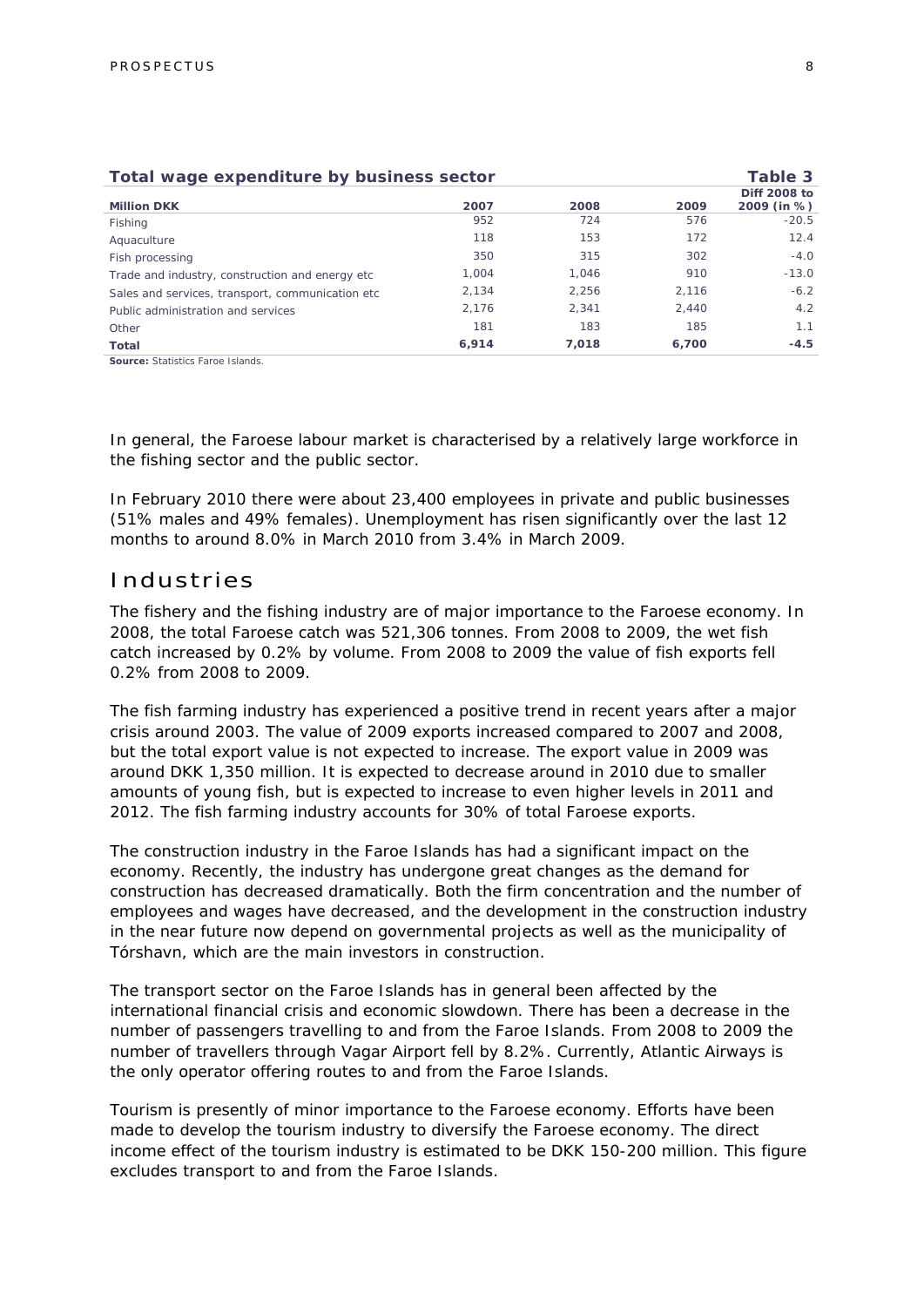| Table 3<br>Total wage expenditure by business sector |       |       |       |                     |
|------------------------------------------------------|-------|-------|-------|---------------------|
|                                                      |       |       |       | <b>Diff 2008 to</b> |
| <b>Million DKK</b>                                   | 2007  | 2008  | 2009  | 2009 (in %)         |
| Fishing                                              | 952   | 724   | 576   | $-20.5$             |
| Aquaculture                                          | 118   | 153   | 172   | 12.4                |
| Fish processing                                      | 350   | 315   | 302   | $-4.0$              |
| Trade and industry, construction and energy etc.     | 1.004 | 1.046 | 910   | $-13.0$             |
| Sales and services, transport, communication etc     | 2.134 | 2.256 | 2.116 | $-6.2$              |
| Public administration and services                   | 2.176 | 2.341 | 2.440 | 4.2                 |
| Other                                                | 181   | 183   | 185   | 1.1                 |
| <b>Total</b>                                         | 6,914 | 7.018 | 6.700 | $-4.5$              |
| <b>Source: Statistics Faroe Islands.</b>             |       |       |       |                     |

In general, the Faroese labour market is characterised by a relatively large workforce in the fishing sector and the public sector.

In February 2010 there were about 23,400 employees in private and public businesses (51% males and 49% females). Unemployment has risen significantly over the last 12 months to around 8.0% in March 2010 from 3.4% in March 2009.

### Industries

The fishery and the fishing industry are of major importance to the Faroese economy. In 2008, the total Faroese catch was 521,306 tonnes. From 2008 to 2009, the wet fish catch increased by 0.2% by volume. From 2008 to 2009 the value of fish exports fell 0.2% from 2008 to 2009.

The fish farming industry has experienced a positive trend in recent years after a major crisis around 2003. The value of 2009 exports increased compared to 2007 and 2008, but the total export value is not expected to increase. The export value in 2009 was around DKK 1,350 million. It is expected to decrease around in 2010 due to smaller amounts of young fish, but is expected to increase to even higher levels in 2011 and 2012. The fish farming industry accounts for 30% of total Faroese exports.

The construction industry in the Faroe Islands has had a significant impact on the economy. Recently, the industry has undergone great changes as the demand for construction has decreased dramatically. Both the firm concentration and the number of employees and wages have decreased, and the development in the construction industry in the near future now depend on governmental projects as well as the municipality of Tórshavn, which are the main investors in construction.

The transport sector on the Faroe Islands has in general been affected by the international financial crisis and economic slowdown. There has been a decrease in the number of passengers travelling to and from the Faroe Islands. From 2008 to 2009 the number of travellers through Vagar Airport fell by 8.2%. Currently, Atlantic Airways is the only operator offering routes to and from the Faroe Islands.

Tourism is presently of minor importance to the Faroese economy. Efforts have been made to develop the tourism industry to diversify the Faroese economy. The direct income effect of the tourism industry is estimated to be DKK 150-200 million. This figure excludes transport to and from the Faroe Islands.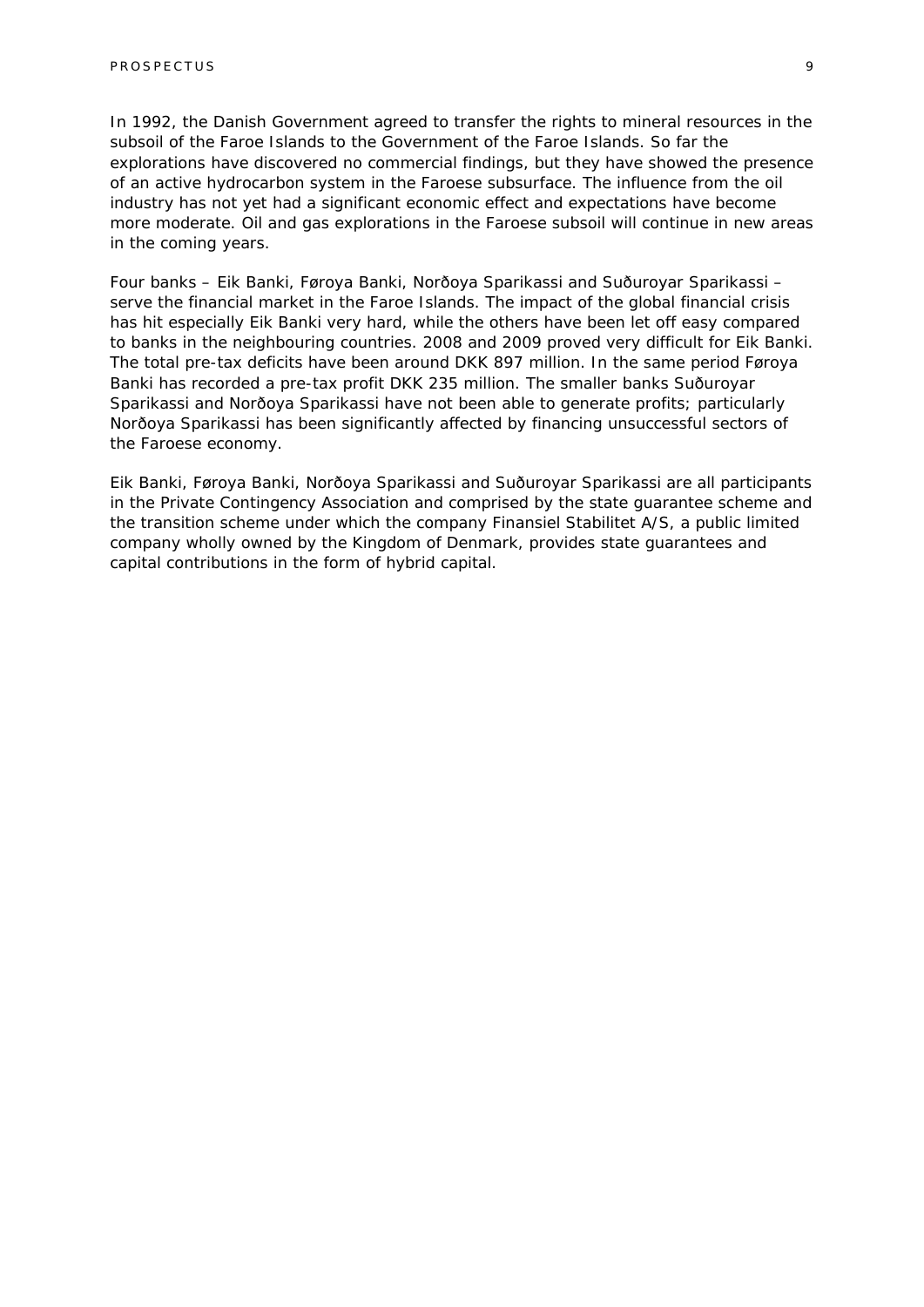In 1992, the Danish Government agreed to transfer the rights to mineral resources in the subsoil of the Faroe Islands to the Government of the Faroe Islands. So far the explorations have discovered no commercial findings, but they have showed the presence of an active hydrocarbon system in the Faroese subsurface. The influence from the oil industry has not yet had a significant economic effect and expectations have become more moderate. Oil and gas explorations in the Faroese subsoil will continue in new areas in the coming years.

Four banks – Eik Banki, Føroya Banki, Norðoya Sparikassi and Suðuroyar Sparikassi – serve the financial market in the Faroe Islands. The impact of the global financial crisis has hit especially Eik Banki very hard, while the others have been let off easy compared to banks in the neighbouring countries. 2008 and 2009 proved very difficult for Eik Banki. The total pre-tax deficits have been around DKK 897 million. In the same period Føroya Banki has recorded a pre-tax profit DKK 235 million. The smaller banks Suðuroyar Sparikassi and Norðoya Sparikassi have not been able to generate profits; particularly Norðoya Sparikassi has been significantly affected by financing unsuccessful sectors of the Faroese economy.

Eik Banki, Føroya Banki, Norðoya Sparikassi and Suðuroyar Sparikassi are all participants in the Private Contingency Association and comprised by the state guarantee scheme and the transition scheme under which the company Finansiel Stabilitet A/S, a public limited company wholly owned by the Kingdom of Denmark, provides state guarantees and capital contributions in the form of hybrid capital.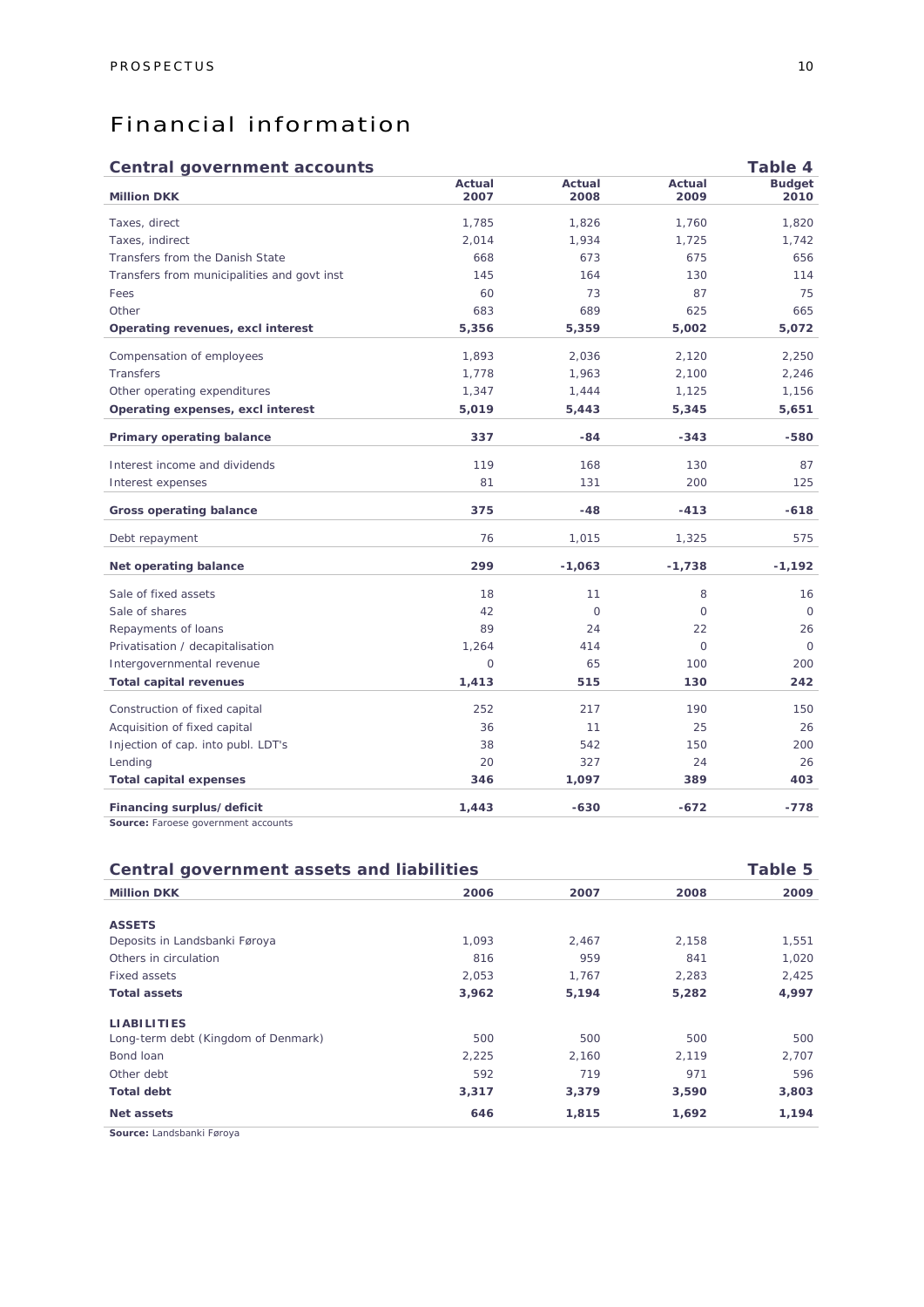### Financial information

### **Central government accounts Table 4**

|                |                |                | $1$ ance $4$          |
|----------------|----------------|----------------|-----------------------|
| Actual<br>2007 | Actual<br>2008 | Actual<br>2009 | <b>Budget</b><br>2010 |
| 1,785          | 1,826          | 1,760          | 1,820                 |
| 2,014          | 1,934          | 1,725          | 1,742                 |
| 668            | 673            | 675            | 656                   |
| 145            | 164            | 130            | 114                   |
| 60             | 73             | 87             | 75                    |
| 683            | 689            | 625            | 665                   |
| 5,356          | 5,359          | 5,002          | 5,072                 |
| 1,893          | 2,036          | 2,120          | 2,250                 |
| 1,778          | 1,963          | 2,100          | 2,246                 |
| 1,347          | 1,444          | 1,125          | 1,156                 |
| 5,019          | 5,443          | 5,345          | 5,651                 |
| 337            | $-84$          | $-343$         | $-580$                |
| 119            | 168            | 130            | 87                    |
| 81             | 131            | 200            | 125                   |
| 375            | $-48$          | $-413$         | $-618$                |
| 76             | 1,015          | 1,325          | 575                   |
| 299            | $-1,063$       | $-1,738$       | $-1,192$              |
| 18             | 11             | 8              | 16                    |
| 42             | $\Omega$       | $\Omega$       | $\Omega$              |
| 89             | 24             | 22             | 26                    |
| 1,264          | 414            | $\circ$        | $\circ$               |
| $\circ$        | 65             | 100            | 200                   |
| 1,413          | 515            | 130            | 242                   |
| 252            | 217            | 190            | 150                   |
| 36             | 11             | 25             | 26                    |
| 38             | 542            | 150            | 200                   |
| 20             | 327            | 24             | 26                    |
| 346            | 1,097          | 389            | 403                   |
| 1,443          | $-630$         | $-672$         | -778                  |
|                |                |                |                       |

| Source: Faroese government accounts |  |
|-------------------------------------|--|
|-------------------------------------|--|

| Table 5<br>Central government assets and liabilities |       |       |       |       |
|------------------------------------------------------|-------|-------|-------|-------|
| <b>Million DKK</b>                                   | 2006  | 2007  | 2008  | 2009  |
|                                                      |       |       |       |       |
| <b>ASSETS</b>                                        |       |       |       |       |
| Deposits in Landsbanki Føroya                        | 1.093 | 2,467 | 2,158 | 1,551 |
| Others in circulation                                | 816   | 959   | 841   | 1,020 |
| Fixed assets                                         | 2,053 | 1,767 | 2,283 | 2,425 |
| <b>Total assets</b>                                  | 3,962 | 5,194 | 5,282 | 4,997 |
| <b>LIABILITIES</b>                                   |       |       |       |       |
| Long-term debt (Kingdom of Denmark)                  | 500   | 500   | 500   | 500   |
| Bond loan                                            | 2,225 | 2,160 | 2,119 | 2,707 |
| Other debt                                           | 592   | 719   | 971   | 596   |
| <b>Total debt</b>                                    | 3,317 | 3,379 | 3,590 | 3,803 |
| Net assets                                           | 646   | 1,815 | 1,692 | 1,194 |
| Carmea: Londobonii: Foroug                           |       |       |       |       |

**Source:** Landsbanki Føroya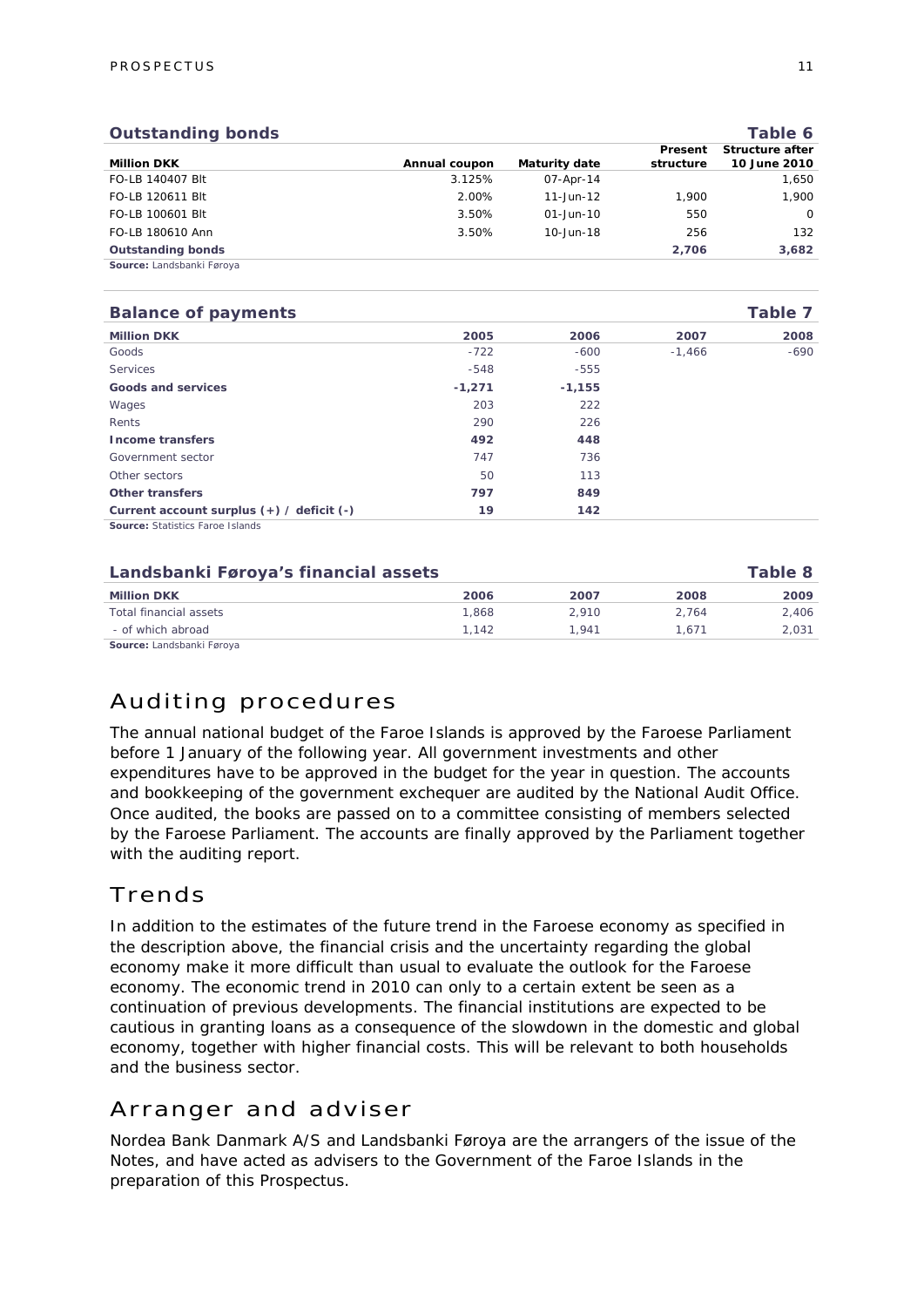| <b>Outstanding bonds</b>  |               |                      |                      | Table 6                         |
|---------------------------|---------------|----------------------|----------------------|---------------------------------|
| <b>Million DKK</b>        | Annual coupon | <b>Maturity date</b> | Present<br>structure | Structure after<br>10 June 2010 |
| FO-LB 140407 Blt          | 3.125%        | 07-Apr-14            |                      | 1,650                           |
| FO-LB 120611 Blt          | 2.00%         | $11 - Jun - 12$      | 1.900                | 1.900                           |
| FO-LB 100601 Blt          | 3.50%         | $01 - Jun - 10$      | 550                  | $\Omega$                        |
| FO-LB 180610 Ann          | 3.50%         | 10-Jun-18            | 256                  | 132                             |
| <b>Outstanding bonds</b>  |               |                      | 2,706                | 3,682                           |
| Source: Landsbanki Førova |               |                      |                      |                                 |

| <b>Balance of payments</b>                |          |          |          | Table 7 |
|-------------------------------------------|----------|----------|----------|---------|
| <b>Million DKK</b>                        | 2005     | 2006     | 2007     | 2008    |
| Goods                                     | $-722$   | $-600$   | $-1,466$ | $-690$  |
| Services                                  | $-548$   | $-555$   |          |         |
| Goods and services                        | $-1,271$ | $-1,155$ |          |         |
| Wages                                     | 203      | 222      |          |         |
| Rents                                     | 290      | 226      |          |         |
| <b>Income transfers</b>                   | 492      | 448      |          |         |
| Government sector                         | 747      | 736      |          |         |
| Other sectors                             | 50       | 113      |          |         |
| Other transfers                           | 797      | 849      |          |         |
| Current account surplus (+) / deficit (-) | 19       | 142      |          |         |
| <b>Source: Statistics Faroe Islands</b>   |          |          |          |         |

| Landsbanki Føroya's financial assets |       |       | Table 8 |       |
|--------------------------------------|-------|-------|---------|-------|
| <b>Million DKK</b>                   | 2006  | 2007  | 2008    | 2009  |
| Total financial assets               | 1.868 | 2.910 | 2.764   | 2.406 |
| - of which abroad                    | 1.142 | 1.941 | 1.671   | 2.031 |
| Source: Landsbanki Føroya            |       |       |         |       |

Auditing procedures

The annual national budget of the Faroe Islands is approved by the Faroese Parliament before 1 January of the following year. All government investments and other expenditures have to be approved in the budget for the year in question. The accounts and bookkeeping of the government exchequer are audited by the National Audit Office. Once audited, the books are passed on to a committee consisting of members selected by the Faroese Parliament. The accounts are finally approved by the Parliament together with the auditing report.

### Trends

In addition to the estimates of the future trend in the Faroese economy as specified in the description above, the financial crisis and the uncertainty regarding the global economy make it more difficult than usual to evaluate the outlook for the Faroese economy. The economic trend in 2010 can only to a certain extent be seen as a continuation of previous developments. The financial institutions are expected to be cautious in granting loans as a consequence of the slowdown in the domestic and global economy, together with higher financial costs. This will be relevant to both households and the business sector.

### Arranger and adviser

Nordea Bank Danmark A/S and Landsbanki Føroya are the arrangers of the issue of the Notes, and have acted as advisers to the Government of the Faroe Islands in the preparation of this Prospectus.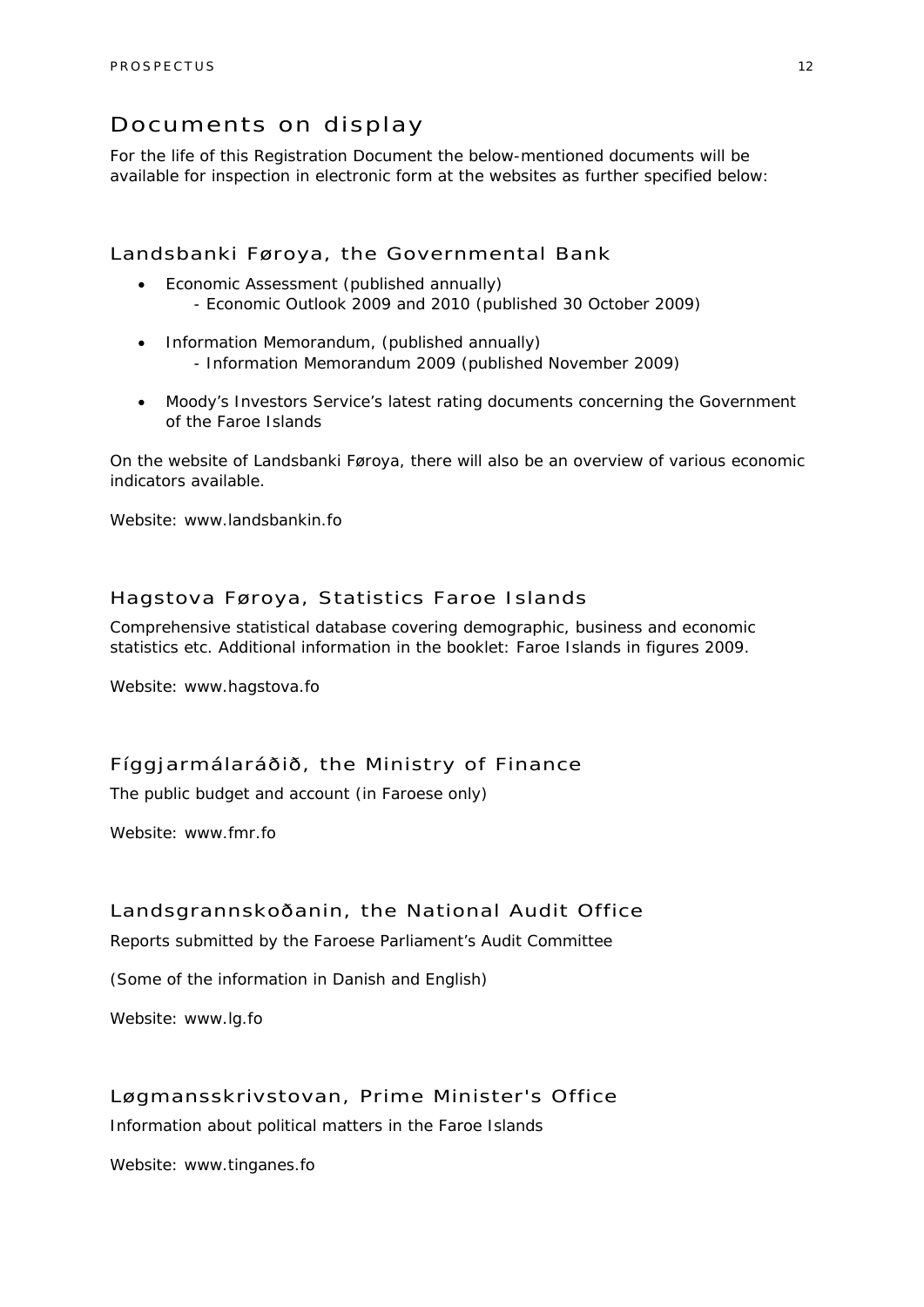### Documents on display

For the life of this Registration Document the below-mentioned documents will be available for inspection in electronic form at the websites as further specified below:

### Landsbanki Føroya, the Governmental Bank

- Economic Assessment (published annually) - Economic Outlook 2009 and 2010 (published 30 October 2009)
- Information Memorandum, (published annually) - Information Memorandum 2009 (published November 2009)
- Moody's Investors Service's latest rating documents concerning the Government of the Faroe Islands

On the website of Landsbanki Føroya, there will also be an overview of various economic indicators available.

Website: www.landsbankin.fo

### Hagstova Føroya, Statistics Faroe Islands

Comprehensive statistical database covering demographic, business and economic statistics etc. Additional information in the booklet: Faroe Islands in figures 2009.

Website: www.hagstova.fo

### Fíggjarmálaráðið, the Ministry of Finance

The public budget and account (in Faroese only)

Website: www.fmr.fo

### Landsgrannskoðanin, the National Audit Office

Reports submitted by the Faroese Parliament's Audit Committee

(Some of the information in Danish and English)

Website: www.lg.fo

### Løgmansskrivstovan, Prime Minister's Office

Information about political matters in the Faroe Islands

Website: www.tinganes.fo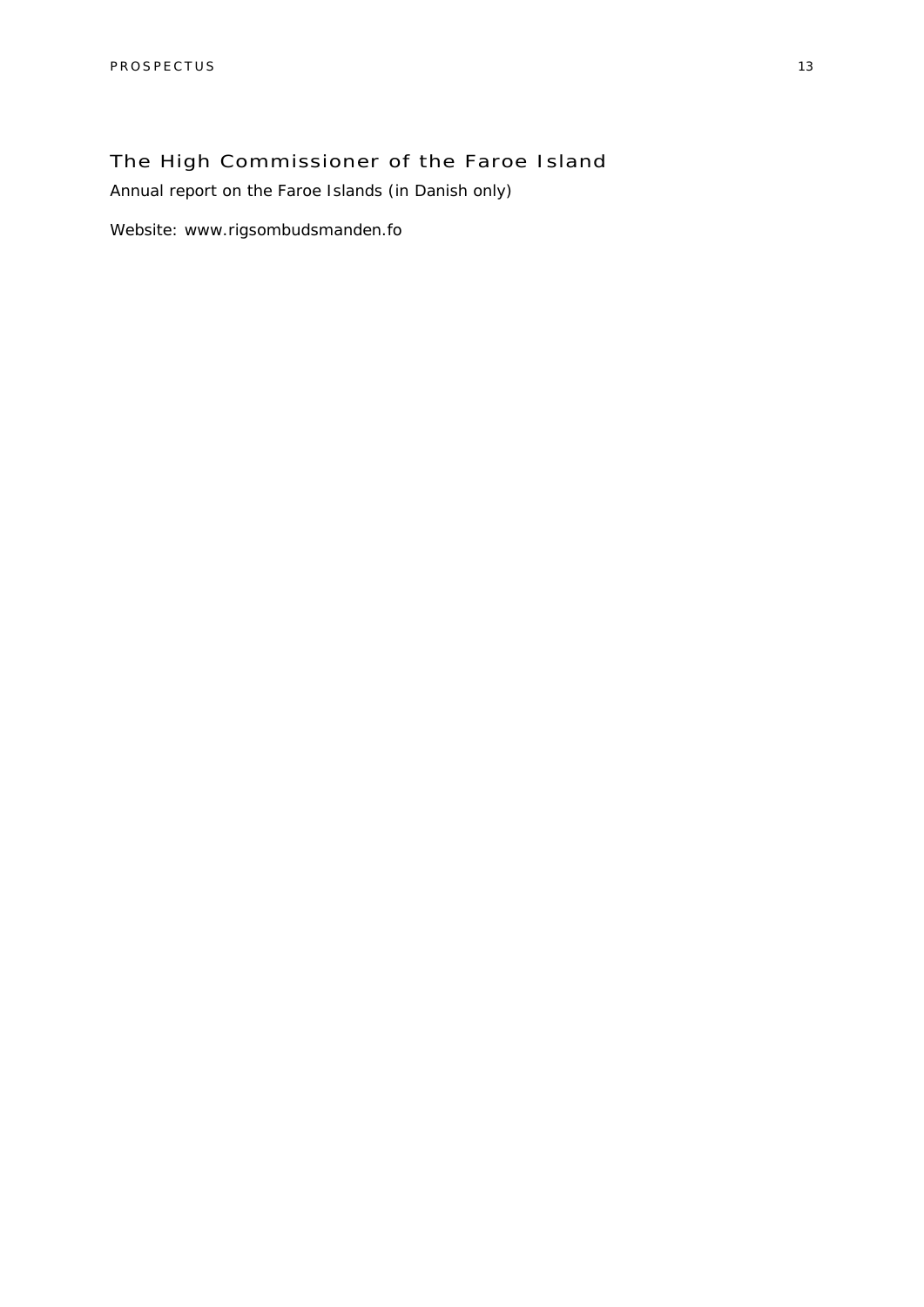### The High Commissioner of the Faroe Island

Annual report on the Faroe Islands (in Danish only)

Website: www.rigsombudsmanden.fo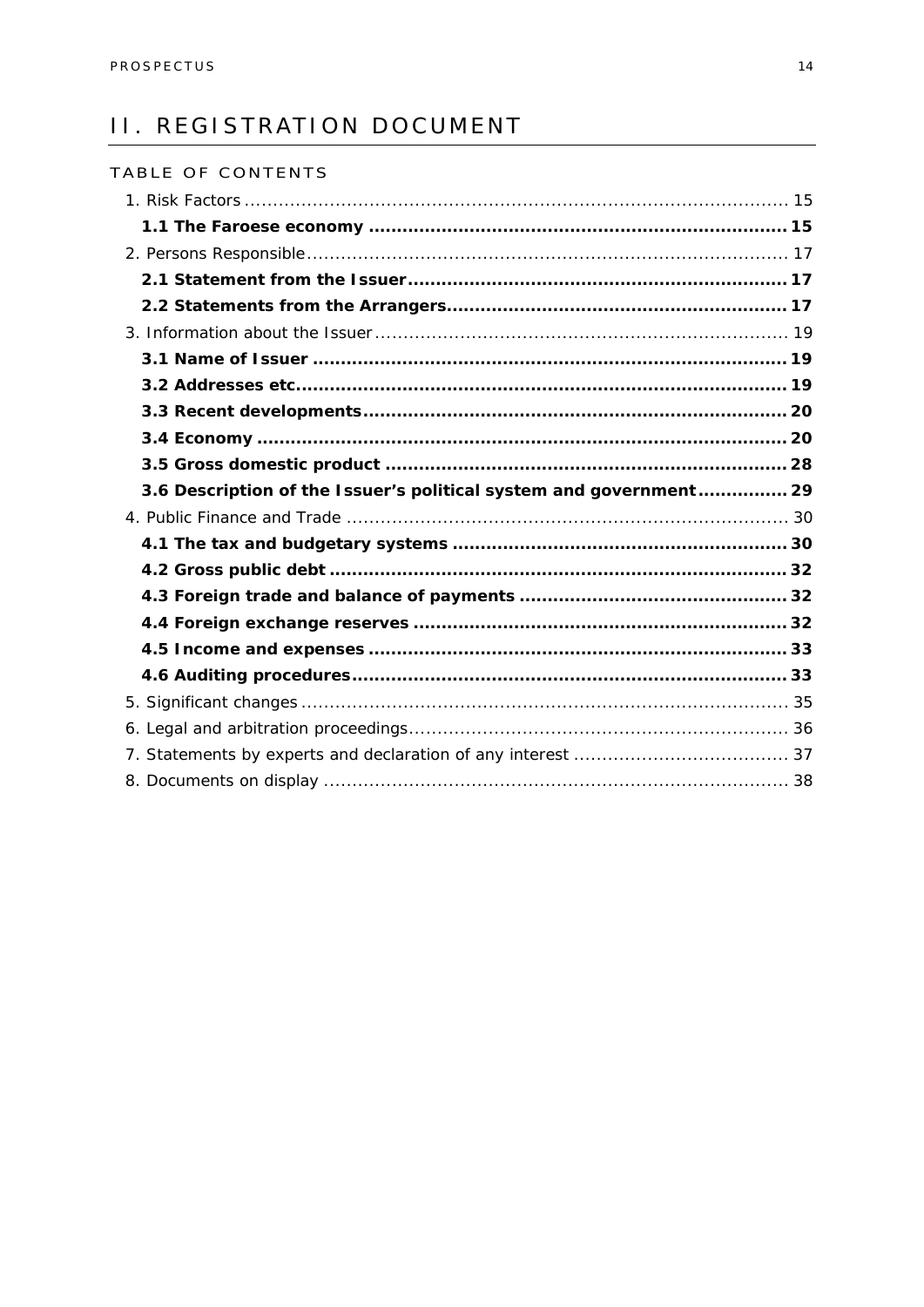### II. REGISTRATION DOCUMENT

| TABLE OF CONTENTS                                                  |  |
|--------------------------------------------------------------------|--|
|                                                                    |  |
|                                                                    |  |
|                                                                    |  |
|                                                                    |  |
|                                                                    |  |
|                                                                    |  |
|                                                                    |  |
|                                                                    |  |
|                                                                    |  |
|                                                                    |  |
|                                                                    |  |
| 3.6 Description of the Issuer's political system and government 29 |  |
|                                                                    |  |
|                                                                    |  |
|                                                                    |  |
|                                                                    |  |
|                                                                    |  |
|                                                                    |  |
|                                                                    |  |
|                                                                    |  |
|                                                                    |  |
|                                                                    |  |
|                                                                    |  |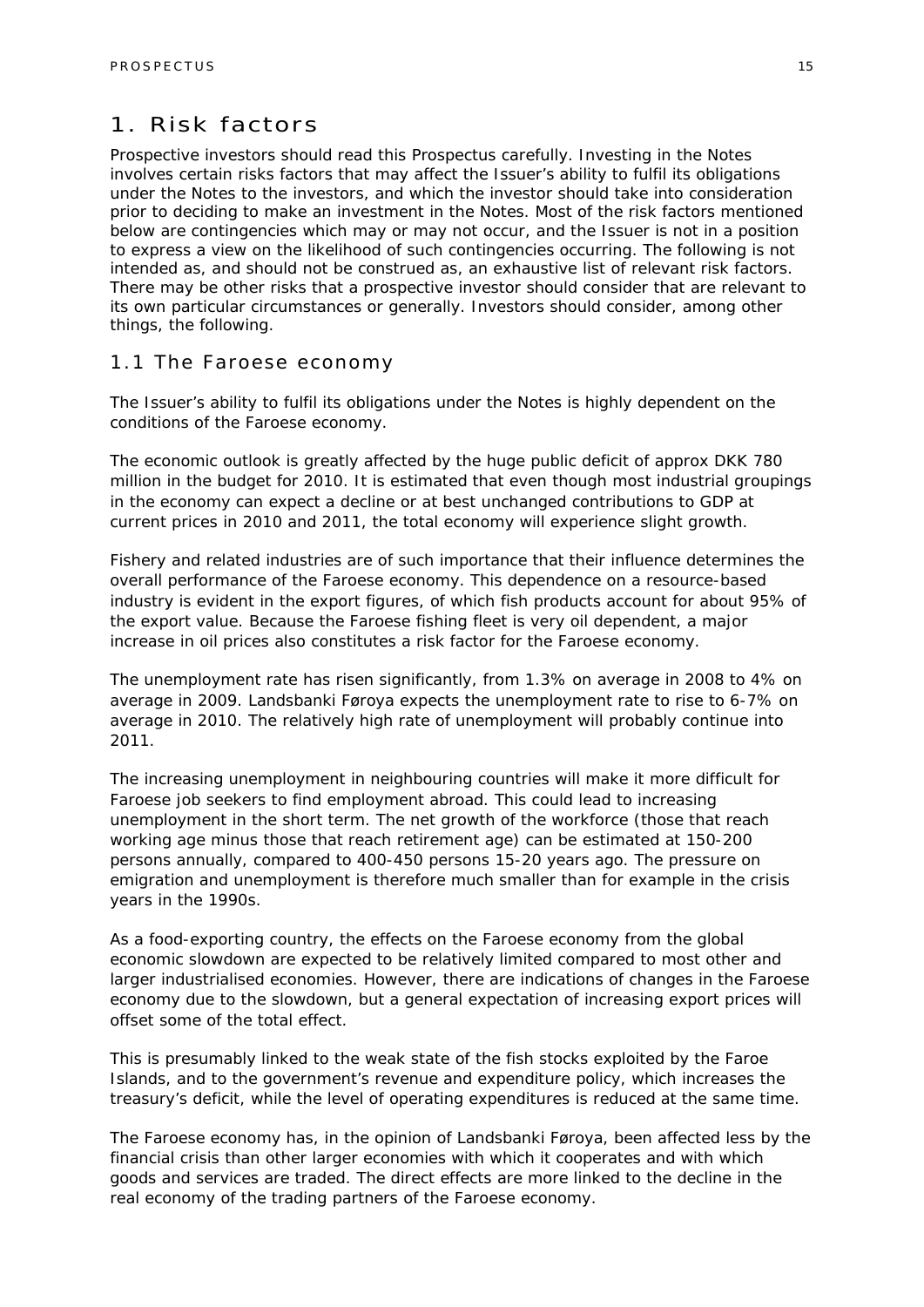### 1. Risk factors

Prospective investors should read this Prospectus carefully. Investing in the Notes involves certain risks factors that may affect the Issuer's ability to fulfil its obligations under the Notes to the investors, and which the investor should take into consideration prior to deciding to make an investment in the Notes. Most of the risk factors mentioned below are contingencies which may or may not occur, and the Issuer is not in a position to express a view on the likelihood of such contingencies occurring. The following is not intended as, and should not be construed as, an exhaustive list of relevant risk factors. There may be other risks that a prospective investor should consider that are relevant to its own particular circumstances or generally. Investors should consider, among other things, the following.

### 1.1 The Faroese economy

The Issuer's ability to fulfil its obligations under the Notes is highly dependent on the conditions of the Faroese economy.

The economic outlook is greatly affected by the huge public deficit of approx DKK 780 million in the budget for 2010. It is estimated that even though most industrial groupings in the economy can expect a decline or at best unchanged contributions to GDP at current prices in 2010 and 2011, the total economy will experience slight growth.

Fishery and related industries are of such importance that their influence determines the overall performance of the Faroese economy. This dependence on a resource-based industry is evident in the export figures, of which fish products account for about 95% of the export value. Because the Faroese fishing fleet is very oil dependent, a major increase in oil prices also constitutes a risk factor for the Faroese economy.

The unemployment rate has risen significantly, from 1.3% on average in 2008 to 4% on average in 2009. Landsbanki Føroya expects the unemployment rate to rise to 6-7% on average in 2010. The relatively high rate of unemployment will probably continue into 2011.

The increasing unemployment in neighbouring countries will make it more difficult for Faroese job seekers to find employment abroad. This could lead to increasing unemployment in the short term. The net growth of the workforce (those that reach working age minus those that reach retirement age) can be estimated at 150-200 persons annually, compared to 400-450 persons 15-20 years ago. The pressure on emigration and unemployment is therefore much smaller than for example in the crisis years in the 1990s.

As a food-exporting country, the effects on the Faroese economy from the global economic slowdown are expected to be relatively limited compared to most other and larger industrialised economies. However, there are indications of changes in the Faroese economy due to the slowdown, but a general expectation of increasing export prices will offset some of the total effect.

This is presumably linked to the weak state of the fish stocks exploited by the Faroe Islands, and to the government's revenue and expenditure policy, which increases the treasury's deficit, while the level of operating expenditures is reduced at the same time.

The Faroese economy has, in the opinion of Landsbanki Føroya, been affected less by the financial crisis than other larger economies with which it cooperates and with which goods and services are traded. The direct effects are more linked to the decline in the real economy of the trading partners of the Faroese economy.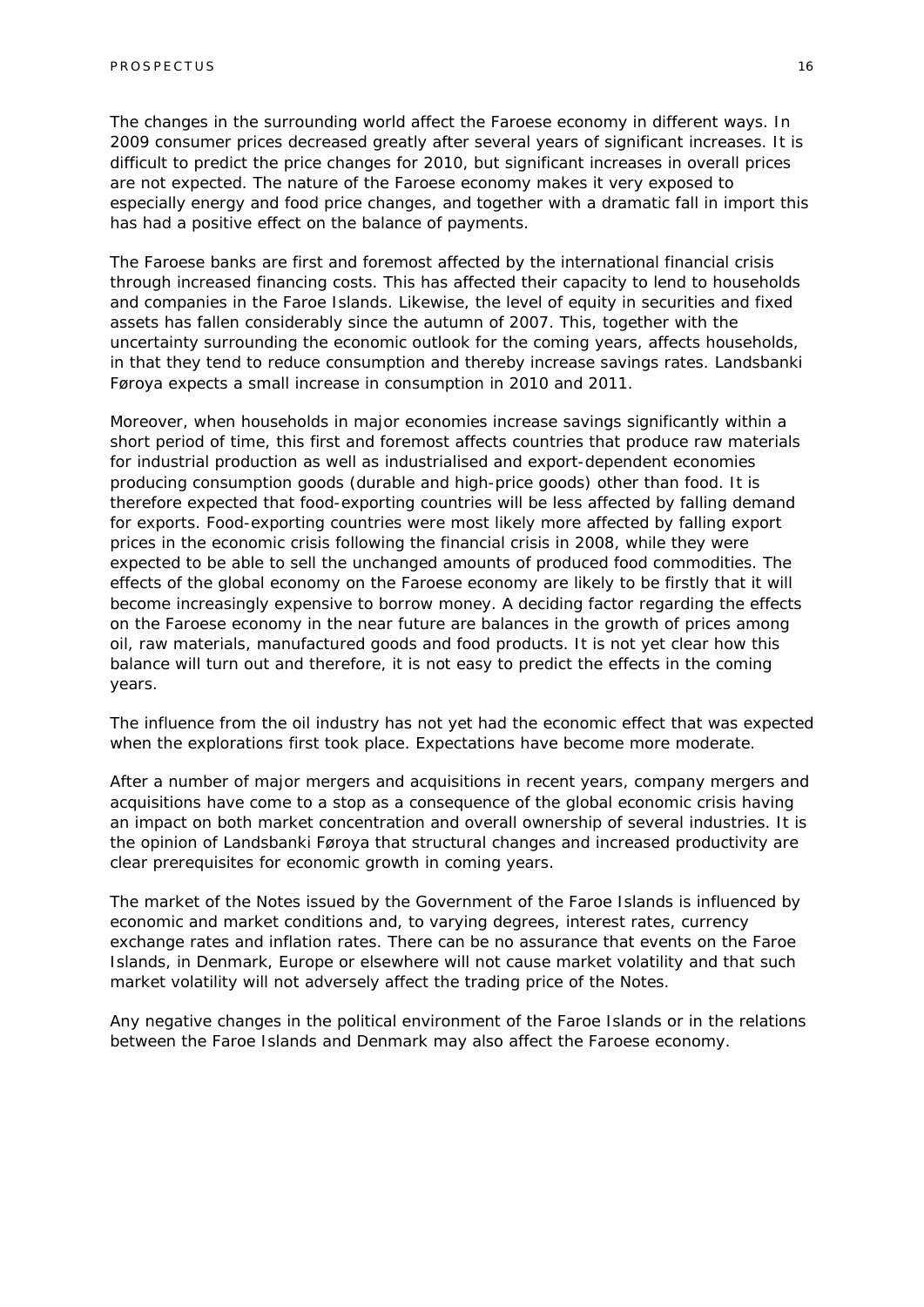The changes in the surrounding world affect the Faroese economy in different ways. In 2009 consumer prices decreased greatly after several years of significant increases. It is difficult to predict the price changes for 2010, but significant increases in overall prices are not expected. The nature of the Faroese economy makes it very exposed to especially energy and food price changes, and together with a dramatic fall in import this has had a positive effect on the balance of payments.

The Faroese banks are first and foremost affected by the international financial crisis through increased financing costs. This has affected their capacity to lend to households and companies in the Faroe Islands. Likewise, the level of equity in securities and fixed assets has fallen considerably since the autumn of 2007. This, together with the uncertainty surrounding the economic outlook for the coming years, affects households, in that they tend to reduce consumption and thereby increase savings rates. Landsbanki Føroya expects a small increase in consumption in 2010 and 2011.

Moreover, when households in major economies increase savings significantly within a short period of time, this first and foremost affects countries that produce raw materials for industrial production as well as industrialised and export-dependent economies producing consumption goods (durable and high-price goods) other than food. It is therefore expected that food-exporting countries will be less affected by falling demand for exports. Food-exporting countries were most likely more affected by falling export prices in the economic crisis following the financial crisis in 2008, while they were expected to be able to sell the unchanged amounts of produced food commodities. The effects of the global economy on the Faroese economy are likely to be firstly that it will become increasingly expensive to borrow money. A deciding factor regarding the effects on the Faroese economy in the near future are balances in the growth of prices among oil, raw materials, manufactured goods and food products. It is not yet clear how this balance will turn out and therefore, it is not easy to predict the effects in the coming years.

The influence from the oil industry has not yet had the economic effect that was expected when the explorations first took place. Expectations have become more moderate.

After a number of major mergers and acquisitions in recent years, company mergers and acquisitions have come to a stop as a consequence of the global economic crisis having an impact on both market concentration and overall ownership of several industries. It is the opinion of Landsbanki Føroya that structural changes and increased productivity are clear prerequisites for economic growth in coming years.

The market of the Notes issued by the Government of the Faroe Islands is influenced by economic and market conditions and, to varying degrees, interest rates, currency exchange rates and inflation rates. There can be no assurance that events on the Faroe Islands, in Denmark, Europe or elsewhere will not cause market volatility and that such market volatility will not adversely affect the trading price of the Notes.

Any negative changes in the political environment of the Faroe Islands or in the relations between the Faroe Islands and Denmark may also affect the Faroese economy.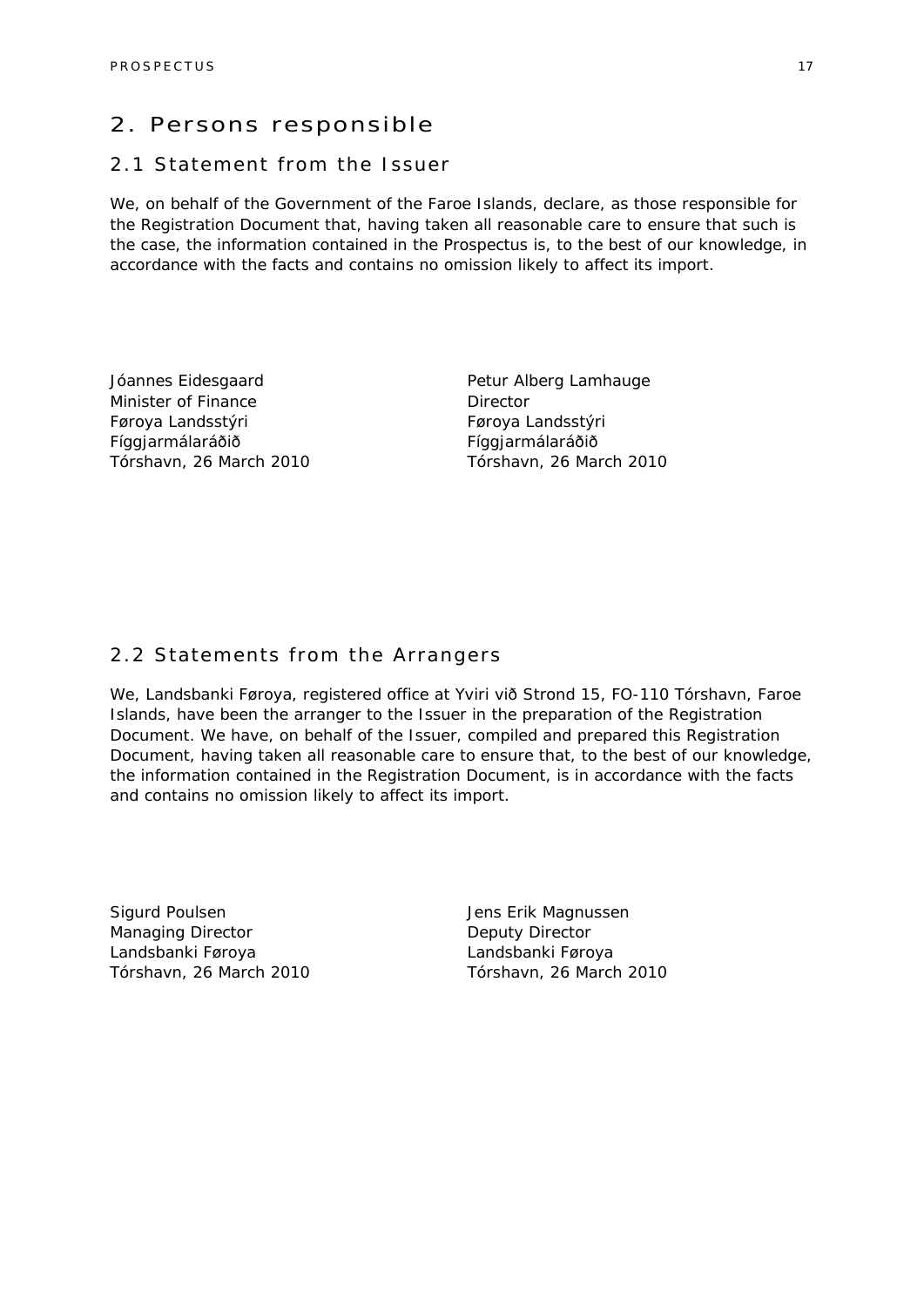### 2. Persons responsible

### 2.1 Statement from the Issuer

We, on behalf of the Government of the Faroe Islands, declare, as those responsible for the Registration Document that, having taken all reasonable care to ensure that such is the case, the information contained in the Prospectus is, to the best of our knowledge, in accordance with the facts and contains no omission likely to affect its import.

Jóannes Eidesgaard Minister of Finance Føroya Landsstýri Fíggjarmálaráðið Tórshavn, 26 March 2010 Petur Alberg Lamhauge **Director** Føroya Landsstýri Fíggjarmálaráðið Tórshavn, 26 March 2010

### 2.2 Statements from the Arrangers

We, Landsbanki Føroya, registered office at Yviri við Strond 15, FO-110 Tórshavn, Faroe Islands, have been the arranger to the Issuer in the preparation of the Registration Document. We have, on behalf of the Issuer, compiled and prepared this Registration Document, having taken all reasonable care to ensure that, to the best of our knowledge, the information contained in the Registration Document, is in accordance with the facts and contains no omission likely to affect its import.

Sigurd Poulsen Managing Director Landsbanki Føroya Tórshavn, 26 March 2010

Jens Erik Magnussen Deputy Director Landsbanki Føroya Tórshavn, 26 March 2010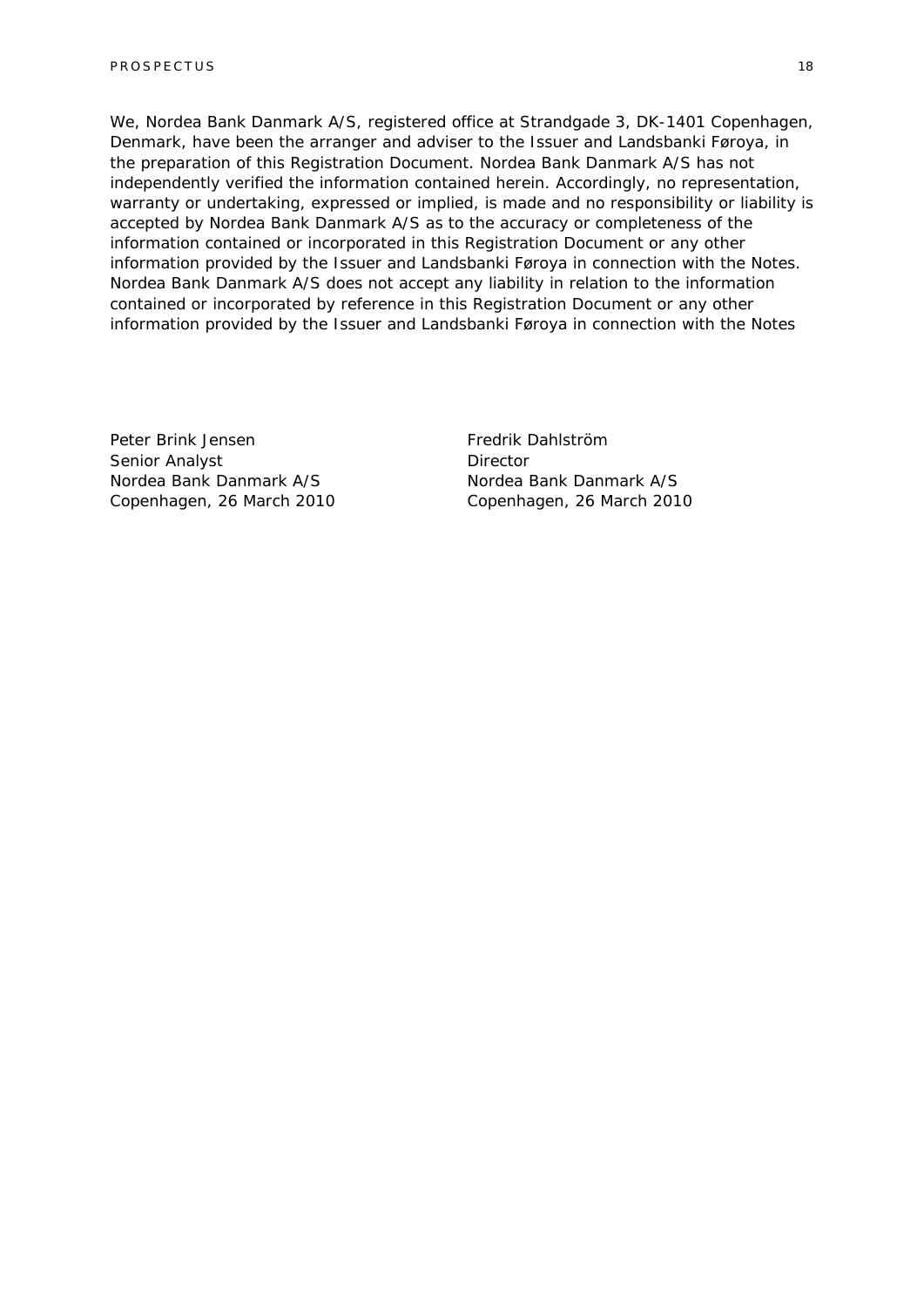We, Nordea Bank Danmark A/S, registered office at Strandgade 3, DK-1401 Copenhagen, Denmark, have been the arranger and adviser to the Issuer and Landsbanki Føroya, in the preparation of this Registration Document. Nordea Bank Danmark A/S has not independently verified the information contained herein. Accordingly, no representation, warranty or undertaking, expressed or implied, is made and no responsibility or liability is accepted by Nordea Bank Danmark A/S as to the accuracy or completeness of the information contained or incorporated in this Registration Document or any other information provided by the Issuer and Landsbanki Føroya in connection with the Notes. Nordea Bank Danmark A/S does not accept any liability in relation to the information contained or incorporated by reference in this Registration Document or any other information provided by the Issuer and Landsbanki Føroya in connection with the Notes

Peter Brink Jensen Senior Analyst Nordea Bank Danmark A/S Copenhagen, 26 March 2010 Fredrik Dahlström **Director** Nordea Bank Danmark A/S Copenhagen, 26 March 2010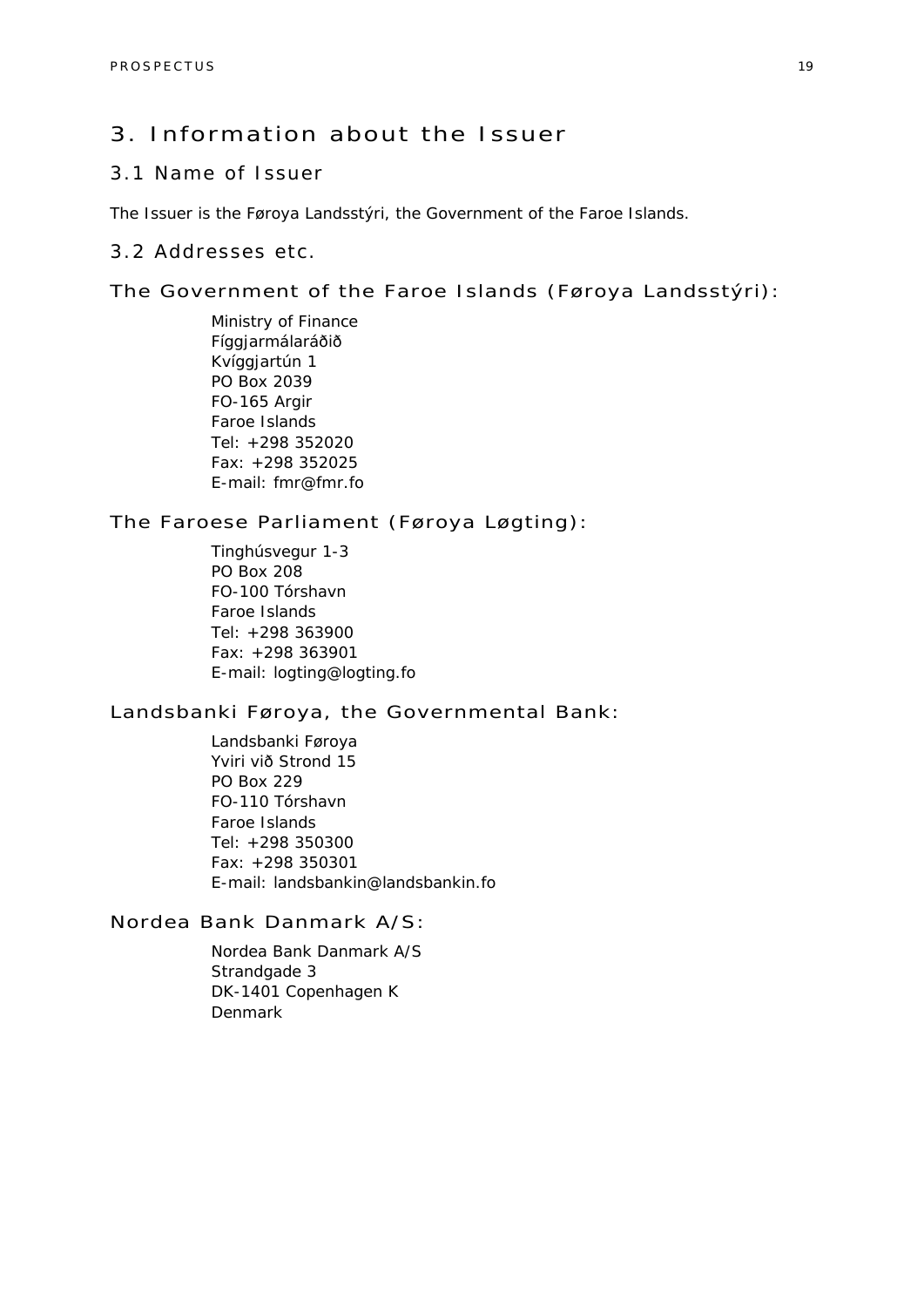### 3. Information about the Issuer

### 3.1 Name of Issuer

The Issuer is the Føroya Landsstýri, the Government of the Faroe Islands.

### 3.2 Addresses etc.

#### The Government of the Faroe Islands (Føroya Landsstýri):

Ministry of Finance Fíggjarmálaráðið Kvíggjartún 1 PO Box 2039 FO-165 Argir Faroe Islands Tel: +298 352020 Fax: +298 352025 E-mail: fmr@fmr.fo

### The Faroese Parliament (Føroya Løgting):

Tinghúsvegur 1-3 PO Box 208 FO-100 Tórshavn Faroe Islands Tel: +298 363900 Fax: +298 363901 E-mail: logting@logting.fo

### Landsbanki Føroya, the Governmental Bank:

Landsbanki Føroya Yviri við Strond 15 PO Box 229 FO-110 Tórshavn Faroe Islands Tel: +298 350300 Fax: +298 350301 E-mail: landsbankin@landsbankin.fo

### Nordea Bank Danmark A/S:

Nordea Bank Danmark A/S Strandgade 3 DK-1401 Copenhagen K Denmark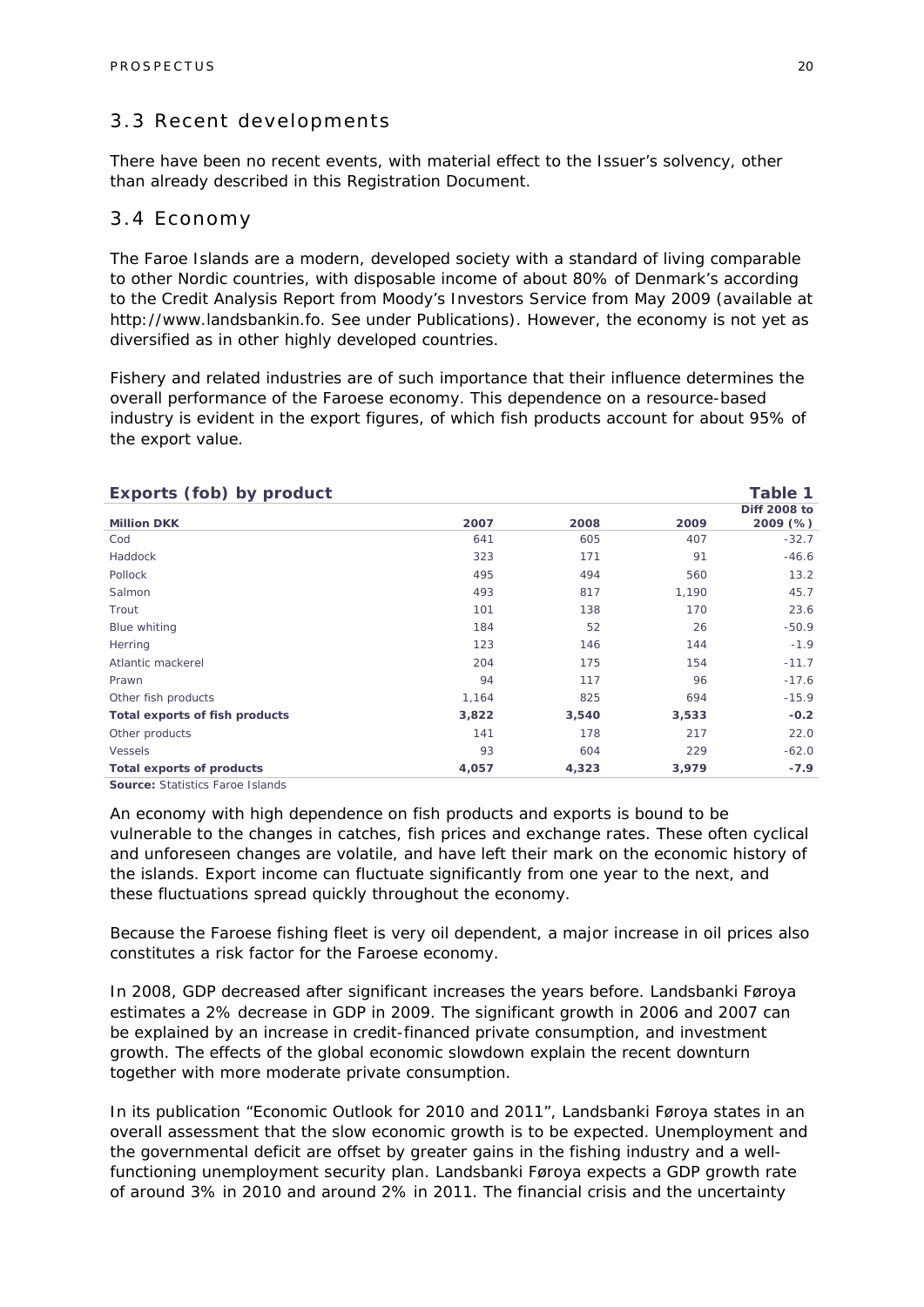### 3.3 Recent developments

There have been no recent events, with material effect to the Issuer's solvency, other than already described in this Registration Document.

### 3.4 Economy

The Faroe Islands are a modern, developed society with a standard of living comparable to other Nordic countries, with disposable income of about 80% of Denmark's according to the Credit Analysis Report from Moody's Investors Service from May 2009 (available at http://www.landsbankin.fo. See under Publications). However, the economy is not yet as diversified as in other highly developed countries.

Fishery and related industries are of such importance that their influence determines the overall performance of the Faroese economy. This dependence on a resource-based industry is evident in the export figures, of which fish products account for about 95% of the export value.

| Exports (fob) by product<br>Table 1 |       |       |                          |  |
|-------------------------------------|-------|-------|--------------------------|--|
| 2007                                | 2008  | 2009  | Diff 2008 to<br>2009 (%) |  |
| 641                                 | 605   | 407   | $-32.7$                  |  |
| 323                                 | 171   | 91    | $-46.6$                  |  |
| 495                                 | 494   | 560   | 13.2                     |  |
| 493                                 | 817   | 1,190 | 45.7                     |  |
| 101                                 | 138   | 170   | 23.6                     |  |
| 184                                 | 52    | 26    | $-50.9$                  |  |
| 123                                 | 146   | 144   | $-1.9$                   |  |
| 204                                 | 175   | 154   | $-11.7$                  |  |
| 94                                  | 117   | 96    | $-17.6$                  |  |
| 1,164                               | 825   | 694   | $-15.9$                  |  |
| 3,822                               | 3,540 | 3,533 | $-0.2$                   |  |
| 141                                 | 178   | 217   | 22.0                     |  |
| 93                                  | 604   | 229   | $-62.0$                  |  |
| 4,057                               | 4,323 | 3,979 | $-7.9$                   |  |
|                                     |       |       |                          |  |

**Source:** Statistics Faroe Islands

An economy with high dependence on fish products and exports is bound to be vulnerable to the changes in catches, fish prices and exchange rates. These often cyclical and unforeseen changes are volatile, and have left their mark on the economic history of the islands. Export income can fluctuate significantly from one year to the next, and these fluctuations spread quickly throughout the economy.

Because the Faroese fishing fleet is very oil dependent, a major increase in oil prices also constitutes a risk factor for the Faroese economy.

In 2008, GDP decreased after significant increases the years before. Landsbanki Føroya estimates a 2% decrease in GDP in 2009. The significant growth in 2006 and 2007 can be explained by an increase in credit-financed private consumption, and investment growth. The effects of the global economic slowdown explain the recent downturn together with more moderate private consumption.

In its publication "Economic Outlook for 2010 and 2011", Landsbanki Føroya states in an overall assessment that the slow economic growth is to be expected. Unemployment and the governmental deficit are offset by greater gains in the fishing industry and a wellfunctioning unemployment security plan. Landsbanki Føroya expects a GDP growth rate of around 3% in 2010 and around 2% in 2011. The financial crisis and the uncertainty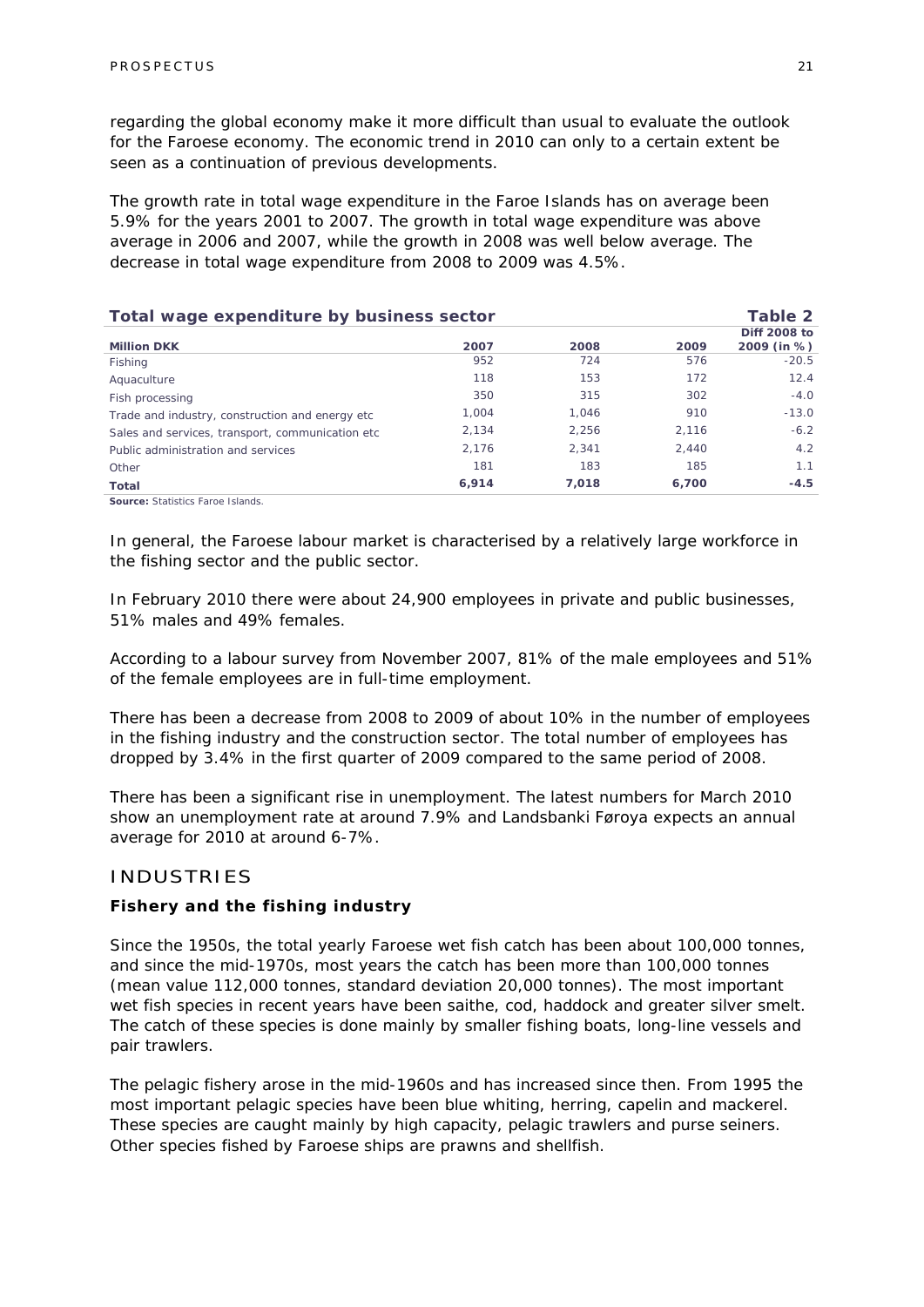regarding the global economy make it more difficult than usual to evaluate the outlook for the Faroese economy. The economic trend in 2010 can only to a certain extent be seen as a continuation of previous developments.

The growth rate in total wage expenditure in the Faroe Islands has on average been 5.9% for the years 2001 to 2007. The growth in total wage expenditure was above average in 2006 and 2007, while the growth in 2008 was well below average. The decrease in total wage expenditure from 2008 to 2009 was 4.5%.

| Total wage expenditure by business sector         |       |       | Table 2 |                             |
|---------------------------------------------------|-------|-------|---------|-----------------------------|
| <b>Million DKK</b>                                | 2007  | 2008  | 2009    | Diff 2008 to<br>2009 (in %) |
| Fishing                                           | 952   | 724   | 576     | $-20.5$                     |
| Aquaculture                                       | 118   | 153   | 172     | 12.4                        |
| Fish processing                                   | 350   | 315   | 302     | $-4.0$                      |
| Trade and industry, construction and energy etc.  | 1.004 | 1.046 | 910     | $-13.0$                     |
| Sales and services, transport, communication etc. | 2.134 | 2.256 | 2.116   | $-6.2$                      |
| Public administration and services                | 2.176 | 2.341 | 2.440   | 4.2                         |
| Other                                             | 181   | 183   | 185     | 1.1                         |
| Total                                             | 6,914 | 7,018 | 6,700   | $-4.5$                      |
| <b>Source: Statistics Faroe Islands.</b>          |       |       |         |                             |

In general, the Faroese labour market is characterised by a relatively large workforce in the fishing sector and the public sector.

In February 2010 there were about 24,900 employees in private and public businesses, 51% males and 49% females.

According to a labour survey from November 2007, 81% of the male employees and 51% of the female employees are in full-time employment.

There has been a decrease from 2008 to 2009 of about 10% in the number of employees in the fishing industry and the construction sector. The total number of employees has dropped by 3.4% in the first quarter of 2009 compared to the same period of 2008.

There has been a significant rise in unemployment. The latest numbers for March 2010 show an unemployment rate at around 7.9% and Landsbanki Føroya expects an annual average for 2010 at around 6-7%.

#### INDUSTRIES

#### *Fishery and the fishing industry*

Since the 1950s, the total yearly Faroese wet fish catch has been about 100,000 tonnes, and since the mid-1970s, most years the catch has been more than 100,000 tonnes (mean value 112,000 tonnes, standard deviation 20,000 tonnes). The most important wet fish species in recent years have been saithe, cod, haddock and greater silver smelt. The catch of these species is done mainly by smaller fishing boats, long-line vessels and pair trawlers.

The pelagic fishery arose in the mid-1960s and has increased since then. From 1995 the most important pelagic species have been blue whiting, herring, capelin and mackerel. These species are caught mainly by high capacity, pelagic trawlers and purse seiners. Other species fished by Faroese ships are prawns and shellfish.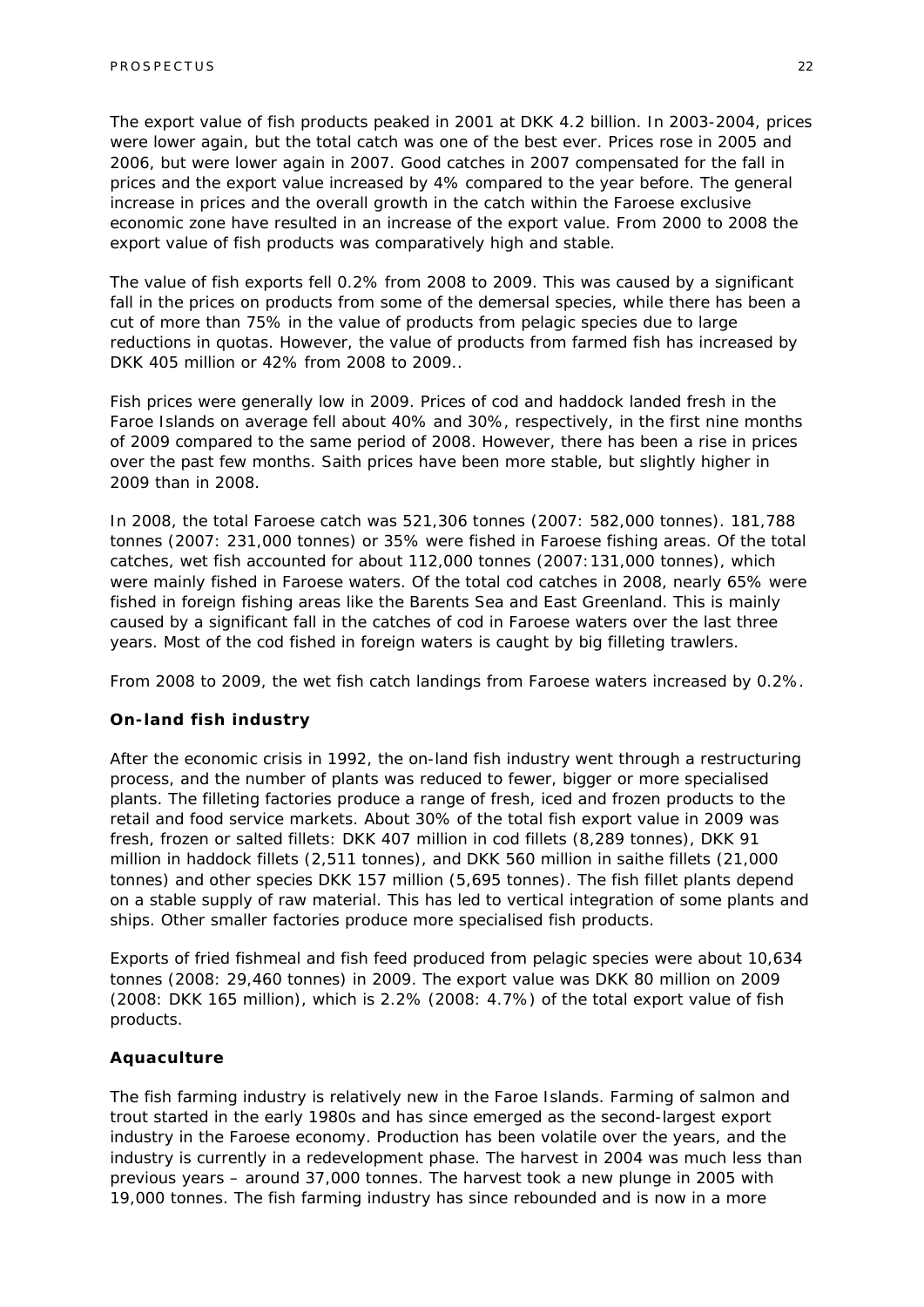The export value of fish products peaked in 2001 at DKK 4.2 billion. In 2003-2004, prices were lower again, but the total catch was one of the best ever. Prices rose in 2005 and 2006, but were lower again in 2007. Good catches in 2007 compensated for the fall in prices and the export value increased by 4% compared to the year before. The general increase in prices and the overall growth in the catch within the Faroese exclusive economic zone have resulted in an increase of the export value. From 2000 to 2008 the export value of fish products was comparatively high and stable.

The value of fish exports fell 0.2% from 2008 to 2009. This was caused by a significant fall in the prices on products from some of the demersal species, while there has been a cut of more than 75% in the value of products from pelagic species due to large reductions in quotas. However, the value of products from farmed fish has increased by DKK 405 million or 42% from 2008 to 2009..

Fish prices were generally low in 2009. Prices of cod and haddock landed fresh in the Faroe Islands on average fell about 40% and 30%, respectively, in the first nine months of 2009 compared to the same period of 2008. However, there has been a rise in prices over the past few months. Saith prices have been more stable, but slightly higher in 2009 than in 2008.

In 2008, the total Faroese catch was 521,306 tonnes (2007: 582,000 tonnes). 181,788 tonnes (2007: 231,000 tonnes) or 35% were fished in Faroese fishing areas. Of the total catches, wet fish accounted for about 112,000 tonnes (2007:131,000 tonnes), which were mainly fished in Faroese waters. Of the total cod catches in 2008, nearly 65% were fished in foreign fishing areas like the Barents Sea and East Greenland. This is mainly caused by a significant fall in the catches of cod in Faroese waters over the last three years. Most of the cod fished in foreign waters is caught by big filleting trawlers.

From 2008 to 2009, the wet fish catch landings from Faroese waters increased by 0.2%.

#### *On-land fish industry*

After the economic crisis in 1992, the on-land fish industry went through a restructuring process, and the number of plants was reduced to fewer, bigger or more specialised plants. The filleting factories produce a range of fresh, iced and frozen products to the retail and food service markets. About 30% of the total fish export value in 2009 was fresh, frozen or salted fillets: DKK 407 million in cod fillets (8,289 tonnes), DKK 91 million in haddock fillets (2,511 tonnes), and DKK 560 million in saithe fillets (21,000 tonnes) and other species DKK 157 million (5,695 tonnes). The fish fillet plants depend on a stable supply of raw material. This has led to vertical integration of some plants and ships. Other smaller factories produce more specialised fish products.

Exports of fried fishmeal and fish feed produced from pelagic species were about 10,634 tonnes (2008: 29,460 tonnes) in 2009. The export value was DKK 80 million on 2009 (2008: DKK 165 million), which is 2.2% (2008: 4.7%) of the total export value of fish products.

#### *Aquaculture*

The fish farming industry is relatively new in the Faroe Islands. Farming of salmon and trout started in the early 1980s and has since emerged as the second-largest export industry in the Faroese economy. Production has been volatile over the years, and the industry is currently in a redevelopment phase. The harvest in 2004 was much less than previous years – around 37,000 tonnes. The harvest took a new plunge in 2005 with 19,000 tonnes. The fish farming industry has since rebounded and is now in a more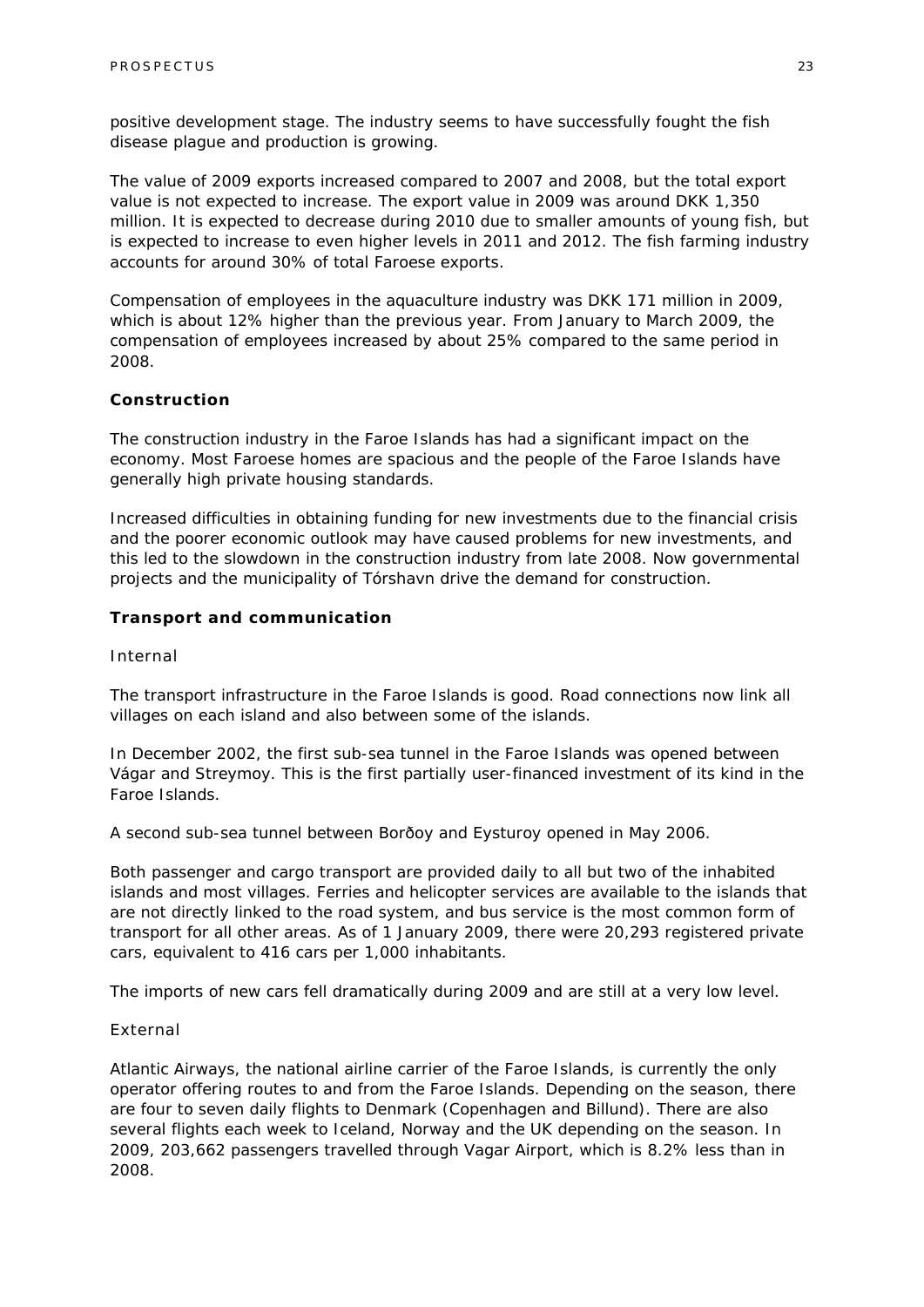positive development stage. The industry seems to have successfully fought the fish disease plague and production is growing.

The value of 2009 exports increased compared to 2007 and 2008, but the total export value is not expected to increase. The export value in 2009 was around DKK 1,350 million. It is expected to decrease during 2010 due to smaller amounts of young fish, but is expected to increase to even higher levels in 2011 and 2012. The fish farming industry accounts for around 30% of total Faroese exports.

Compensation of employees in the aquaculture industry was DKK 171 million in 2009, which is about 12% higher than the previous year. From January to March 2009, the compensation of employees increased by about 25% compared to the same period in 2008.

#### *Construction*

The construction industry in the Faroe Islands has had a significant impact on the economy. Most Faroese homes are spacious and the people of the Faroe Islands have generally high private housing standards.

Increased difficulties in obtaining funding for new investments due to the financial crisis and the poorer economic outlook may have caused problems for new investments, and this led to the slowdown in the construction industry from late 2008. Now governmental projects and the municipality of Tórshavn drive the demand for construction.

#### *Transport and communication*

#### *Internal*

The transport infrastructure in the Faroe Islands is good. Road connections now link all villages on each island and also between some of the islands.

In December 2002, the first sub-sea tunnel in the Faroe Islands was opened between Vágar and Streymoy. This is the first partially user-financed investment of its kind in the Faroe Islands.

A second sub-sea tunnel between Borðoy and Eysturoy opened in May 2006.

Both passenger and cargo transport are provided daily to all but two of the inhabited islands and most villages. Ferries and helicopter services are available to the islands that are not directly linked to the road system, and bus service is the most common form of transport for all other areas. As of 1 January 2009, there were 20,293 registered private cars, equivalent to 416 cars per 1,000 inhabitants.

The imports of new cars fell dramatically during 2009 and are still at a very low level.

#### *External*

Atlantic Airways, the national airline carrier of the Faroe Islands, is currently the only operator offering routes to and from the Faroe Islands. Depending on the season, there are four to seven daily flights to Denmark (Copenhagen and Billund). There are also several flights each week to Iceland, Norway and the UK depending on the season. In 2009, 203,662 passengers travelled through Vagar Airport, which is 8.2% less than in 2008.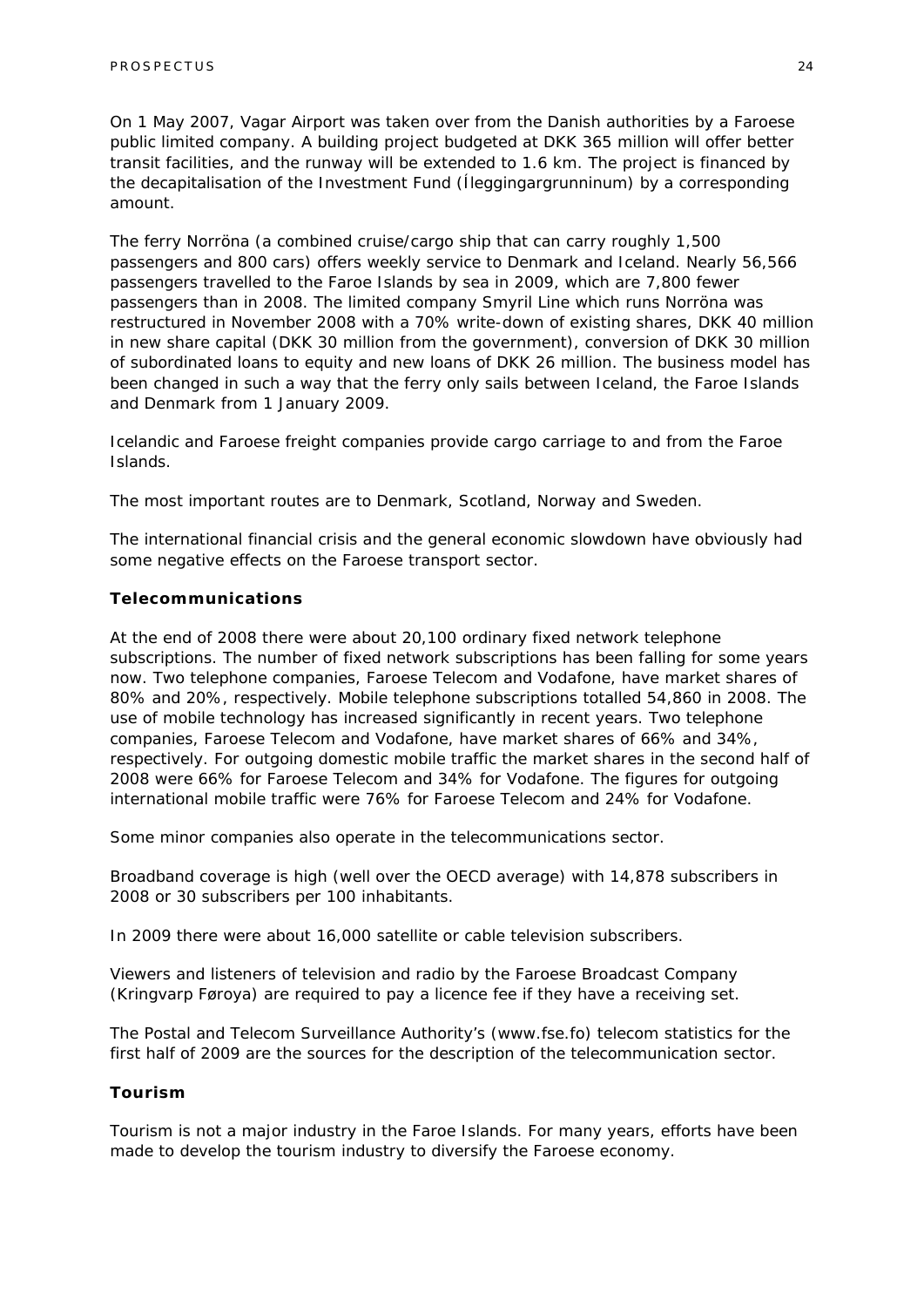On 1 May 2007, Vagar Airport was taken over from the Danish authorities by a Faroese public limited company. A building project budgeted at DKK 365 million will offer better transit facilities, and the runway will be extended to 1.6 km. The project is financed by the decapitalisation of the Investment Fund (Íleggingargrunninum) by a corresponding amount.

The ferry Norröna (a combined cruise/cargo ship that can carry roughly 1,500 passengers and 800 cars) offers weekly service to Denmark and Iceland. Nearly 56,566 passengers travelled to the Faroe Islands by sea in 2009, which are 7,800 fewer passengers than in 2008. The limited company Smyril Line which runs Norröna was restructured in November 2008 with a 70% write-down of existing shares, DKK 40 million in new share capital (DKK 30 million from the government), conversion of DKK 30 million of subordinated loans to equity and new loans of DKK 26 million. The business model has been changed in such a way that the ferry only sails between Iceland, the Faroe Islands and Denmark from 1 January 2009.

Icelandic and Faroese freight companies provide cargo carriage to and from the Faroe Islands.

The most important routes are to Denmark, Scotland, Norway and Sweden.

The international financial crisis and the general economic slowdown have obviously had some negative effects on the Faroese transport sector.

#### *Telecommunications*

At the end of 2008 there were about 20,100 ordinary fixed network telephone subscriptions. The number of fixed network subscriptions has been falling for some years now. Two telephone companies, Faroese Telecom and Vodafone, have market shares of 80% and 20%, respectively. Mobile telephone subscriptions totalled 54,860 in 2008. The use of mobile technology has increased significantly in recent years. Two telephone companies, Faroese Telecom and Vodafone, have market shares of 66% and 34%, respectively. For outgoing domestic mobile traffic the market shares in the second half of 2008 were 66% for Faroese Telecom and 34% for Vodafone. The figures for outgoing international mobile traffic were 76% for Faroese Telecom and 24% for Vodafone.

Some minor companies also operate in the telecommunications sector.

Broadband coverage is high (well over the OECD average) with 14,878 subscribers in 2008 or 30 subscribers per 100 inhabitants.

In 2009 there were about 16,000 satellite or cable television subscribers.

Viewers and listeners of television and radio by the Faroese Broadcast Company (Kringvarp Føroya) are required to pay a licence fee if they have a receiving set.

The Postal and Telecom Surveillance Authority's (www.fse.fo) telecom statistics for the first half of 2009 are the sources for the description of the telecommunication sector.

#### *Tourism*

Tourism is not a major industry in the Faroe Islands. For many years, efforts have been made to develop the tourism industry to diversify the Faroese economy.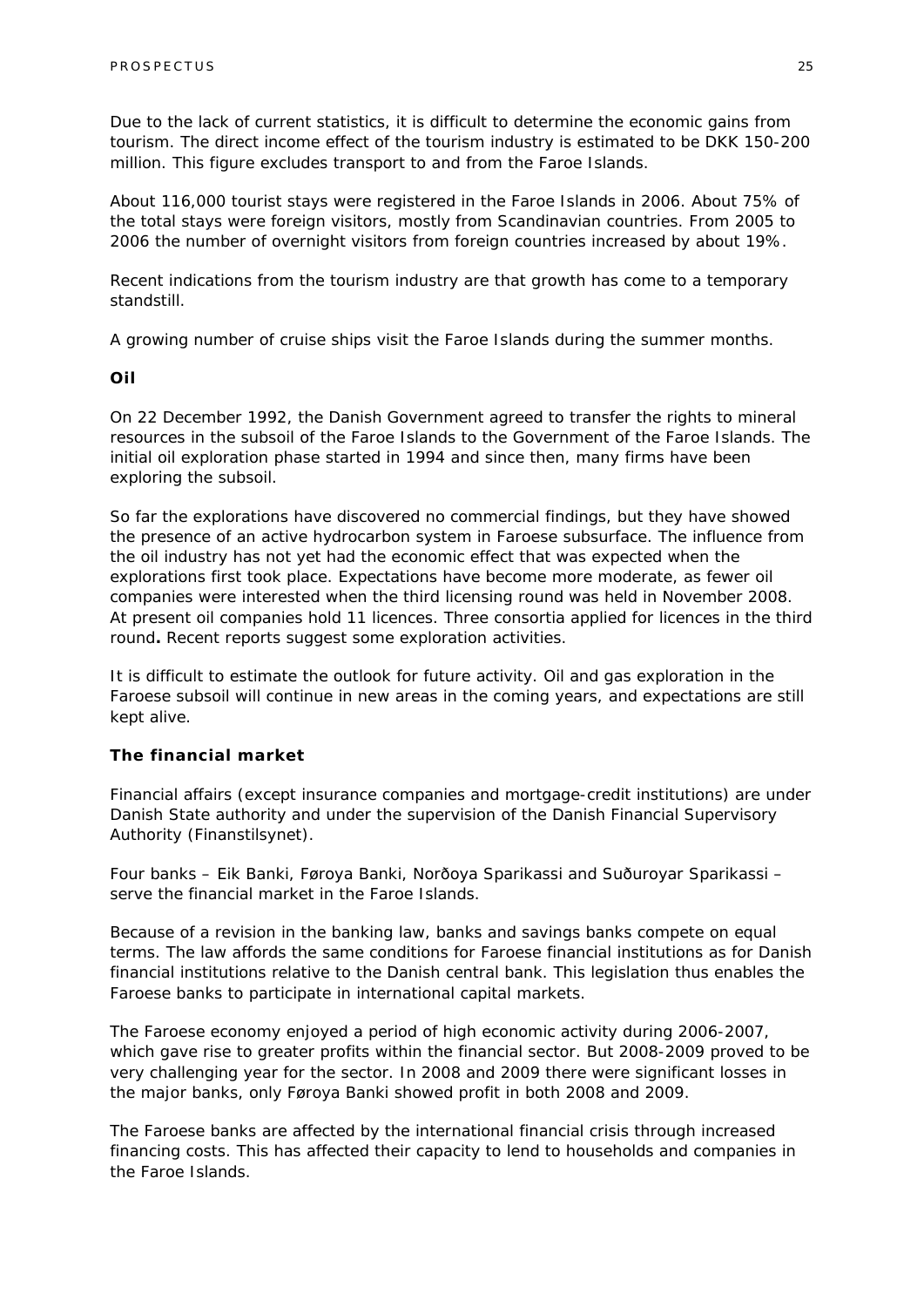Due to the lack of current statistics, it is difficult to determine the economic gains from tourism. The direct income effect of the tourism industry is estimated to be DKK 150-200 million. This figure excludes transport to and from the Faroe Islands.

About 116,000 tourist stays were registered in the Faroe Islands in 2006. About 75% of the total stays were foreign visitors, mostly from Scandinavian countries. From 2005 to 2006 the number of overnight visitors from foreign countries increased by about 19%.

Recent indications from the tourism industry are that growth has come to a temporary standstill.

A growing number of cruise ships visit the Faroe Islands during the summer months.

#### *Oil*

On 22 December 1992, the Danish Government agreed to transfer the rights to mineral resources in the subsoil of the Faroe Islands to the Government of the Faroe Islands. The initial oil exploration phase started in 1994 and since then, many firms have been exploring the subsoil.

So far the explorations have discovered no commercial findings, but they have showed the presence of an active hydrocarbon system in Faroese subsurface. The influence from the oil industry has not yet had the economic effect that was expected when the explorations first took place. Expectations have become more moderate, as fewer oil companies were interested when the third licensing round was held in November 2008. At present oil companies hold 11 licences. Three consortia applied for licences in the third round**.** Recent reports suggest some exploration activities.

It is difficult to estimate the outlook for future activity. Oil and gas exploration in the Faroese subsoil will continue in new areas in the coming years, and expectations are still kept alive.

#### *The financial market*

Financial affairs (except insurance companies and mortgage-credit institutions) are under Danish State authority and under the supervision of the Danish Financial Supervisory Authority (Finanstilsynet).

Four banks – Eik Banki, Føroya Banki, Norðoya Sparikassi and Suðuroyar Sparikassi – serve the financial market in the Faroe Islands.

Because of a revision in the banking law, banks and savings banks compete on equal terms. The law affords the same conditions for Faroese financial institutions as for Danish financial institutions relative to the Danish central bank. This legislation thus enables the Faroese banks to participate in international capital markets.

The Faroese economy enjoyed a period of high economic activity during 2006-2007, which gave rise to greater profits within the financial sector. But 2008-2009 proved to be very challenging year for the sector. In 2008 and 2009 there were significant losses in the major banks, only Føroya Banki showed profit in both 2008 and 2009.

The Faroese banks are affected by the international financial crisis through increased financing costs. This has affected their capacity to lend to households and companies in the Faroe Islands.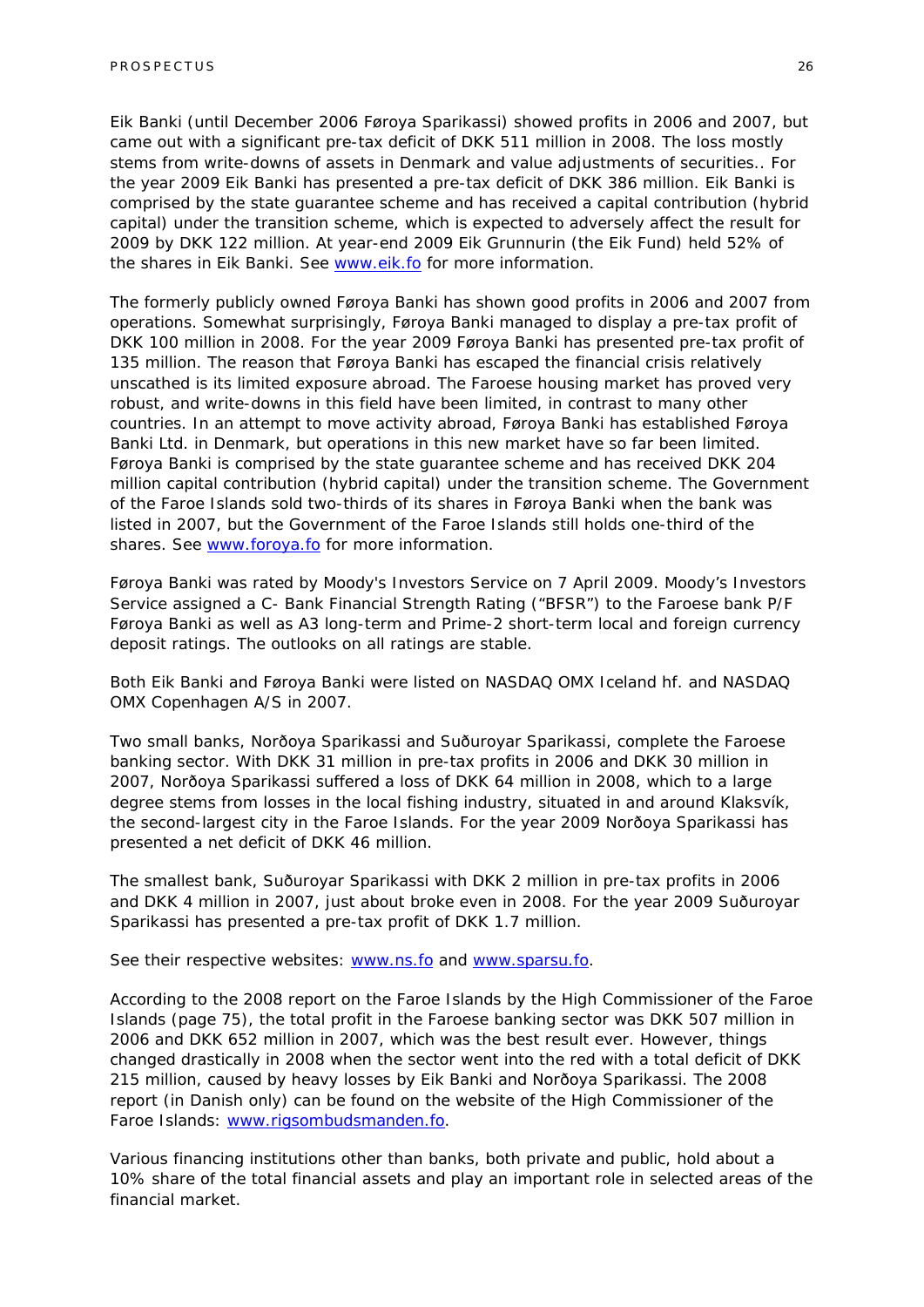Eik Banki (until December 2006 Føroya Sparikassi) showed profits in 2006 and 2007, but came out with a significant pre-tax deficit of DKK 511 million in 2008. The loss mostly stems from write-downs of assets in Denmark and value adjustments of securities.. For the year 2009 Eik Banki has presented a pre-tax deficit of DKK 386 million. Eik Banki is comprised by the state guarantee scheme and has received a capital contribution (hybrid capital) under the transition scheme, which is expected to adversely affect the result for 2009 by DKK 122 million. At year-end 2009 Eik Grunnurin (the Eik Fund) held 52% of the shares in Eik Banki. See www.eik.fo for more information.

The formerly publicly owned Føroya Banki has shown good profits in 2006 and 2007 from operations. Somewhat surprisingly, Føroya Banki managed to display a pre-tax profit of DKK 100 million in 2008. For the year 2009 Føroya Banki has presented pre-tax profit of 135 million. The reason that Føroya Banki has escaped the financial crisis relatively unscathed is its limited exposure abroad. The Faroese housing market has proved very robust, and write-downs in this field have been limited, in contrast to many other countries. In an attempt to move activity abroad, Føroya Banki has established Føroya Banki Ltd. in Denmark, but operations in this new market have so far been limited. Føroya Banki is comprised by the state guarantee scheme and has received DKK 204 million capital contribution (hybrid capital) under the transition scheme. The Government of the Faroe Islands sold two-thirds of its shares in Føroya Banki when the bank was listed in 2007, but the Government of the Faroe Islands still holds one-third of the shares. See www.foroya.fo for more information.

Føroya Banki was rated by Moody's Investors Service on 7 April 2009. Moody's Investors Service assigned a C- Bank Financial Strength Rating ("BFSR") to the Faroese bank P/F Føroya Banki as well as A3 long-term and Prime-2 short-term local and foreign currency deposit ratings. The outlooks on all ratings are stable.

Both Eik Banki and Føroya Banki were listed on NASDAQ OMX Iceland hf. and NASDAQ OMX Copenhagen A/S in 2007.

Two small banks, Norðoya Sparikassi and Suðuroyar Sparikassi, complete the Faroese banking sector. With DKK 31 million in pre-tax profits in 2006 and DKK 30 million in 2007, Norðoya Sparikassi suffered a loss of DKK 64 million in 2008, which to a large degree stems from losses in the local fishing industry, situated in and around Klaksvík, the second-largest city in the Faroe Islands. For the year 2009 Norðoya Sparikassi has presented a net deficit of DKK 46 million.

The smallest bank, Suðuroyar Sparikassi with DKK 2 million in pre-tax profits in 2006 and DKK 4 million in 2007, just about broke even in 2008. For the year 2009 Suðuroyar Sparikassi has presented a pre-tax profit of DKK 1.7 million.

See their respective websites: www.ns.fo and www.sparsu.fo.

According to the 2008 report on the Faroe Islands by the High Commissioner of the Faroe Islands (page 75), the total profit in the Faroese banking sector was DKK 507 million in 2006 and DKK 652 million in 2007, which was the best result ever. However, things changed drastically in 2008 when the sector went into the red with a total deficit of DKK 215 million, caused by heavy losses by Eik Banki and Norðoya Sparikassi. The 2008 report (in Danish only) can be found on the website of the High Commissioner of the Faroe Islands: www.rigsombudsmanden.fo.

Various financing institutions other than banks, both private and public, hold about a 10% share of the total financial assets and play an important role in selected areas of the financial market.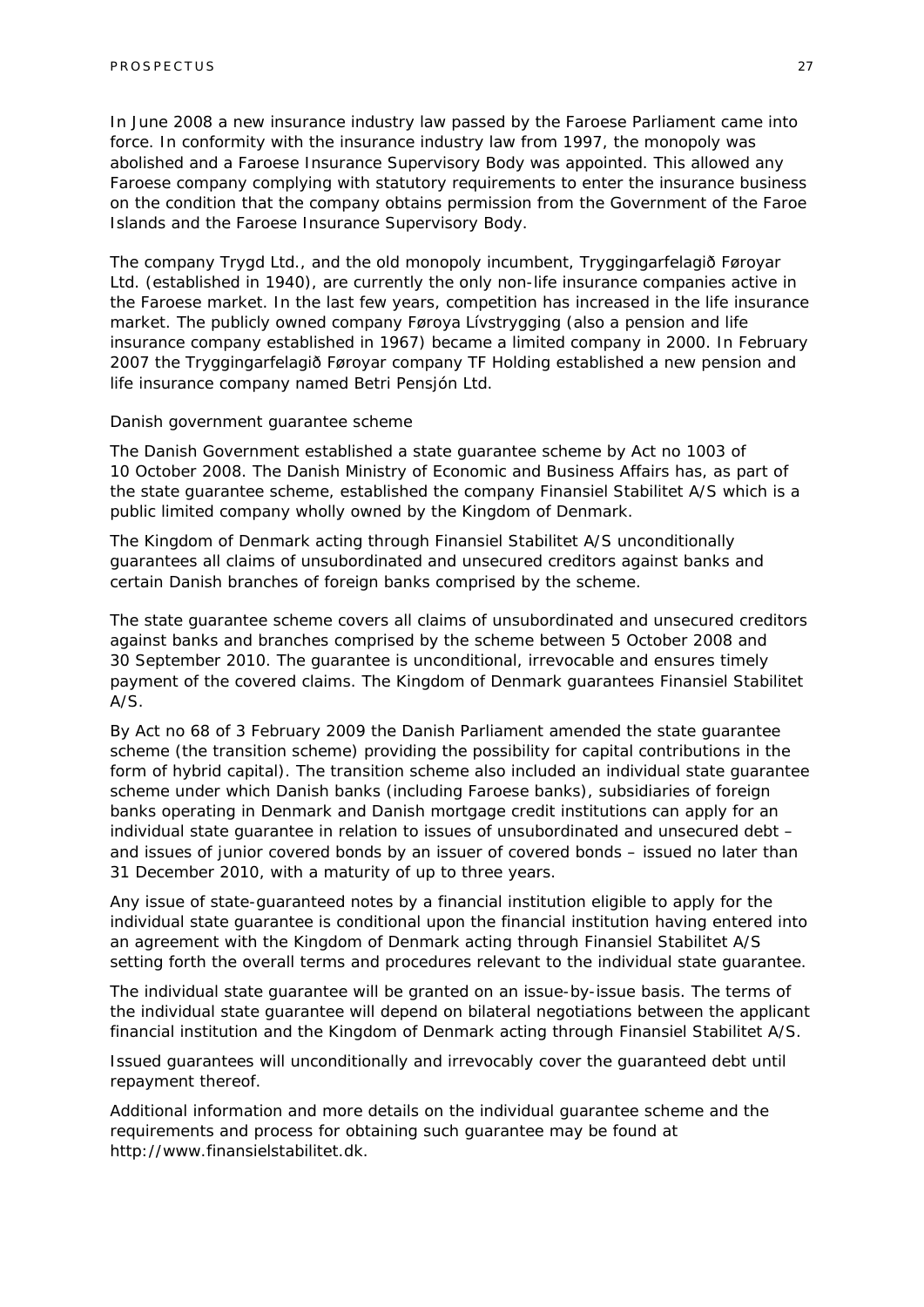In June 2008 a new insurance industry law passed by the Faroese Parliament came into force. In conformity with the insurance industry law from 1997, the monopoly was abolished and a Faroese Insurance Supervisory Body was appointed. This allowed any Faroese company complying with statutory requirements to enter the insurance business on the condition that the company obtains permission from the Government of the Faroe Islands and the Faroese Insurance Supervisory Body.

The company Trygd Ltd., and the old monopoly incumbent, Tryggingarfelagið Føroyar Ltd. (established in 1940), are currently the only non-life insurance companies active in the Faroese market. In the last few years, competition has increased in the life insurance market. The publicly owned company Føroya Lívstrygging (also a pension and life insurance company established in 1967) became a limited company in 2000. In February 2007 the Tryggingarfelagið Føroyar company TF Holding established a new pension and life insurance company named Betri Pensjón Ltd.

#### *Danish government guarantee scheme*

The Danish Government established a state guarantee scheme by Act no 1003 of 10 October 2008. The Danish Ministry of Economic and Business Affairs has, as part of the state guarantee scheme, established the company Finansiel Stabilitet A/S which is a public limited company wholly owned by the Kingdom of Denmark.

The Kingdom of Denmark acting through Finansiel Stabilitet A/S unconditionally guarantees all claims of unsubordinated and unsecured creditors against banks and certain Danish branches of foreign banks comprised by the scheme.

The state guarantee scheme covers all claims of unsubordinated and unsecured creditors against banks and branches comprised by the scheme between 5 October 2008 and 30 September 2010. The guarantee is unconditional, irrevocable and ensures timely payment of the covered claims. The Kingdom of Denmark guarantees Finansiel Stabilitet A/S.

By Act no 68 of 3 February 2009 the Danish Parliament amended the state guarantee scheme (the transition scheme) providing the possibility for capital contributions in the form of hybrid capital). The transition scheme also included an individual state guarantee scheme under which Danish banks (including Faroese banks), subsidiaries of foreign banks operating in Denmark and Danish mortgage credit institutions can apply for an individual state guarantee in relation to issues of unsubordinated and unsecured debt – and issues of junior covered bonds by an issuer of covered bonds – issued no later than 31 December 2010, with a maturity of up to three years.

Any issue of state-guaranteed notes by a financial institution eligible to apply for the individual state guarantee is conditional upon the financial institution having entered into an agreement with the Kingdom of Denmark acting through Finansiel Stabilitet A/S setting forth the overall terms and procedures relevant to the individual state guarantee.

The individual state guarantee will be granted on an issue-by-issue basis. The terms of the individual state guarantee will depend on bilateral negotiations between the applicant financial institution and the Kingdom of Denmark acting through Finansiel Stabilitet A/S.

Issued guarantees will unconditionally and irrevocably cover the guaranteed debt until repayment thereof.

Additional information and more details on the individual guarantee scheme and the requirements and process for obtaining such guarantee may be found at http://www.finansielstabilitet.dk.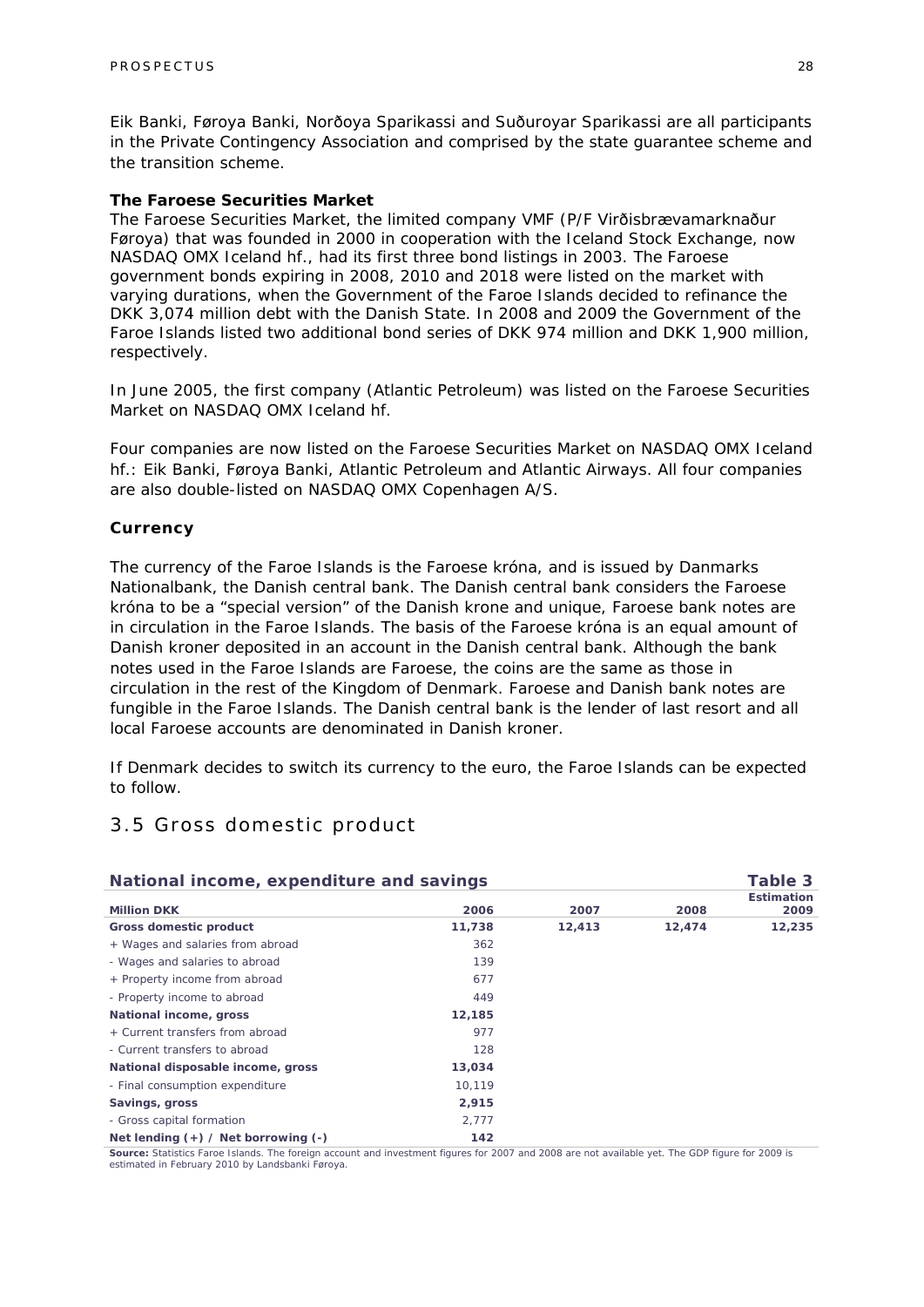Eik Banki, Føroya Banki, Norðoya Sparikassi and Suðuroyar Sparikassi are all participants in the Private Contingency Association and comprised by the state guarantee scheme and the transition scheme.

#### *The Faroese Securities Market*

The Faroese Securities Market, the limited company VMF (P/F Virðisbrævamarknaður Føroya) that was founded in 2000 in cooperation with the Iceland Stock Exchange, now NASDAQ OMX Iceland hf., had its first three bond listings in 2003. The Faroese government bonds expiring in 2008, 2010 and 2018 were listed on the market with varying durations, when the Government of the Faroe Islands decided to refinance the DKK 3,074 million debt with the Danish State. In 2008 and 2009 the Government of the Faroe Islands listed two additional bond series of DKK 974 million and DKK 1,900 million, respectively.

In June 2005, the first company (Atlantic Petroleum) was listed on the Faroese Securities Market on NASDAQ OMX Iceland hf.

Four companies are now listed on the Faroese Securities Market on NASDAQ OMX Iceland hf.: Eik Banki, Føroya Banki, Atlantic Petroleum and Atlantic Airways. All four companies are also double-listed on NASDAQ OMX Copenhagen A/S.

#### *Currency*

The currency of the Faroe Islands is the Faroese króna, and is issued by Danmarks Nationalbank, the Danish central bank. The Danish central bank considers the Faroese króna to be a "special version" of the Danish krone and unique, Faroese bank notes are in circulation in the Faroe Islands. The basis of the Faroese króna is an equal amount of Danish kroner deposited in an account in the Danish central bank. Although the bank notes used in the Faroe Islands are Faroese, the coins are the same as those in circulation in the rest of the Kingdom of Denmark. Faroese and Danish bank notes are fungible in the Faroe Islands. The Danish central bank is the lender of last resort and all local Faroese accounts are denominated in Danish kroner.

If Denmark decides to switch its currency to the euro, the Faroe Islands can be expected to follow.

### 3.5 Gross domestic product

| National income, expenditure and savings |        | Table 3 |        |                   |
|------------------------------------------|--------|---------|--------|-------------------|
|                                          |        | 2007    |        | <b>Estimation</b> |
| <b>Million DKK</b>                       | 2006   |         | 2008   | 2009              |
| <b>Gross domestic product</b>            | 11,738 | 12,413  | 12,474 | 12,235            |
| + Wages and salaries from abroad         | 362    |         |        |                   |
| - Wages and salaries to abroad           | 139    |         |        |                   |
| + Property income from abroad            | 677    |         |        |                   |
| - Property income to abroad              | 449    |         |        |                   |
| National income, gross                   | 12,185 |         |        |                   |
| + Current transfers from abroad          | 977    |         |        |                   |
| - Current transfers to abroad            | 128    |         |        |                   |
| National disposable income, gross        | 13,034 |         |        |                   |
| - Final consumption expenditure          | 10,119 |         |        |                   |
| Savings, gross                           | 2,915  |         |        |                   |
| - Gross capital formation                | 2,777  |         |        |                   |
| Net lending $(+)$ / Net borrowing $(-)$  | 142    |         |        |                   |

**Source:** Statistics Faroe Islands. The foreign account and investment figures for 2007 and 2008 are not available yet. The GDP figure for 2009 is estimated in February 2010 by Landsbanki Føroya.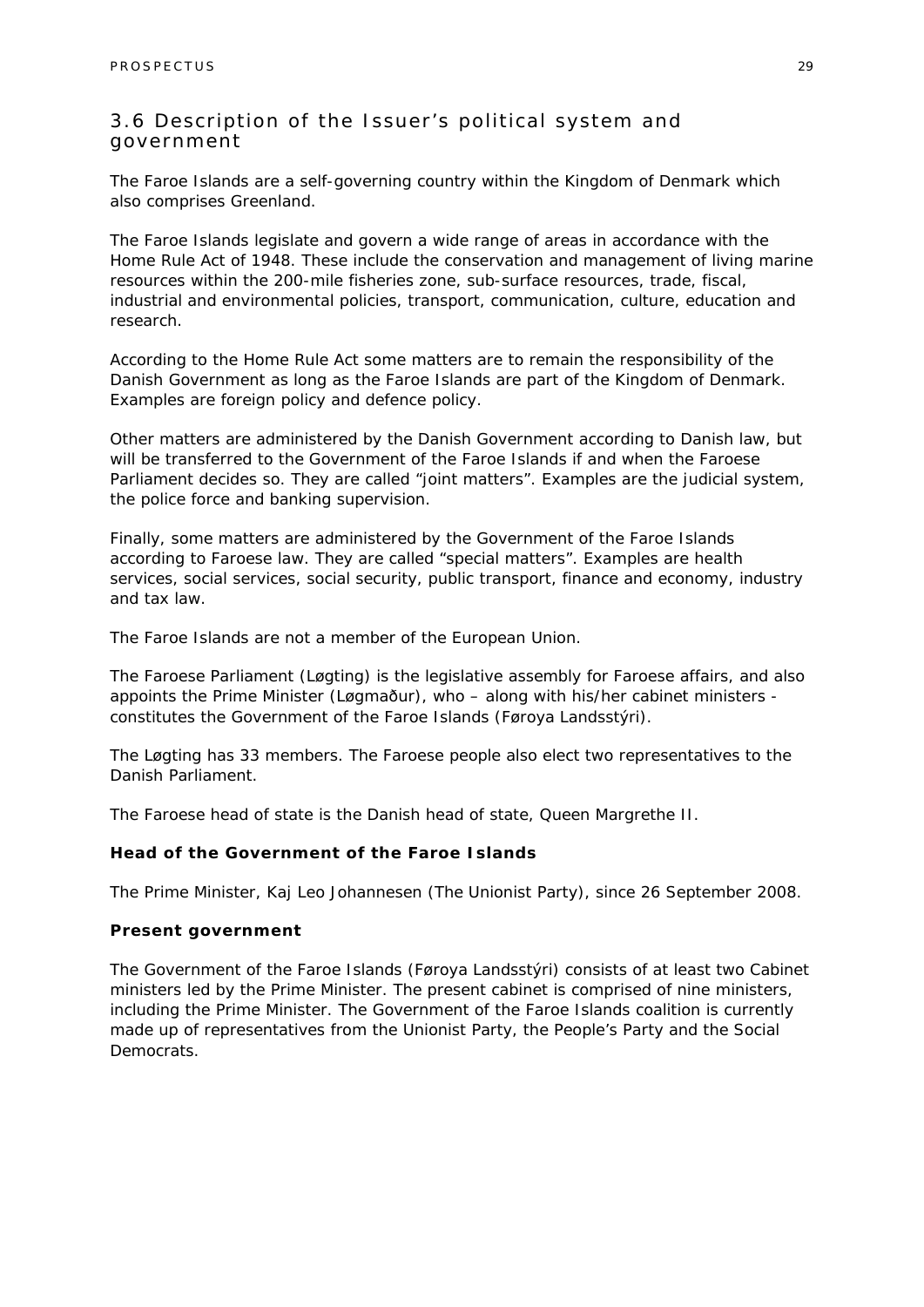### 3.6 Description of the Issuer's political system and government

The Faroe Islands are a self-governing country within the Kingdom of Denmark which also comprises Greenland.

The Faroe Islands legislate and govern a wide range of areas in accordance with the Home Rule Act of 1948. These include the conservation and management of living marine resources within the 200-mile fisheries zone, sub-surface resources, trade, fiscal, industrial and environmental policies, transport, communication, culture, education and research.

According to the Home Rule Act some matters are to remain the responsibility of the Danish Government as long as the Faroe Islands are part of the Kingdom of Denmark. Examples are foreign policy and defence policy.

Other matters are administered by the Danish Government according to Danish law, but will be transferred to the Government of the Faroe Islands if and when the Faroese Parliament decides so. They are called "joint matters". Examples are the judicial system, the police force and banking supervision.

Finally, some matters are administered by the Government of the Faroe Islands according to Faroese law. They are called "special matters". Examples are health services, social services, social security, public transport, finance and economy, industry and tax law.

The Faroe Islands are not a member of the European Union.

The Faroese Parliament (Løgting) is the legislative assembly for Faroese affairs, and also appoints the Prime Minister (Løgmaður), who – along with his/her cabinet ministers constitutes the Government of the Faroe Islands (Føroya Landsstýri).

The Løgting has 33 members. The Faroese people also elect two representatives to the Danish Parliament.

The Faroese head of state is the Danish head of state, Queen Margrethe II.

#### *Head of the Government of the Faroe Islands*

The Prime Minister, Kaj Leo Johannesen (The Unionist Party), since 26 September 2008.

#### *Present government*

The Government of the Faroe Islands (Føroya Landsstýri) consists of at least two Cabinet ministers led by the Prime Minister. The present cabinet is comprised of nine ministers, including the Prime Minister. The Government of the Faroe Islands coalition is currently made up of representatives from the Unionist Party, the People's Party and the Social Democrats.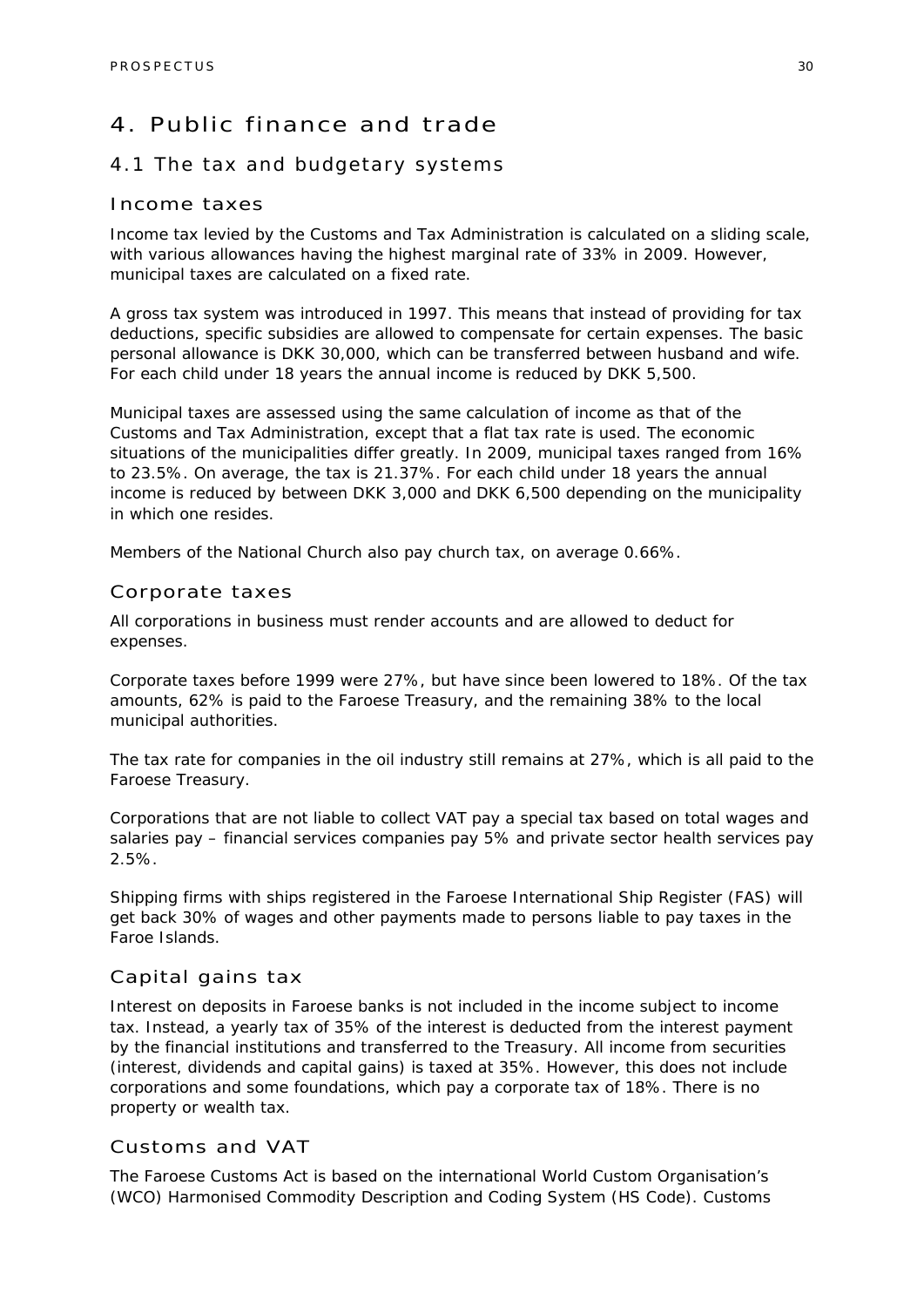### 4. Public finance and trade

### 4.1 The tax and budgetary systems

### Income taxes

Income tax levied by the Customs and Tax Administration is calculated on a sliding scale, with various allowances having the highest marginal rate of 33% in 2009. However, municipal taxes are calculated on a fixed rate.

A gross tax system was introduced in 1997. This means that instead of providing for tax deductions, specific subsidies are allowed to compensate for certain expenses. The basic personal allowance is DKK 30,000, which can be transferred between husband and wife. For each child under 18 years the annual income is reduced by DKK 5,500.

Municipal taxes are assessed using the same calculation of income as that of the Customs and Tax Administration, except that a flat tax rate is used. The economic situations of the municipalities differ greatly. In 2009, municipal taxes ranged from 16% to 23.5%. On average, the tax is 21.37%. For each child under 18 years the annual income is reduced by between DKK 3,000 and DKK 6,500 depending on the municipality in which one resides.

Members of the National Church also pay church tax, on average 0.66%.

#### Corporate taxes

All corporations in business must render accounts and are allowed to deduct for expenses.

Corporate taxes before 1999 were 27%, but have since been lowered to 18%. Of the tax amounts, 62% is paid to the Faroese Treasury, and the remaining 38% to the local municipal authorities.

The tax rate for companies in the oil industry still remains at 27%, which is all paid to the Faroese Treasury.

Corporations that are not liable to collect VAT pay a special tax based on total wages and salaries pay – financial services companies pay 5% and private sector health services pay 2.5%.

Shipping firms with ships registered in the Faroese International Ship Register (FAS) will get back 30% of wages and other payments made to persons liable to pay taxes in the Faroe Islands.

### Capital gains tax

Interest on deposits in Faroese banks is not included in the income subject to income tax. Instead, a yearly tax of 35% of the interest is deducted from the interest payment by the financial institutions and transferred to the Treasury. All income from securities (interest, dividends and capital gains) is taxed at 35%. However, this does not include corporations and some foundations, which pay a corporate tax of 18%. There is no property or wealth tax.

### Customs and VAT

The Faroese Customs Act is based on the international World Custom Organisation's (WCO) Harmonised Commodity Description and Coding System (HS Code). Customs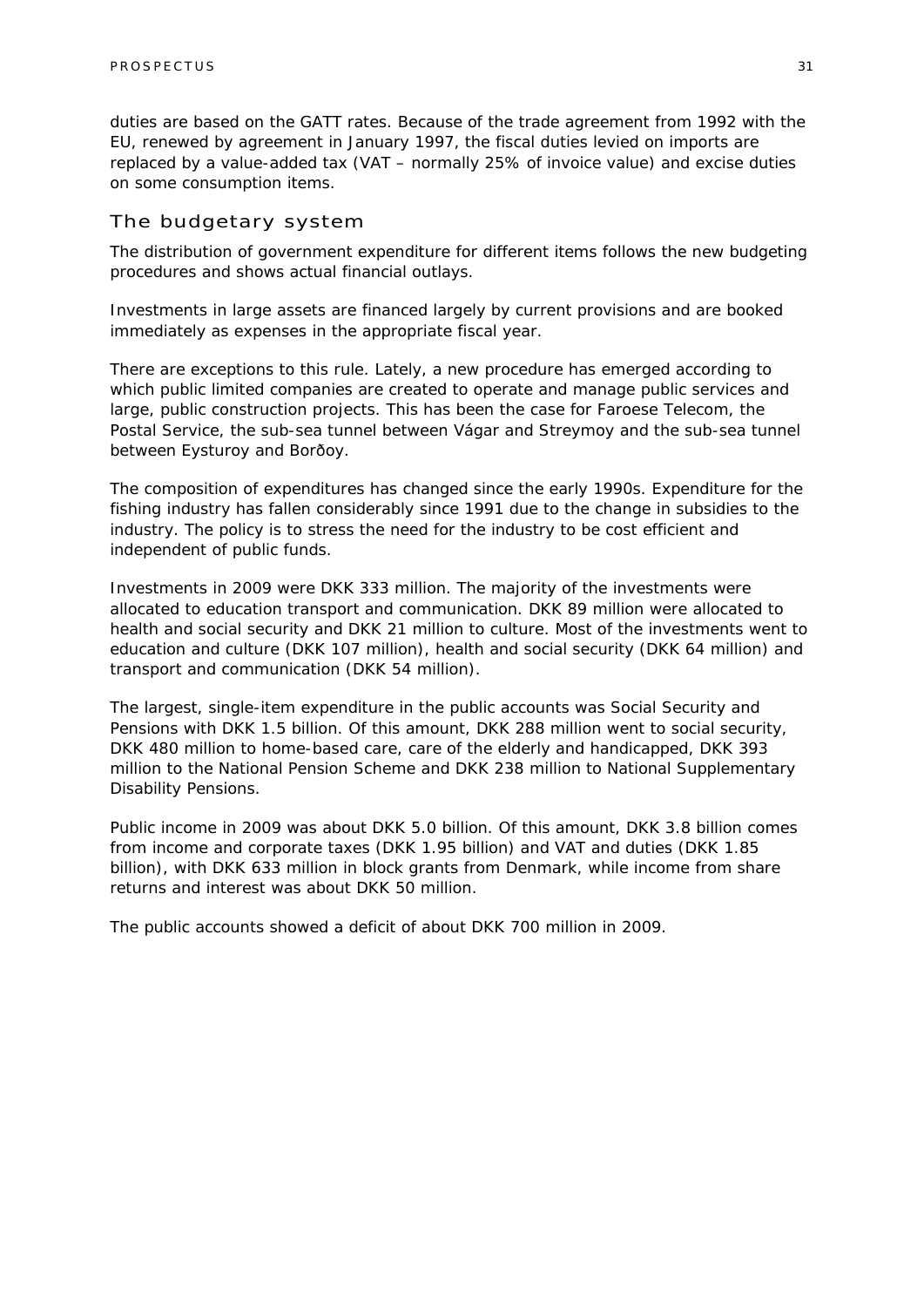duties are based on the GATT rates. Because of the trade agreement from 1992 with the EU, renewed by agreement in January 1997, the fiscal duties levied on imports are replaced by a value-added tax (VAT – normally 25% of invoice value) and excise duties on some consumption items.

### The budgetary system

The distribution of government expenditure for different items follows the new budgeting procedures and shows actual financial outlays.

Investments in large assets are financed largely by current provisions and are booked immediately as expenses in the appropriate fiscal year.

There are exceptions to this rule. Lately, a new procedure has emerged according to which public limited companies are created to operate and manage public services and large, public construction projects. This has been the case for Faroese Telecom, the Postal Service, the sub-sea tunnel between Vágar and Streymoy and the sub-sea tunnel between Eysturoy and Borðoy.

The composition of expenditures has changed since the early 1990s. Expenditure for the fishing industry has fallen considerably since 1991 due to the change in subsidies to the industry. The policy is to stress the need for the industry to be cost efficient and independent of public funds.

Investments in 2009 were DKK 333 million. The majority of the investments were allocated to education transport and communication. DKK 89 million were allocated to health and social security and DKK 21 million to culture. Most of the investments went to education and culture (DKK 107 million), health and social security (DKK 64 million) and transport and communication (DKK 54 million).

The largest, single-item expenditure in the public accounts was Social Security and Pensions with DKK 1.5 billion. Of this amount, DKK 288 million went to social security, DKK 480 million to home-based care, care of the elderly and handicapped, DKK 393 million to the National Pension Scheme and DKK 238 million to National Supplementary Disability Pensions.

Public income in 2009 was about DKK 5.0 billion. Of this amount, DKK 3.8 billion comes from income and corporate taxes (DKK 1.95 billion) and VAT and duties (DKK 1.85 billion), with DKK 633 million in block grants from Denmark, while income from share returns and interest was about DKK 50 million.

The public accounts showed a deficit of about DKK 700 million in 2009.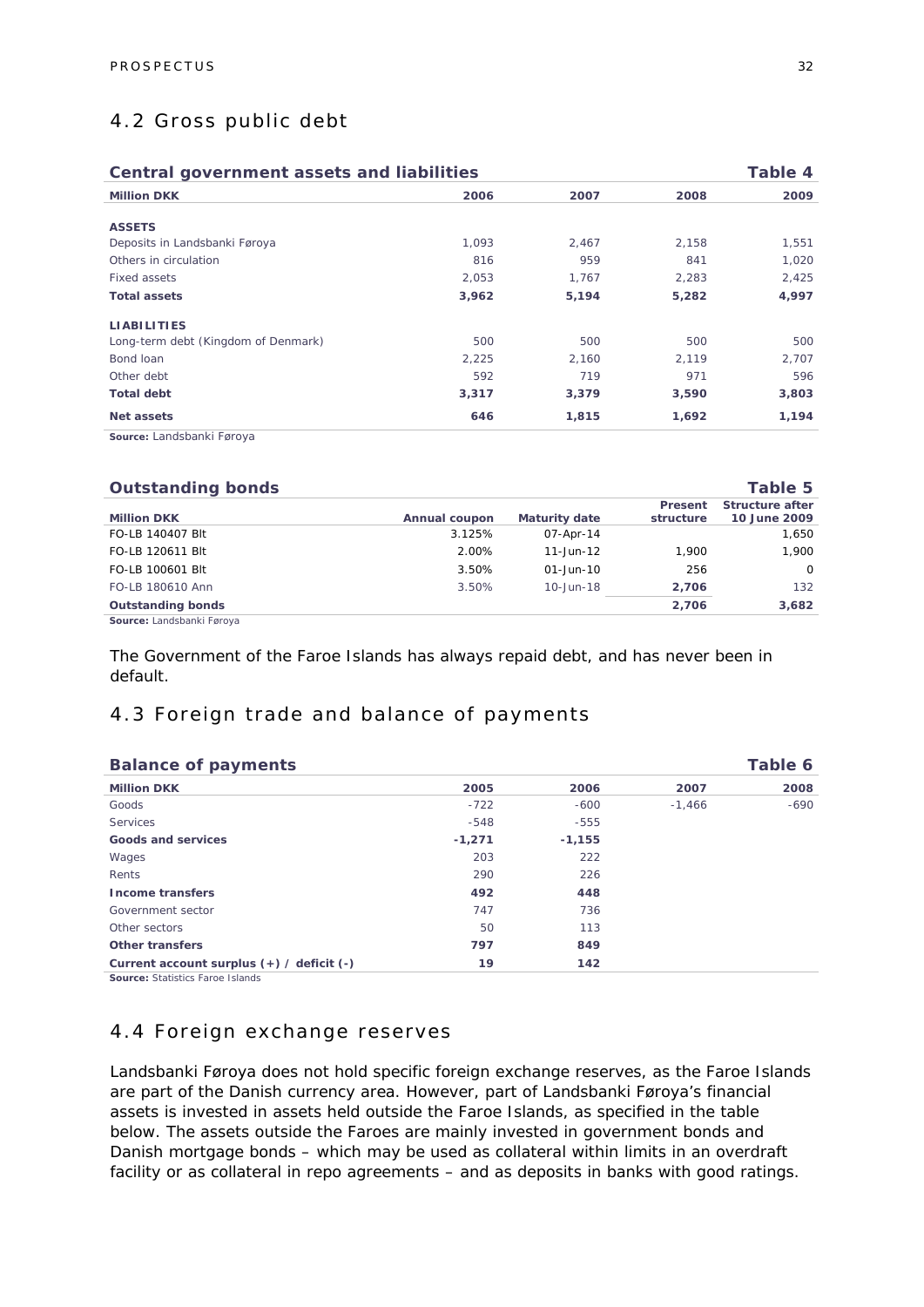### 4.2 Gross public debt

| <b>Central government assets and liabilities</b> |                                                   |       | Table 4 |
|--------------------------------------------------|---------------------------------------------------|-------|---------|
|                                                  | 2007                                              | 2008  | 2009    |
|                                                  |                                                   |       |         |
|                                                  | 2,467                                             | 2,158 | 1,551   |
| 816                                              | 959                                               | 841   | 1,020   |
|                                                  | 1,767                                             | 2,283 | 2,425   |
|                                                  | 5,194                                             | 5,282 | 4,997   |
|                                                  |                                                   |       |         |
| 500                                              | 500                                               | 500   | 500     |
|                                                  | 2,160                                             | 2,119 | 2,707   |
| 592                                              | 719                                               | 971   | 596     |
|                                                  | 3,379                                             | 3,590 | 3,803   |
| 646                                              | 1,815                                             | 1,692 | 1,194   |
|                                                  | 2006<br>1,093<br>2,053<br>3,962<br>2,225<br>3,317 |       |         |

**Source:** Landsbanki Føroya

| <b>Outstanding bonds</b>  |               |                      |                      | Table 5                                |
|---------------------------|---------------|----------------------|----------------------|----------------------------------------|
| <b>Million DKK</b>        | Annual coupon | <b>Maturity date</b> | Present<br>structure | <b>Structure after</b><br>10 June 2009 |
| FO-LB 140407 Blt          | 3.125%        | 07-Apr-14            |                      | 1,650                                  |
| FO-LB 120611 Blt          | 2.00%         | 11-Jun-12            | 1.900                | 1.900                                  |
| FO-LB 100601 Blt          | 3.50%         | $01 - Jun - 10$      | 256                  | $\Omega$                               |
| FO-LB 180610 Ann          | 3.50%         | 10-Jun-18            | 2,706                | 132                                    |
| <b>Outstanding bonds</b>  |               |                      | 2,706                | 3,682                                  |
| Source: Landsbanki Føroya |               |                      |                      |                                        |

The Government of the Faroe Islands has always repaid debt, and has never been in default.

### 4.3 Foreign trade and balance of payments

| <b>Balance of payments</b>                    |          |          |          | Table 6 |
|-----------------------------------------------|----------|----------|----------|---------|
| <b>Million DKK</b>                            | 2005     | 2006     | 2007     | 2008    |
| Goods                                         | $-722$   | $-600$   | $-1,466$ | $-690$  |
| <b>Services</b>                               | $-548$   | $-555$   |          |         |
| Goods and services                            | $-1,271$ | $-1,155$ |          |         |
| Wages                                         | 203      | 222      |          |         |
| Rents                                         | 290      | 226      |          |         |
| <b>Income transfers</b>                       | 492      | 448      |          |         |
| Government sector                             | 747      | 736      |          |         |
| Other sectors                                 | 50       | 113      |          |         |
| Other transfers                               | 797      | 849      |          |         |
| Current account surplus $(+)$ / deficit $(-)$ | 19       | 142      |          |         |

**Source: Statistics Faroe Islands** 

### 4.4 Foreign exchange reserves

Landsbanki Føroya does not hold specific foreign exchange reserves, as the Faroe Islands are part of the Danish currency area. However, part of Landsbanki Føroya's financial assets is invested in assets held outside the Faroe Islands, as specified in the table below. The assets outside the Faroes are mainly invested in government bonds and Danish mortgage bonds – which may be used as collateral within limits in an overdraft facility or as collateral in repo agreements – and as deposits in banks with good ratings.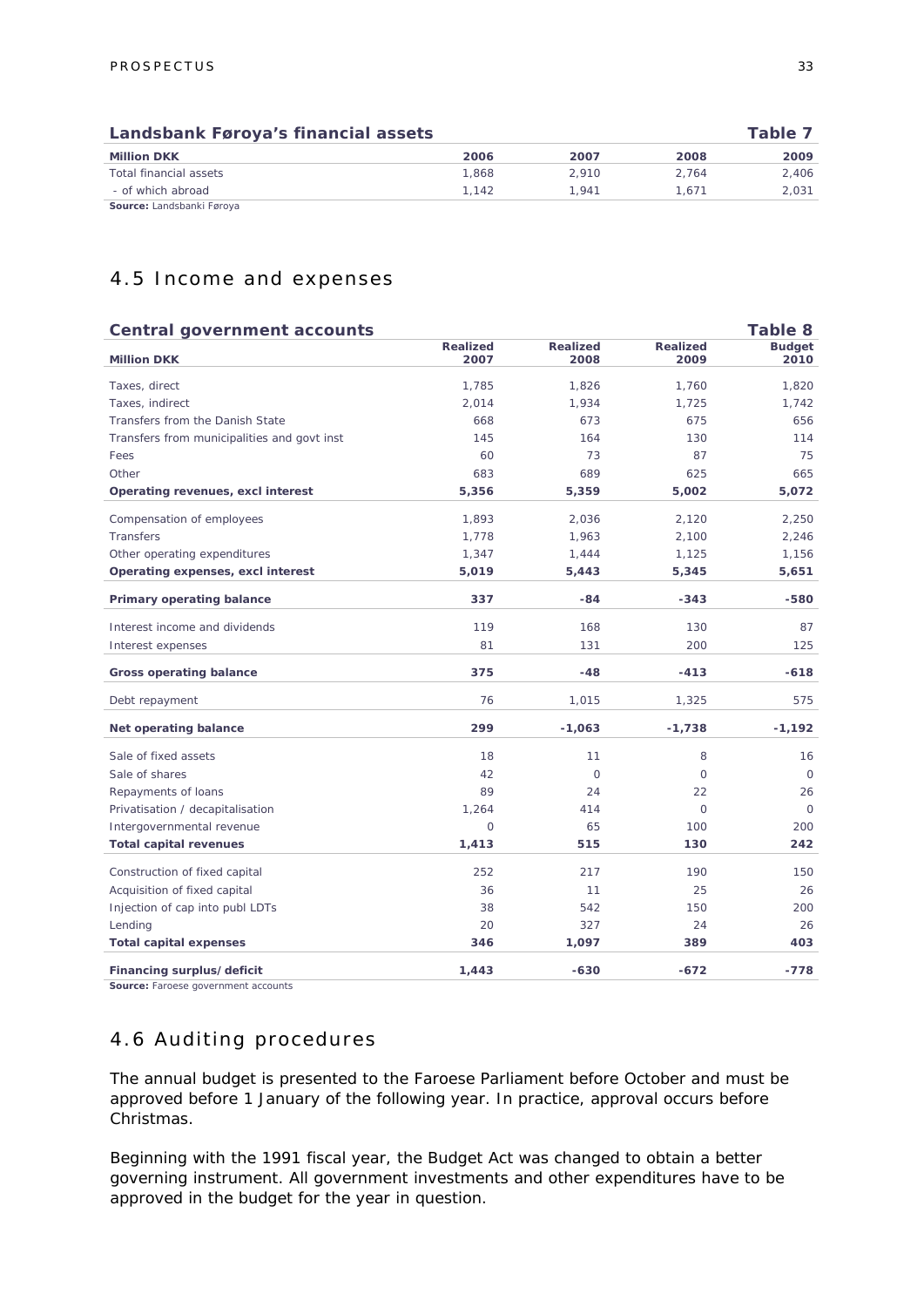| Landsbank Føroya's financial assets |       |       | Table 7 |       |
|-------------------------------------|-------|-------|---------|-------|
| <b>Million DKK</b>                  | 2006  | 2007  | 2008    | 2009  |
| Total financial assets              | 1.868 | 2.910 | 2.764   | 2.406 |
| - of which abroad                   | 1.142 | 1.941 | 1.671   | 2.031 |
| Source: Landsbanki Føroya           |       |       |         |       |

### 4.5 Income and expenses

#### **Central government accounts** Table 8

| <b>Million DKK</b>                          | <b>Realized</b><br>2007 | <b>Realized</b><br>2008 | <b>Realized</b><br>2009 | <b>Budget</b><br>2010 |
|---------------------------------------------|-------------------------|-------------------------|-------------------------|-----------------------|
| Taxes, direct                               | 1,785                   | 1,826                   | 1,760                   | 1,820                 |
| Taxes, indirect                             | 2,014                   | 1,934                   | 1,725                   | 1,742                 |
| Transfers from the Danish State             | 668                     | 673                     | 675                     | 656                   |
| Transfers from municipalities and govt inst | 145                     | 164                     | 130                     | 114                   |
| Fees                                        | 60                      | 73                      | 87                      | 75                    |
| Other                                       | 683                     | 689                     | 625                     | 665                   |
| Operating revenues, excl interest           | 5,356                   | 5,359                   | 5,002                   | 5,072                 |
| Compensation of employees                   | 1,893                   | 2,036                   | 2,120                   | 2,250                 |
| Transfers                                   | 1,778                   | 1,963                   | 2,100                   | 2,246                 |
| Other operating expenditures                | 1,347                   | 1,444                   | 1,125                   | 1,156                 |
| Operating expenses, excl interest           | 5,019                   | 5,443                   | 5,345                   | 5,651                 |
| Primary operating balance                   | 337                     | $-84$                   | $-343$                  | $-580$                |
| Interest income and dividends               | 119                     | 168                     | 130                     | 87                    |
| Interest expenses                           | 81                      | 131                     | 200                     | 125                   |
| <b>Gross operating balance</b>              | 375                     | $-48$                   | $-413$                  | $-618$                |
| Debt repayment                              | 76                      | 1,015                   | 1,325                   | 575                   |
| Net operating balance                       | 299                     | $-1,063$                | $-1,738$                | $-1,192$              |
| Sale of fixed assets                        | 18                      | 11                      | 8                       | 16                    |
| Sale of shares                              | 42                      | $\circ$                 | $\circ$                 | $\circ$               |
| Repayments of loans                         | 89                      | 24                      | 22                      | 26                    |
| Privatisation / decapitalisation            | 1,264                   | 414                     | $\circ$                 | $\Omega$              |
| Intergovernmental revenue                   | $\Omega$                | 65                      | 100                     | 200                   |
| <b>Total capital revenues</b>               | 1,413                   | 515                     | 130                     | 242                   |
| Construction of fixed capital               | 252                     | 217                     | 190                     | 150                   |
| Acquisition of fixed capital                | 36                      | 11                      | 25                      | 26                    |
| Injection of cap into publ LDTs             | 38                      | 542                     | 150                     | 200                   |
| Lending                                     | 20                      | 327                     | 24                      | 26                    |
| <b>Total capital expenses</b>               | 346                     | 1,097                   | 389                     | 403                   |
| Financing surplus/deficit                   | 1,443                   | $-630$                  | $-672$                  | $-778$                |

**Source:** Faroese government accounts

### 4.6 Auditing procedures

The annual budget is presented to the Faroese Parliament before October and must be approved before 1 January of the following year. In practice, approval occurs before Christmas.

Beginning with the 1991 fiscal year, the Budget Act was changed to obtain a better governing instrument. All government investments and other expenditures have to be approved in the budget for the year in question.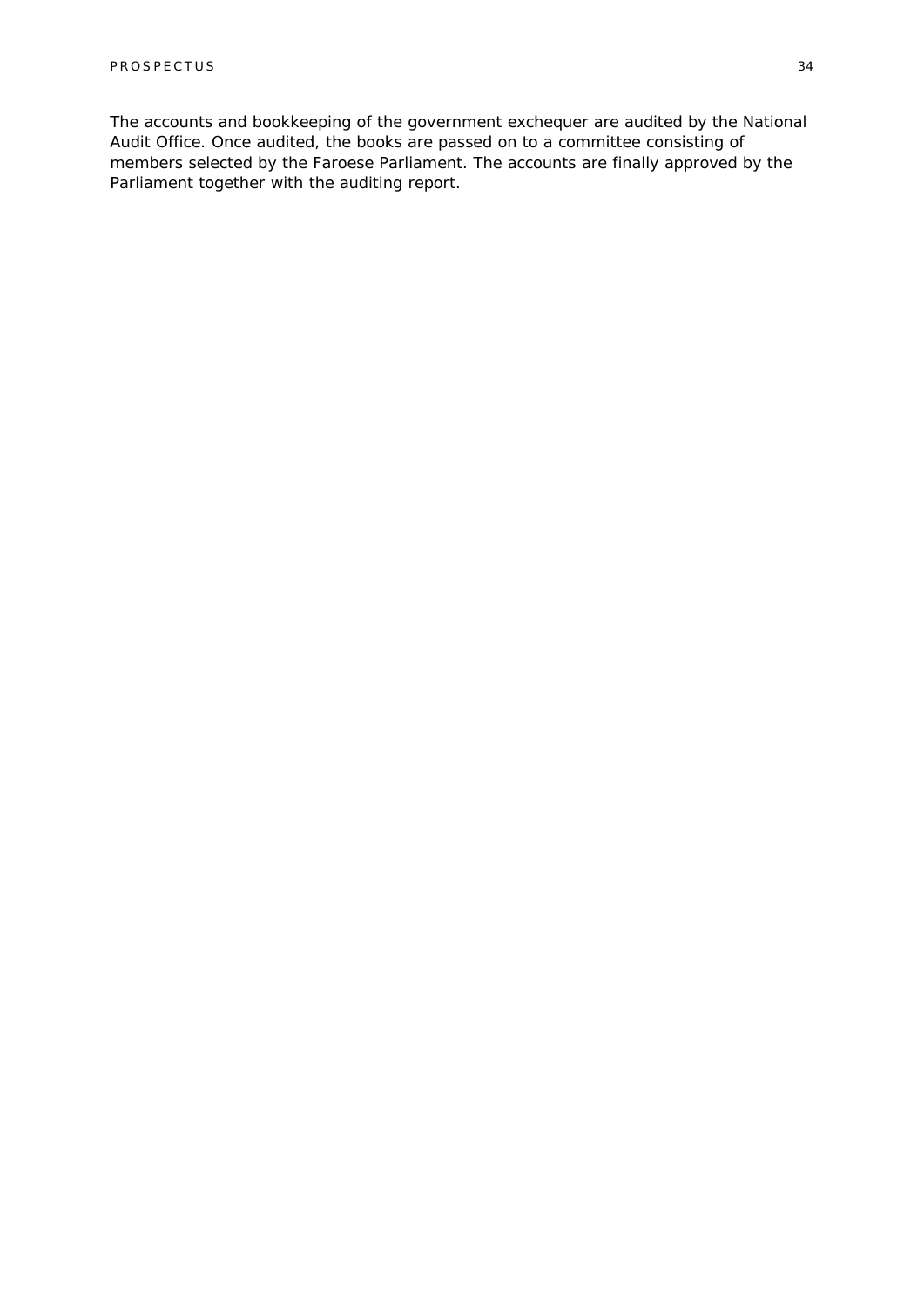The accounts and bookkeeping of the government exchequer are audited by the National Audit Office. Once audited, the books are passed on to a committee consisting of members selected by the Faroese Parliament. The accounts are finally approved by the Parliament together with the auditing report.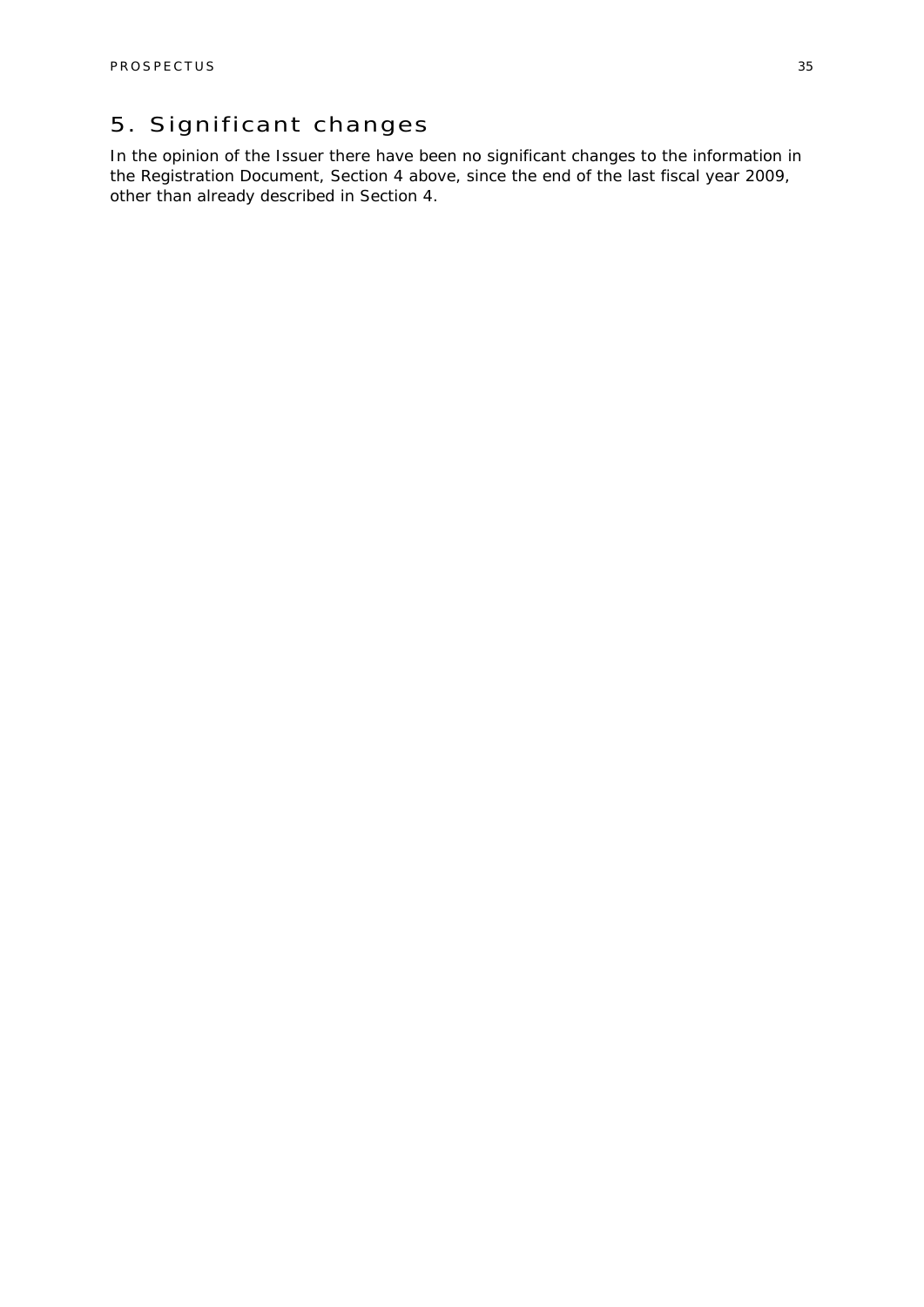### 5. Significant changes

In the opinion of the Issuer there have been no significant changes to the information in the Registration Document, Section 4 above, since the end of the last fiscal year 2009, other than already described in Section 4.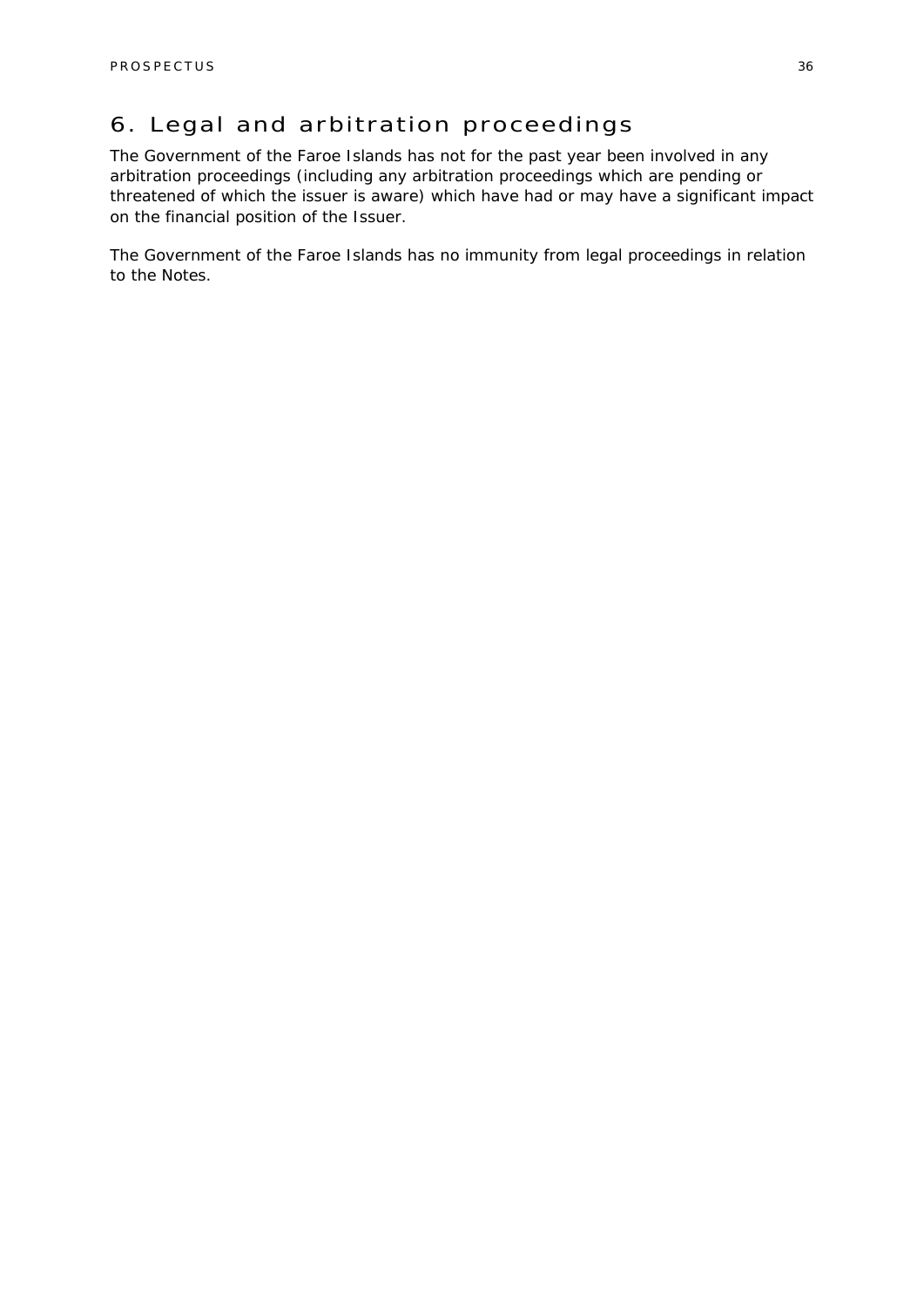### 6. Legal and arbitration proceedings

The Government of the Faroe Islands has not for the past year been involved in any arbitration proceedings (including any arbitration proceedings which are pending or threatened of which the issuer is aware) which have had or may have a significant impact on the financial position of the Issuer.

The Government of the Faroe Islands has no immunity from legal proceedings in relation to the Notes.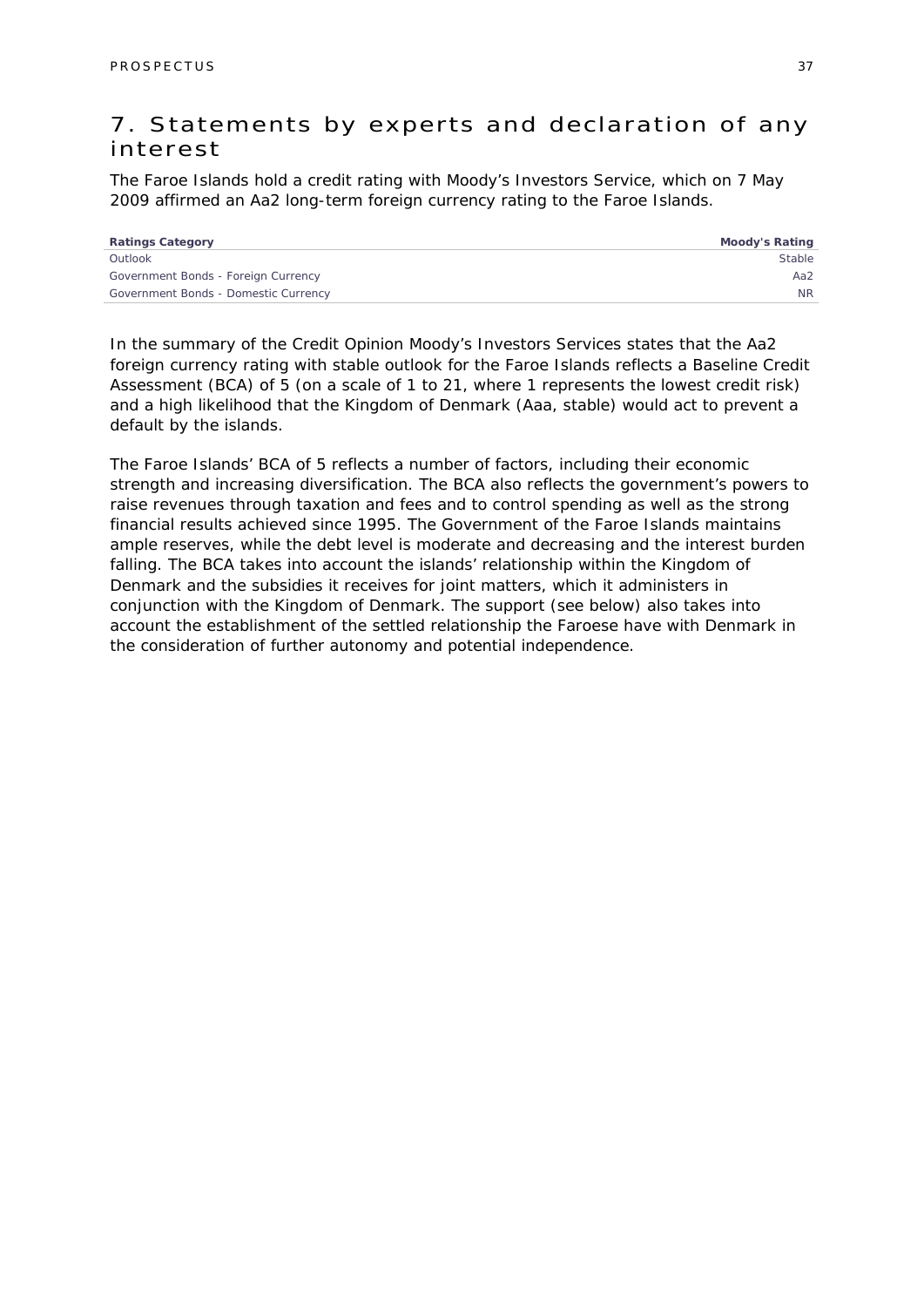### 7. Statements by experts and declaration of any interest

The Faroe Islands hold a credit rating with Moody's Investors Service, which on 7 May 2009 affirmed an Aa2 long-term foreign currency rating to the Faroe Islands.

| <b>Ratings Category</b>              | Moody's Rating |
|--------------------------------------|----------------|
| Outlook                              | Stable         |
| Government Bonds - Foreign Currency  | Aa2            |
| Government Bonds - Domestic Currency | N <sub>R</sub> |
|                                      |                |

In the summary of the Credit Opinion Moody's Investors Services states that the Aa2 foreign currency rating with stable outlook for the Faroe Islands reflects a Baseline Credit Assessment (BCA) of 5 (on a scale of 1 to 21, where 1 represents the lowest credit risk) and a high likelihood that the Kingdom of Denmark (Aaa, stable) would act to prevent a default by the islands.

The Faroe Islands' BCA of 5 reflects a number of factors, including their economic strength and increasing diversification. The BCA also reflects the government's powers to raise revenues through taxation and fees and to control spending as well as the strong financial results achieved since 1995. The Government of the Faroe Islands maintains ample reserves, while the debt level is moderate and decreasing and the interest burden falling. The BCA takes into account the islands' relationship within the Kingdom of Denmark and the subsidies it receives for joint matters, which it administers in conjunction with the Kingdom of Denmark. The support (see below) also takes into account the establishment of the settled relationship the Faroese have with Denmark in the consideration of further autonomy and potential independence.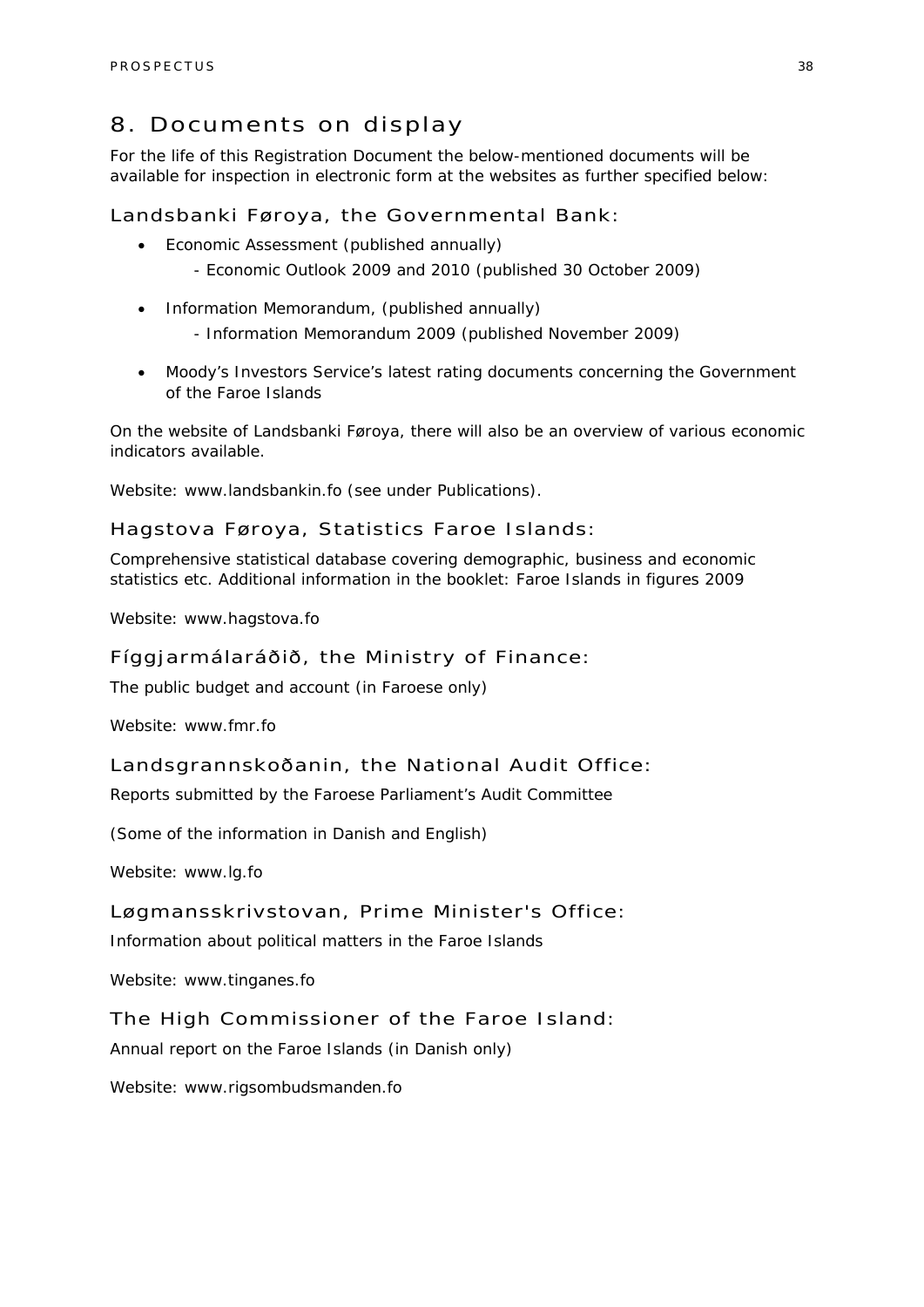### 8. Documents on display

For the life of this Registration Document the below-mentioned documents will be available for inspection in electronic form at the websites as further specified below:

Landsbanki Føroya, the Governmental Bank:

- Economic Assessment (published annually)
	- Economic Outlook 2009 and 2010 (published 30 October 2009)
- Information Memorandum, (published annually)
	- Information Memorandum 2009 (published November 2009)
- Moody's Investors Service's latest rating documents concerning the Government of the Faroe Islands

On the website of Landsbanki Føroya, there will also be an overview of various economic indicators available.

Website: www.landsbankin.fo (see under Publications).

### Hagstova Føroya, Statistics Faroe Islands:

Comprehensive statistical database covering demographic, business and economic statistics etc. Additional information in the booklet: Faroe Islands in figures 2009

Website: www.hagstova.fo

### Fíggjarmálaráðið, the Ministry of Finance:

The public budget and account (in Faroese only)

Website: www.fmr.fo

#### Landsgrannskoðanin, the National Audit Office:

Reports submitted by the Faroese Parliament's Audit Committee

(Some of the information in Danish and English)

Website: www.lg.fo

### Løgmansskrivstovan, Prime Minister's Office:

Information about political matters in the Faroe Islands

Website: www.tinganes.fo

### The High Commissioner of the Faroe Island:

Annual report on the Faroe Islands (in Danish only)

Website: www.rigsombudsmanden.fo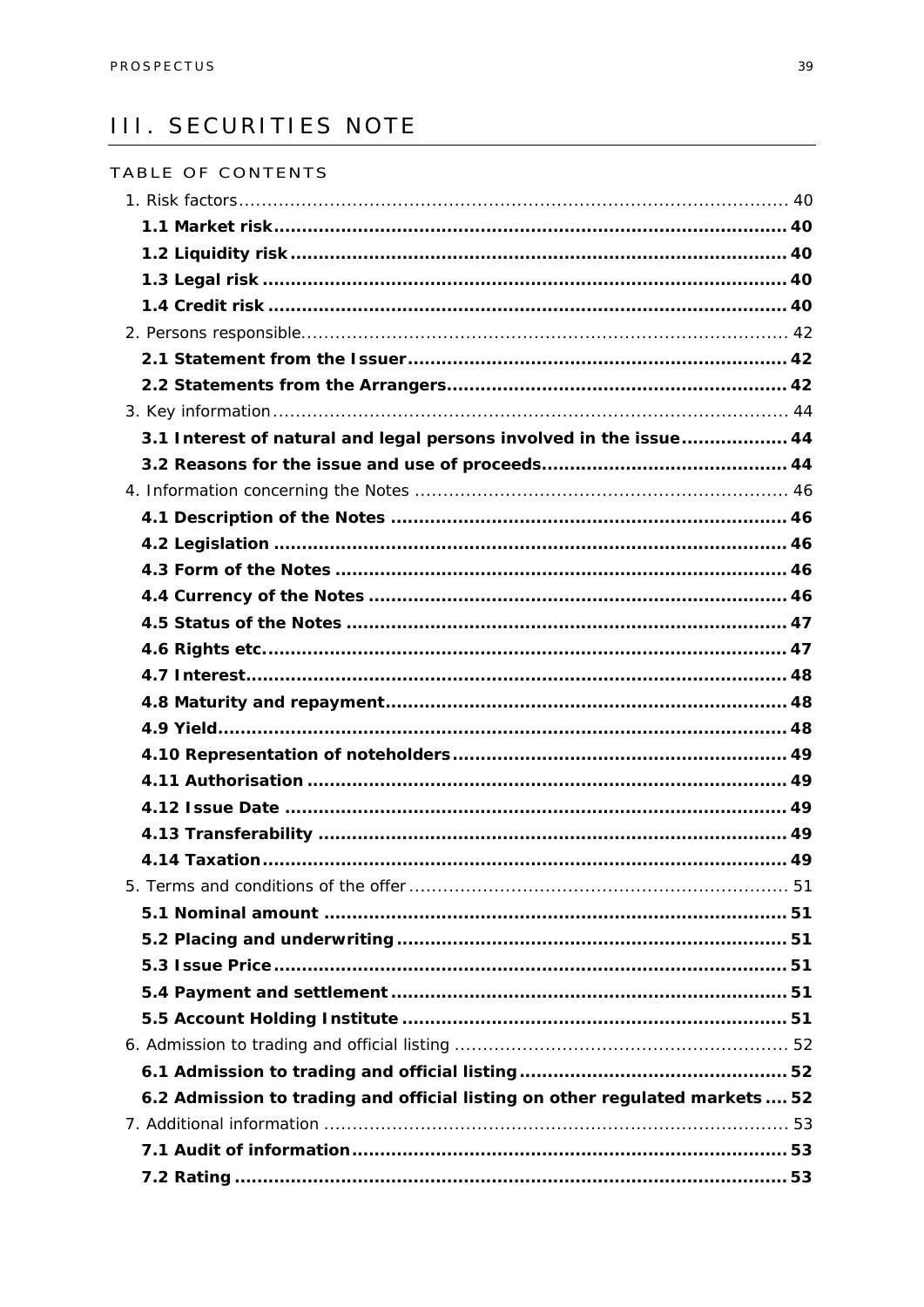### **III. SECURITIES NOTE**

| TABLE OF CONTENTS                                                            |  |
|------------------------------------------------------------------------------|--|
|                                                                              |  |
|                                                                              |  |
|                                                                              |  |
|                                                                              |  |
|                                                                              |  |
|                                                                              |  |
|                                                                              |  |
|                                                                              |  |
|                                                                              |  |
| 3.1 Interest of natural and legal persons involved in the issue 44           |  |
|                                                                              |  |
|                                                                              |  |
|                                                                              |  |
|                                                                              |  |
|                                                                              |  |
|                                                                              |  |
|                                                                              |  |
|                                                                              |  |
|                                                                              |  |
|                                                                              |  |
|                                                                              |  |
|                                                                              |  |
|                                                                              |  |
|                                                                              |  |
|                                                                              |  |
|                                                                              |  |
|                                                                              |  |
|                                                                              |  |
|                                                                              |  |
|                                                                              |  |
|                                                                              |  |
|                                                                              |  |
|                                                                              |  |
|                                                                              |  |
| 6.2 Admission to trading and official listing on other regulated markets  52 |  |
|                                                                              |  |
|                                                                              |  |
|                                                                              |  |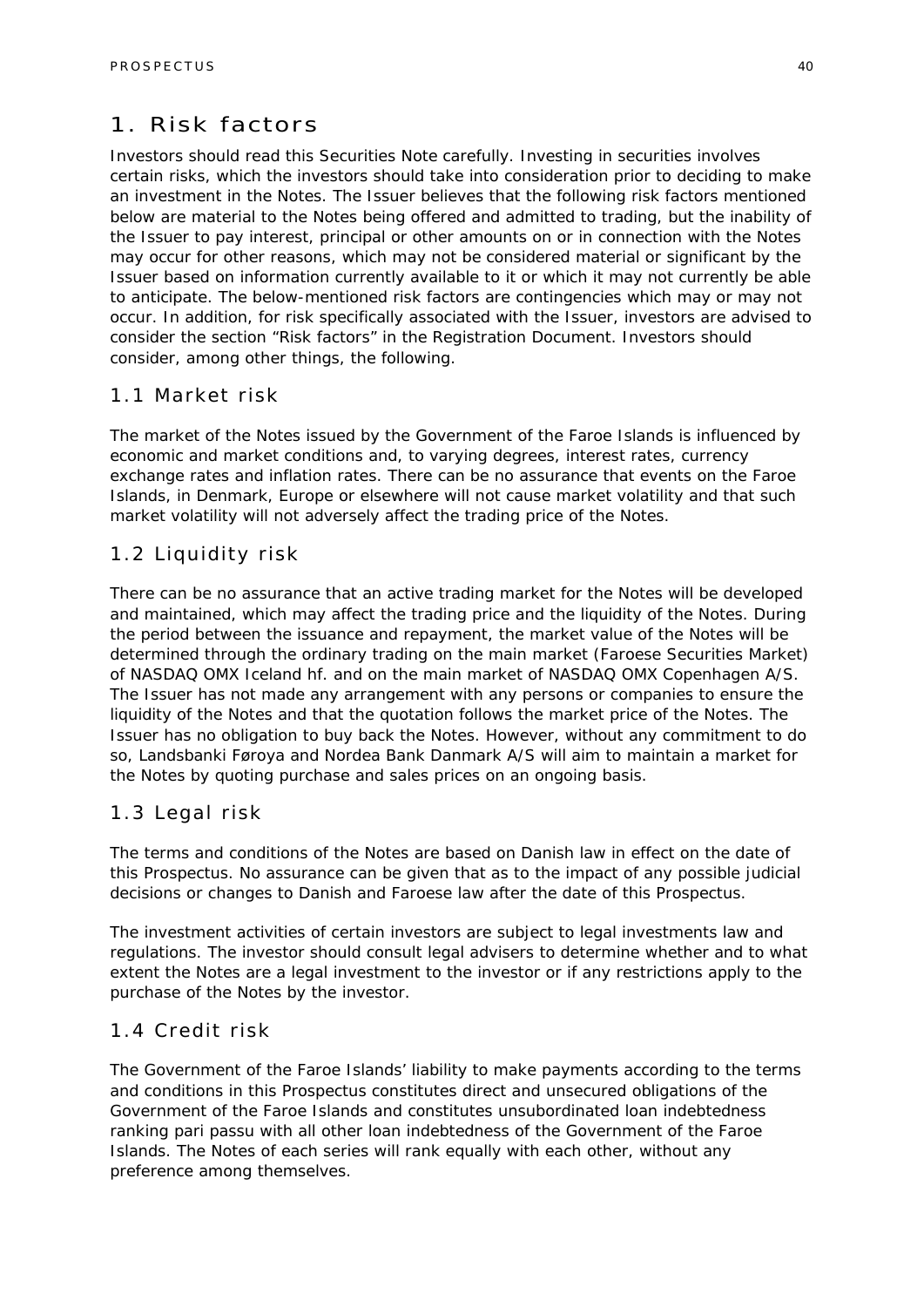### 1. Risk factors

Investors should read this Securities Note carefully. Investing in securities involves certain risks, which the investors should take into consideration prior to deciding to make an investment in the Notes. The Issuer believes that the following risk factors mentioned below are material to the Notes being offered and admitted to trading, but the inability of the Issuer to pay interest, principal or other amounts on or in connection with the Notes may occur for other reasons, which may not be considered material or significant by the Issuer based on information currently available to it or which it may not currently be able to anticipate. The below-mentioned risk factors are contingencies which may or may not occur. In addition, for risk specifically associated with the Issuer, investors are advised to consider the section "Risk factors" in the Registration Document. Investors should consider, among other things, the following.

### 1.1 Market risk

The market of the Notes issued by the Government of the Faroe Islands is influenced by economic and market conditions and, to varying degrees, interest rates, currency exchange rates and inflation rates. There can be no assurance that events on the Faroe Islands, in Denmark, Europe or elsewhere will not cause market volatility and that such market volatility will not adversely affect the trading price of the Notes.

### 1.2 Liquidity risk

There can be no assurance that an active trading market for the Notes will be developed and maintained, which may affect the trading price and the liquidity of the Notes. During the period between the issuance and repayment, the market value of the Notes will be determined through the ordinary trading on the main market (Faroese Securities Market) of NASDAQ OMX Iceland hf. and on the main market of NASDAQ OMX Copenhagen A/S. The Issuer has not made any arrangement with any persons or companies to ensure the liquidity of the Notes and that the quotation follows the market price of the Notes. The Issuer has no obligation to buy back the Notes. However, without any commitment to do so, Landsbanki Føroya and Nordea Bank Danmark A/S will aim to maintain a market for the Notes by quoting purchase and sales prices on an ongoing basis.

### 1.3 Legal risk

The terms and conditions of the Notes are based on Danish law in effect on the date of this Prospectus. No assurance can be given that as to the impact of any possible judicial decisions or changes to Danish and Faroese law after the date of this Prospectus.

The investment activities of certain investors are subject to legal investments law and regulations. The investor should consult legal advisers to determine whether and to what extent the Notes are a legal investment to the investor or if any restrictions apply to the purchase of the Notes by the investor.

### 1.4 Credit risk

The Government of the Faroe Islands' liability to make payments according to the terms and conditions in this Prospectus constitutes direct and unsecured obligations of the Government of the Faroe Islands and constitutes unsubordinated loan indebtedness ranking pari passu with all other loan indebtedness of the Government of the Faroe Islands. The Notes of each series will rank equally with each other, without any preference among themselves.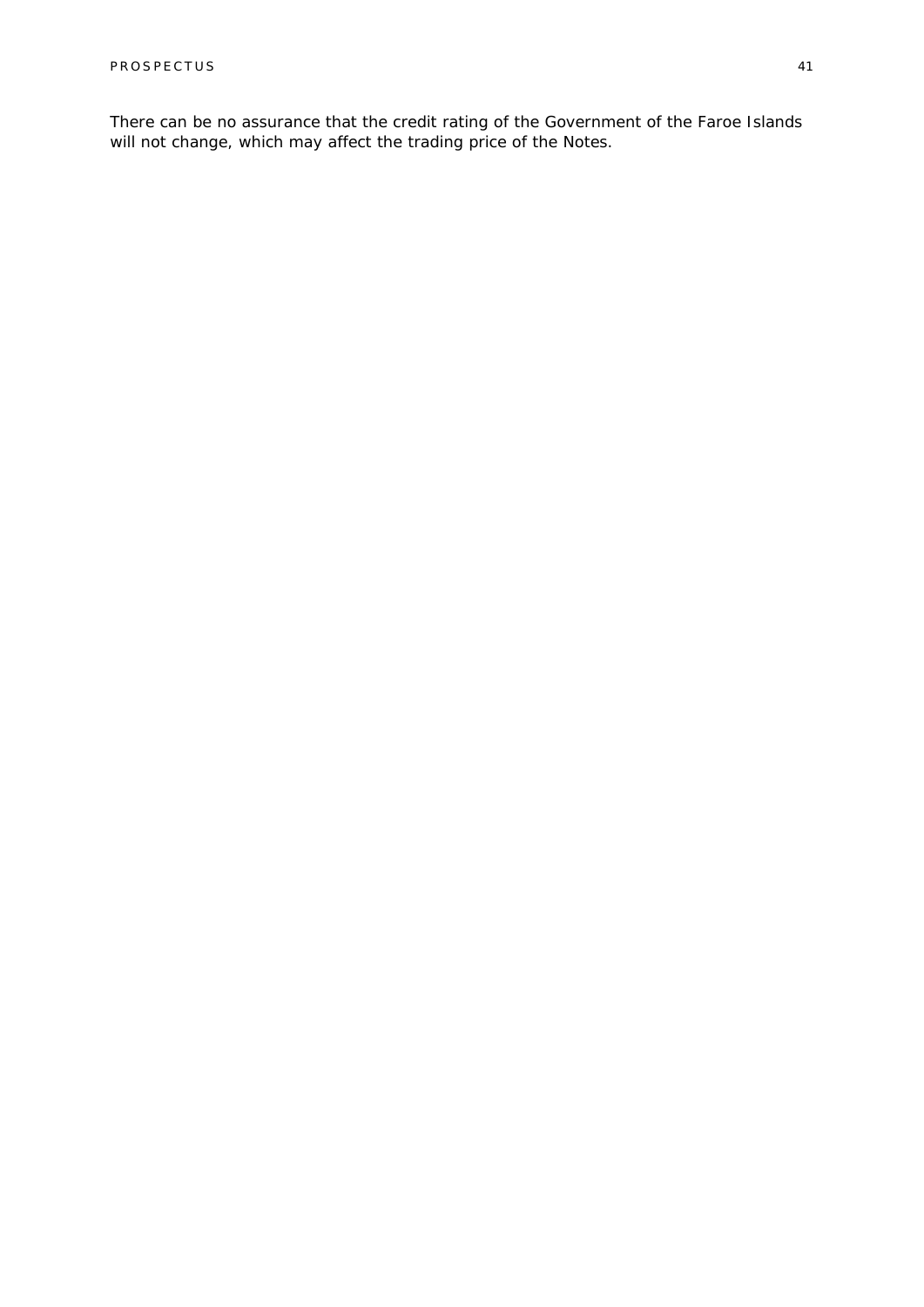There can be no assurance that the credit rating of the Government of the Faroe Islands will not change, which may affect the trading price of the Notes.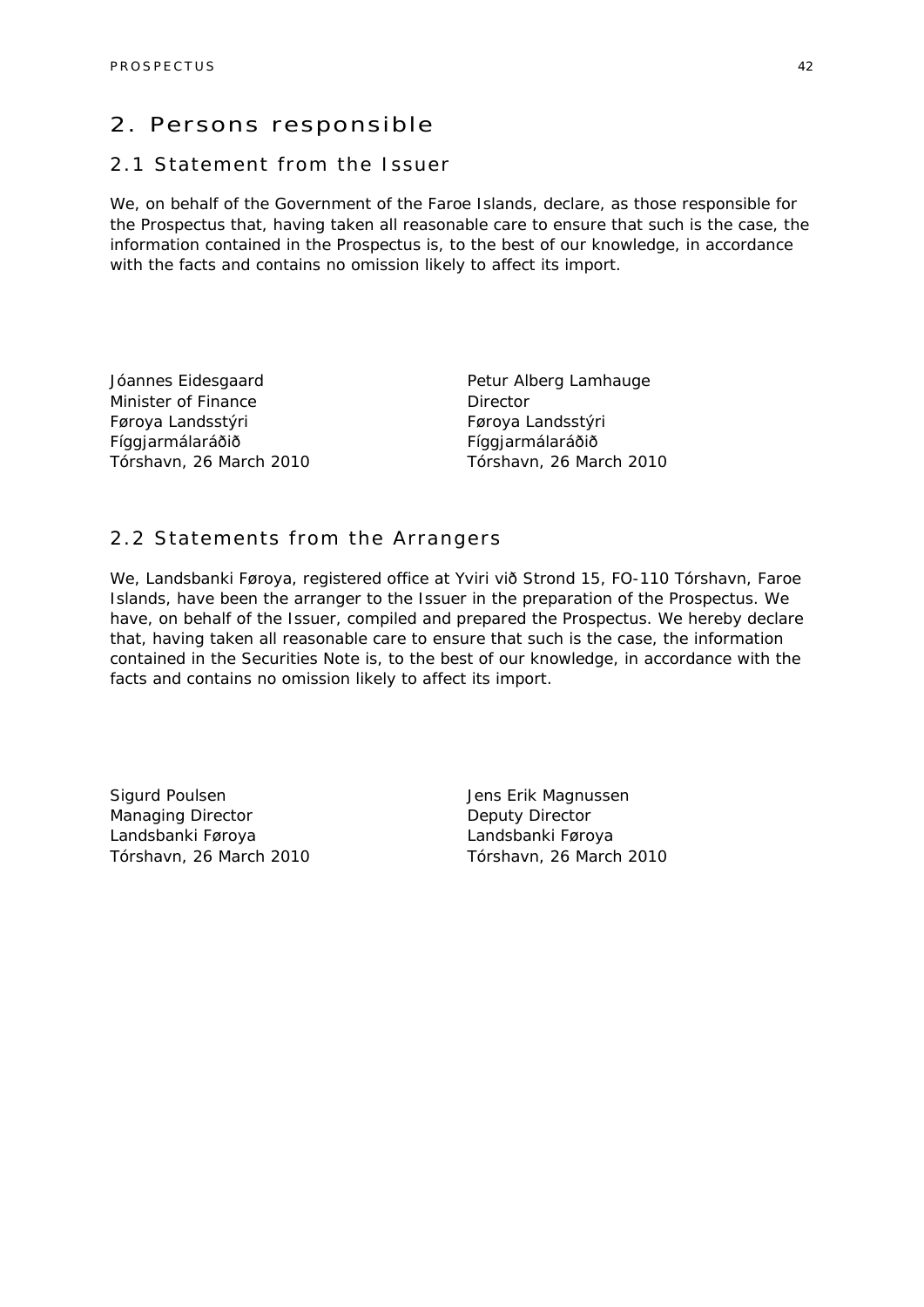### 2. Persons responsible

### 2.1 Statement from the Issuer

We, on behalf of the Government of the Faroe Islands, declare, as those responsible for the Prospectus that, having taken all reasonable care to ensure that such is the case, the information contained in the Prospectus is, to the best of our knowledge, in accordance with the facts and contains no omission likely to affect its import.

Jóannes Eidesgaard Minister of Finance Føroya Landsstýri Fíggjarmálaráðið Tórshavn, 26 March 2010 Petur Alberg Lamhauge **Director** Føroya Landsstýri Fíggjarmálaráðið Tórshavn, 26 March 2010

### 2.2 Statements from the Arrangers

We, Landsbanki Føroya, registered office at Yviri við Strond 15, FO-110 Tórshavn, Faroe Islands, have been the arranger to the Issuer in the preparation of the Prospectus. We have, on behalf of the Issuer, compiled and prepared the Prospectus. We hereby declare that, having taken all reasonable care to ensure that such is the case, the information contained in the Securities Note is, to the best of our knowledge, in accordance with the facts and contains no omission likely to affect its import.

Sigurd Poulsen Managing Director Landsbanki Føroya Tórshavn, 26 March 2010

Jens Erik Magnussen Deputy Director Landsbanki Føroya Tórshavn, 26 March 2010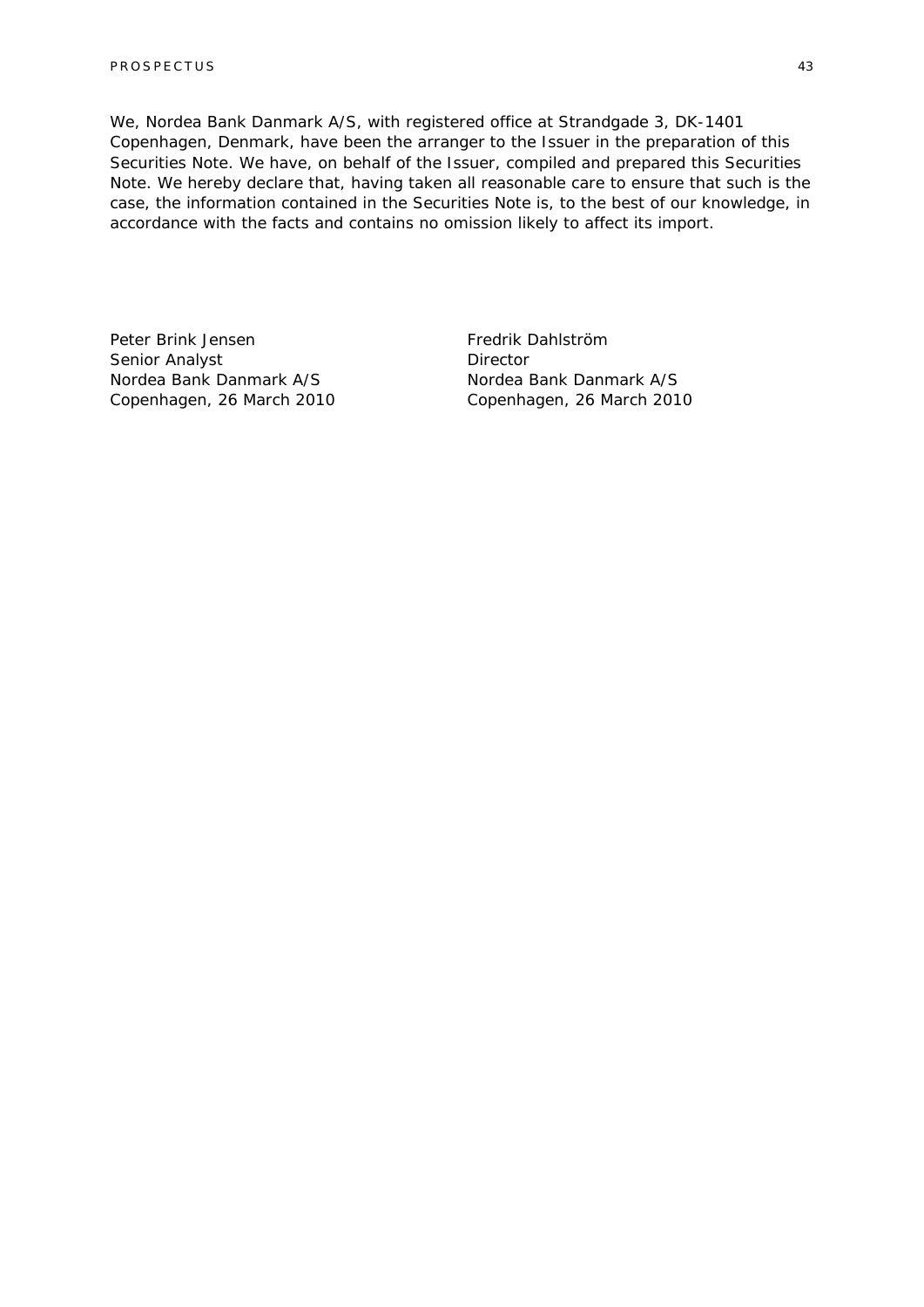We, Nordea Bank Danmark A/S, with registered office at Strandgade 3, DK-1401 Copenhagen, Denmark, have been the arranger to the Issuer in the preparation of this Securities Note. We have, on behalf of the Issuer, compiled and prepared this Securities Note. We hereby declare that, having taken all reasonable care to ensure that such is the case, the information contained in the Securities Note is, to the best of our knowledge, in accordance with the facts and contains no omission likely to affect its import.

Peter Brink Jensen Senior Analyst Nordea Bank Danmark A/S Copenhagen, 26 March 2010

Fredrik Dahlström **Director** Nordea Bank Danmark A/S Copenhagen, 26 March 2010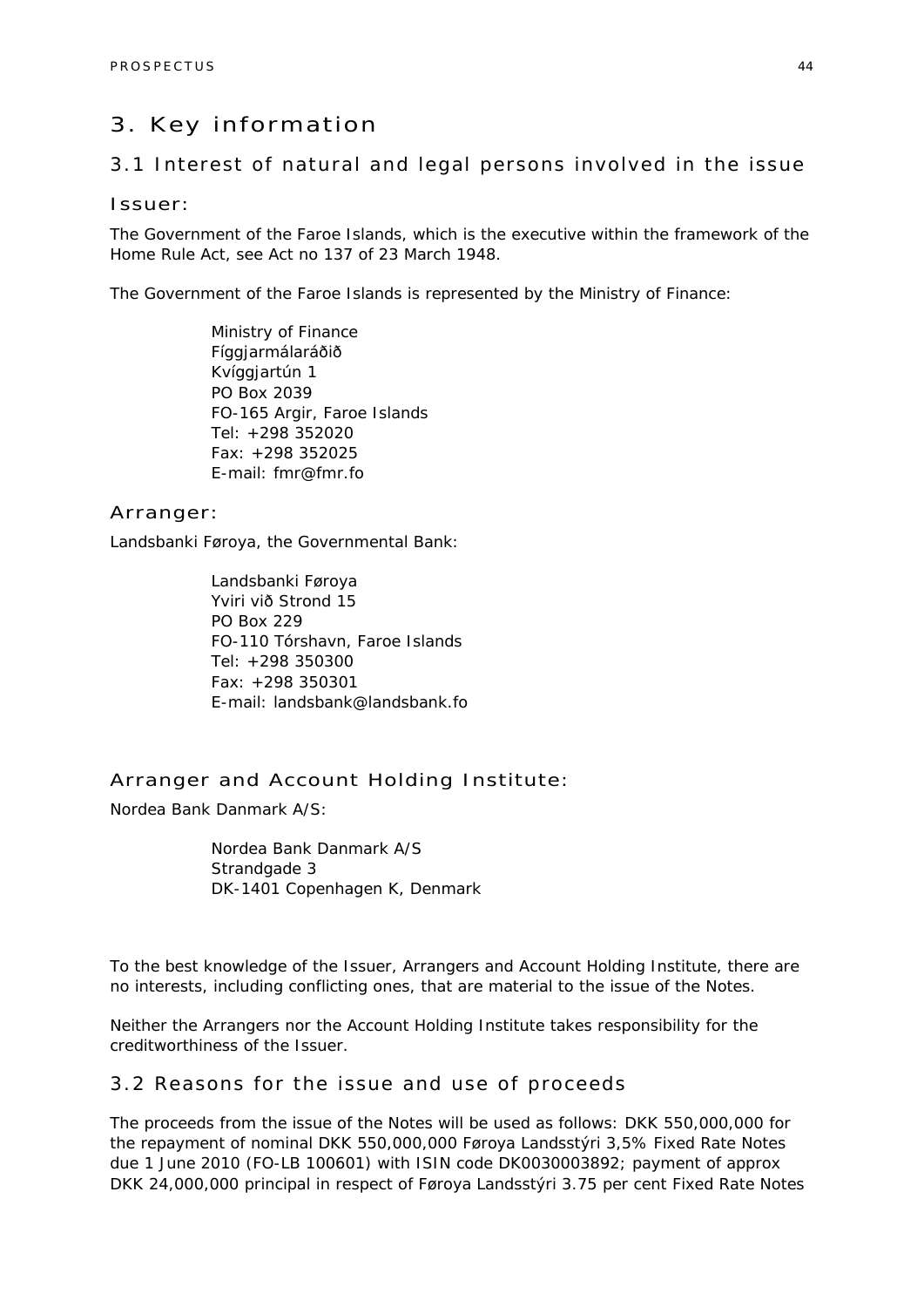### 3. Key information

### 3.1 Interest of natural and legal persons involved in the issue

#### Issuer:

The Government of the Faroe Islands, which is the executive within the framework of the Home Rule Act, see Act no 137 of 23 March 1948.

The Government of the Faroe Islands is represented by the Ministry of Finance:

Ministry of Finance Fíggjarmálaráðið Kvíggjartún 1 PO Box 2039 FO-165 Argir, Faroe Islands Tel: +298 352020 Fax: +298 352025 E-mail: fmr@fmr.fo

### Arranger:

Landsbanki Føroya, the Governmental Bank:

Landsbanki Føroya Yviri við Strond 15 PO Box 229 FO-110 Tórshavn, Faroe Islands Tel: +298 350300 Fax: +298 350301 E-mail: landsbank@landsbank.fo

### Arranger and Account Holding Institute:

Nordea Bank Danmark A/S:

Nordea Bank Danmark A/S Strandgade 3 DK-1401 Copenhagen K, Denmark

To the best knowledge of the Issuer, Arrangers and Account Holding Institute, there are no interests, including conflicting ones, that are material to the issue of the Notes.

Neither the Arrangers nor the Account Holding Institute takes responsibility for the creditworthiness of the Issuer.

### 3.2 Reasons for the issue and use of proceeds

The proceeds from the issue of the Notes will be used as follows: DKK 550,000,000 for the repayment of nominal DKK 550,000,000 Føroya Landsstýri 3,5% Fixed Rate Notes due 1 June 2010 (FO-LB 100601) with ISIN code DK0030003892; payment of approx DKK 24,000,000 principal in respect of Føroya Landsstýri 3.75 per cent Fixed Rate Notes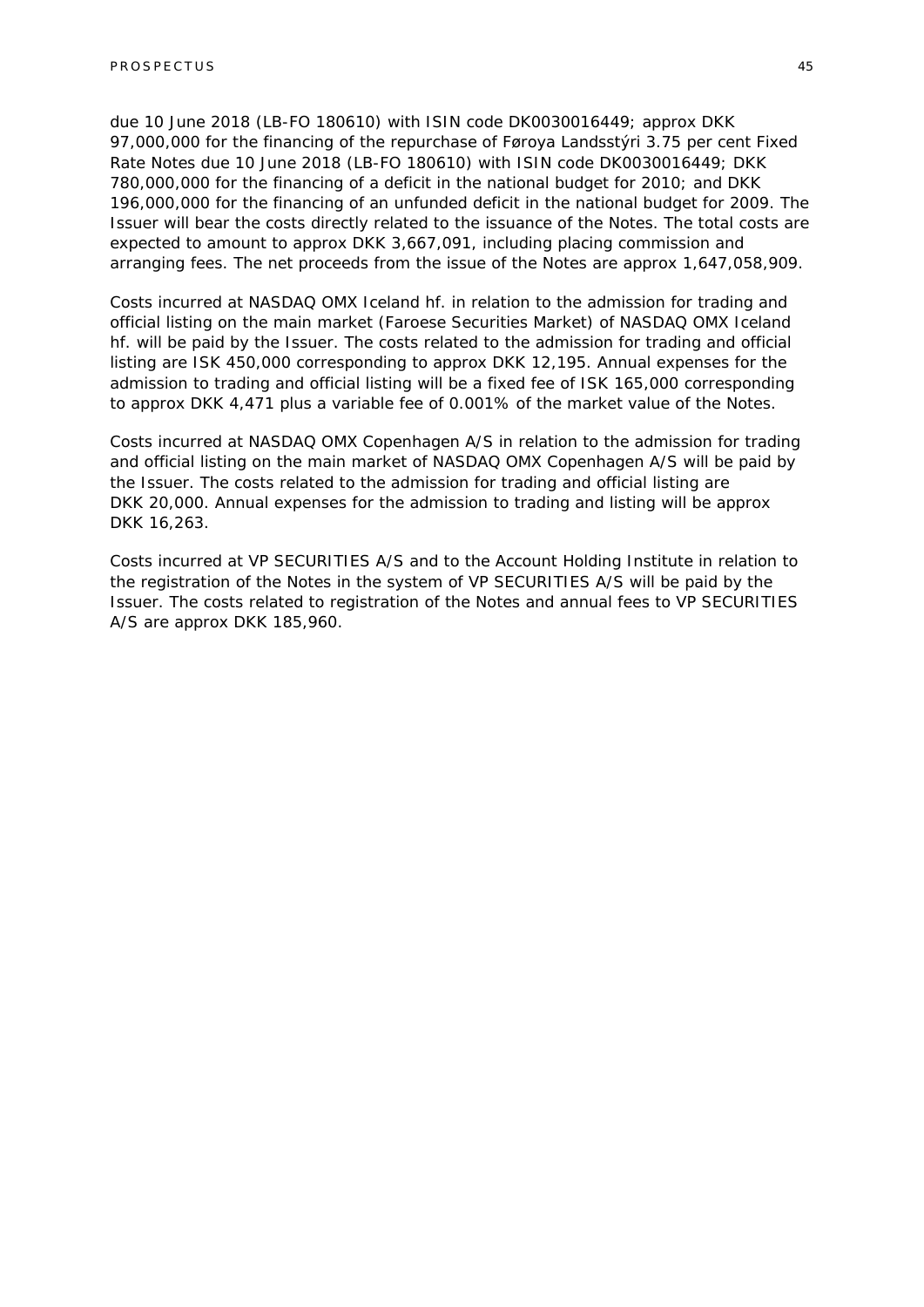due 10 June 2018 (LB-FO 180610) with ISIN code DK0030016449; approx DKK 97,000,000 for the financing of the repurchase of Føroya Landsstýri 3.75 per cent Fixed Rate Notes due 10 June 2018 (LB-FO 180610) with ISIN code DK0030016449; DKK 780,000,000 for the financing of a deficit in the national budget for 2010; and DKK 196,000,000 for the financing of an unfunded deficit in the national budget for 2009. The Issuer will bear the costs directly related to the issuance of the Notes. The total costs are expected to amount to approx DKK 3,667,091, including placing commission and arranging fees. The net proceeds from the issue of the Notes are approx 1,647,058,909.

Costs incurred at NASDAQ OMX Iceland hf. in relation to the admission for trading and official listing on the main market (Faroese Securities Market) of NASDAQ OMX Iceland hf. will be paid by the Issuer. The costs related to the admission for trading and official listing are ISK 450,000 corresponding to approx DKK 12,195. Annual expenses for the admission to trading and official listing will be a fixed fee of ISK 165,000 corresponding to approx DKK 4,471 plus a variable fee of 0.001% of the market value of the Notes.

Costs incurred at NASDAQ OMX Copenhagen A/S in relation to the admission for trading and official listing on the main market of NASDAQ OMX Copenhagen A/S will be paid by the Issuer. The costs related to the admission for trading and official listing are DKK 20,000. Annual expenses for the admission to trading and listing will be approx DKK 16,263.

Costs incurred at VP SECURITIES A/S and to the Account Holding Institute in relation to the registration of the Notes in the system of VP SECURITIES A/S will be paid by the Issuer. The costs related to registration of the Notes and annual fees to VP SECURITIES A/S are approx DKK 185,960.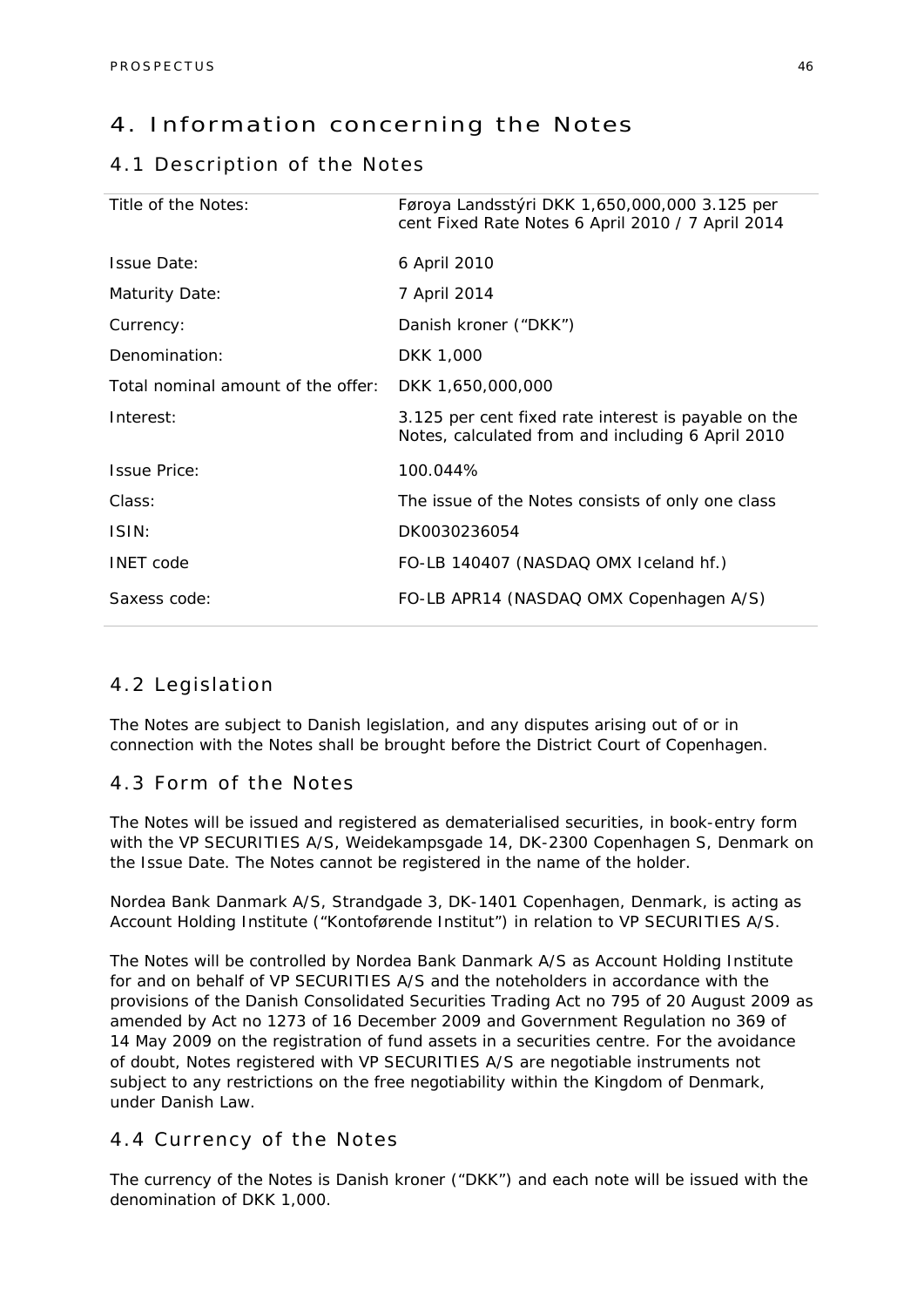### 4. Information concerning the Notes

### 4.1 Description of the Notes

| Title of the Notes:                | Føroya Landsstýri DKK 1,650,000,000 3.125 per<br>cent Fixed Rate Notes 6 April 2010 / 7 April 2014        |
|------------------------------------|-----------------------------------------------------------------------------------------------------------|
| <b>Issue Date:</b>                 | 6 April 2010                                                                                              |
| <b>Maturity Date:</b>              | 7 April 2014                                                                                              |
| Currency:                          | Danish kroner ("DKK")                                                                                     |
| Denomination:                      | DKK 1,000                                                                                                 |
| Total nominal amount of the offer: | DKK 1,650,000,000                                                                                         |
| Interest:                          | 3.125 per cent fixed rate interest is payable on the<br>Notes, calculated from and including 6 April 2010 |
| <b>Issue Price:</b>                | 100.044%                                                                                                  |
| Class:                             | The issue of the Notes consists of only one class                                                         |
| ISIN:                              | DK0030236054                                                                                              |
| <b>INET</b> code                   | FO-LB 140407 (NASDAQ OMX Iceland hf.)                                                                     |
| Saxess code:                       | FO-LB APR14 (NASDAQ OMX Copenhagen A/S)                                                                   |

### 4.2 Legislation

The Notes are subject to Danish legislation, and any disputes arising out of or in connection with the Notes shall be brought before the District Court of Copenhagen.

### 4.3 Form of the Notes

The Notes will be issued and registered as dematerialised securities, in book-entry form with the VP SECURITIES A/S, Weidekampsgade 14, DK-2300 Copenhagen S, Denmark on the Issue Date. The Notes cannot be registered in the name of the holder.

Nordea Bank Danmark A/S, Strandgade 3, DK-1401 Copenhagen, Denmark, is acting as Account Holding Institute ("Kontoførende Institut") in relation to VP SECURITIES A/S.

The Notes will be controlled by Nordea Bank Danmark A/S as Account Holding Institute for and on behalf of VP SECURITIES A/S and the noteholders in accordance with the provisions of the Danish Consolidated Securities Trading Act no 795 of 20 August 2009 as amended by Act no 1273 of 16 December 2009 and Government Regulation no 369 of 14 May 2009 on the registration of fund assets in a securities centre. For the avoidance of doubt, Notes registered with VP SECURITIES A/S are negotiable instruments not subject to any restrictions on the free negotiability within the Kingdom of Denmark, under Danish Law.

### 4.4 Currency of the Notes

The currency of the Notes is Danish kroner ("DKK") and each note will be issued with the denomination of DKK 1,000.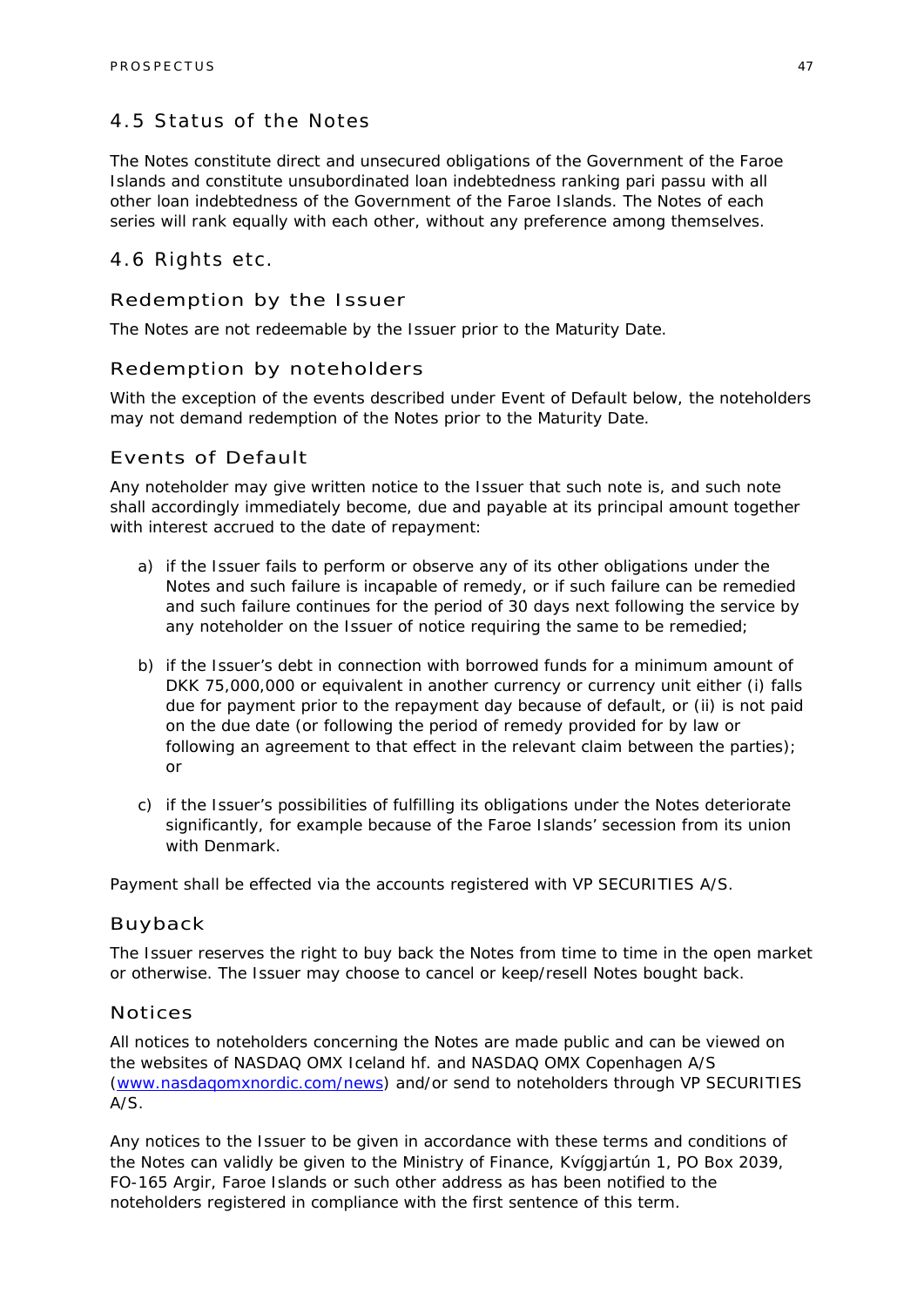### 4.5 Status of the Notes

The Notes constitute direct and unsecured obligations of the Government of the Faroe Islands and constitute unsubordinated loan indebtedness ranking pari passu with all other loan indebtedness of the Government of the Faroe Islands. The Notes of each series will rank equally with each other, without any preference among themselves.

### 4.6 Rights etc.

### Redemption by the Issuer

The Notes are not redeemable by the Issuer prior to the Maturity Date.

#### Redemption by noteholders

With the exception of the events described under Event of Default below, the noteholders may not demand redemption of the Notes prior to the Maturity Date.

### Events of Default

Any noteholder may give written notice to the Issuer that such note is, and such note shall accordingly immediately become, due and payable at its principal amount together with interest accrued to the date of repayment:

- a) if the Issuer fails to perform or observe any of its other obligations under the Notes and such failure is incapable of remedy, or if such failure can be remedied and such failure continues for the period of 30 days next following the service by any noteholder on the Issuer of notice requiring the same to be remedied;
- b) if the Issuer's debt in connection with borrowed funds for a minimum amount of DKK 75,000,000 or equivalent in another currency or currency unit either (i) falls due for payment prior to the repayment day because of default, or (ii) is not paid on the due date (or following the period of remedy provided for by law or following an agreement to that effect in the relevant claim between the parties); or
- c) if the Issuer's possibilities of fulfilling its obligations under the Notes deteriorate significantly, for example because of the Faroe Islands' secession from its union with Denmark.

Payment shall be effected via the accounts registered with VP SECURITIES A/S.

#### Buyback

The Issuer reserves the right to buy back the Notes from time to time in the open market or otherwise. The Issuer may choose to cancel or keep/resell Notes bought back.

#### Notices

All notices to noteholders concerning the Notes are made public and can be viewed on the websites of NASDAQ OMX Iceland hf. and NASDAQ OMX Copenhagen A/S (www.nasdaqomxnordic.com/news) and/or send to noteholders through VP SECURITIES A/S.

Any notices to the Issuer to be given in accordance with these terms and conditions of the Notes can validly be given to the Ministry of Finance, Kvíggjartún 1, PO Box 2039, FO-165 Argir, Faroe Islands or such other address as has been notified to the noteholders registered in compliance with the first sentence of this term.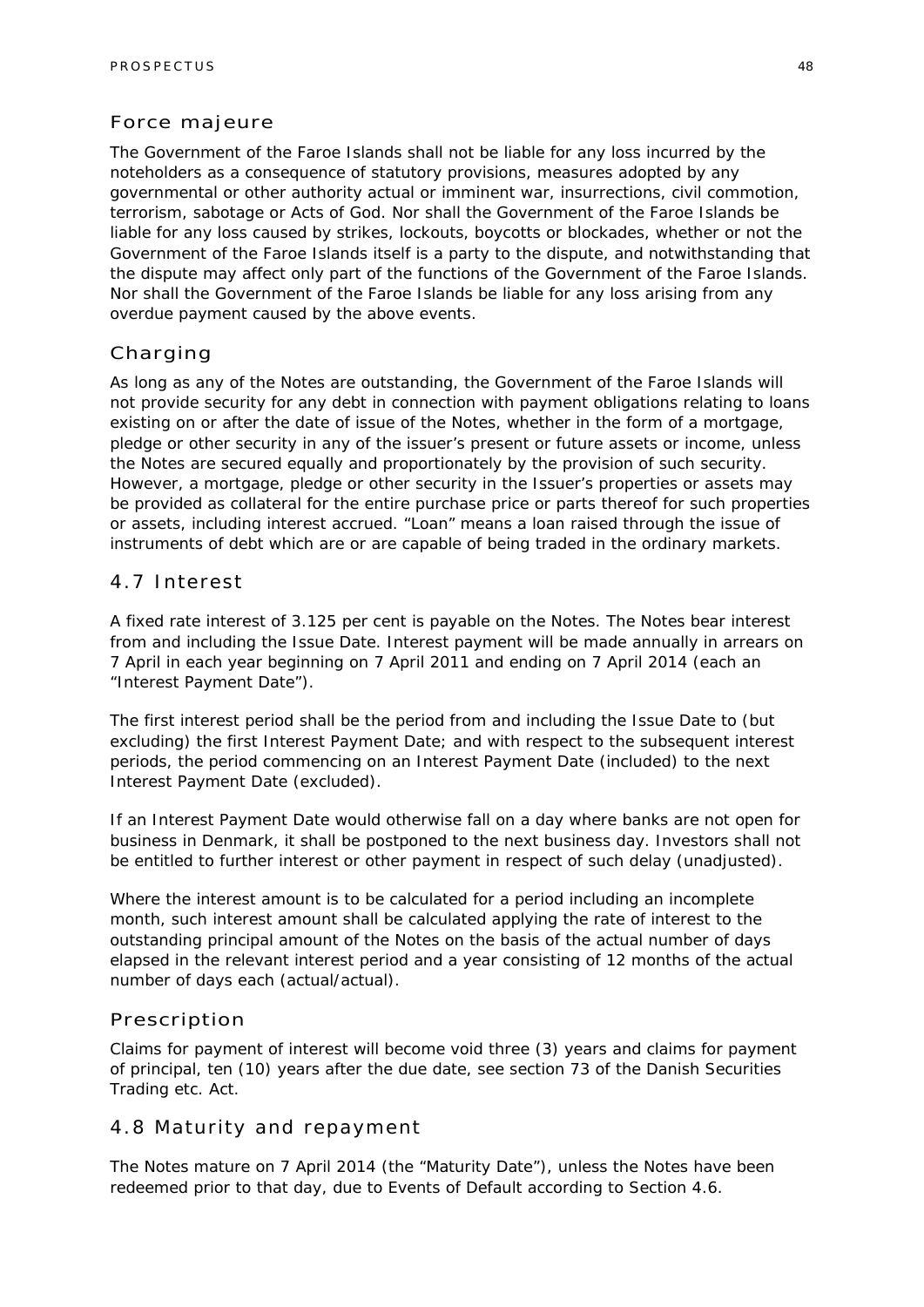### Force majeure

The Government of the Faroe Islands shall not be liable for any loss incurred by the noteholders as a consequence of statutory provisions, measures adopted by any governmental or other authority actual or imminent war, insurrections, civil commotion, terrorism, sabotage or Acts of God. Nor shall the Government of the Faroe Islands be liable for any loss caused by strikes, lockouts, boycotts or blockades, whether or not the Government of the Faroe Islands itself is a party to the dispute, and notwithstanding that the dispute may affect only part of the functions of the Government of the Faroe Islands. Nor shall the Government of the Faroe Islands be liable for any loss arising from any overdue payment caused by the above events.

### Charging

As long as any of the Notes are outstanding, the Government of the Faroe Islands will not provide security for any debt in connection with payment obligations relating to loans existing on or after the date of issue of the Notes, whether in the form of a mortgage, pledge or other security in any of the issuer's present or future assets or income, unless the Notes are secured equally and proportionately by the provision of such security. However, a mortgage, pledge or other security in the Issuer's properties or assets may be provided as collateral for the entire purchase price or parts thereof for such properties or assets, including interest accrued. "Loan" means a loan raised through the issue of instruments of debt which are or are capable of being traded in the ordinary markets.

### 4.7 Interest

A fixed rate interest of 3.125 per cent is payable on the Notes. The Notes bear interest from and including the Issue Date. Interest payment will be made annually in arrears on 7 April in each year beginning on 7 April 2011 and ending on 7 April 2014 (each an "Interest Payment Date").

The first interest period shall be the period from and including the Issue Date to (but excluding) the first Interest Payment Date; and with respect to the subsequent interest periods, the period commencing on an Interest Payment Date (included) to the next Interest Payment Date (excluded).

If an Interest Payment Date would otherwise fall on a day where banks are not open for business in Denmark, it shall be postponed to the next business day. Investors shall not be entitled to further interest or other payment in respect of such delay (unadjusted).

Where the interest amount is to be calculated for a period including an incomplete month, such interest amount shall be calculated applying the rate of interest to the outstanding principal amount of the Notes on the basis of the actual number of days elapsed in the relevant interest period and a year consisting of 12 months of the actual number of days each (actual/actual).

### Prescription

Claims for payment of interest will become void three (3) years and claims for payment of principal, ten (10) years after the due date, see section 73 of the Danish Securities Trading etc. Act.

### 4.8 Maturity and repayment

The Notes mature on 7 April 2014 (the "Maturity Date"), unless the Notes have been redeemed prior to that day, due to Events of Default according to Section 4.6.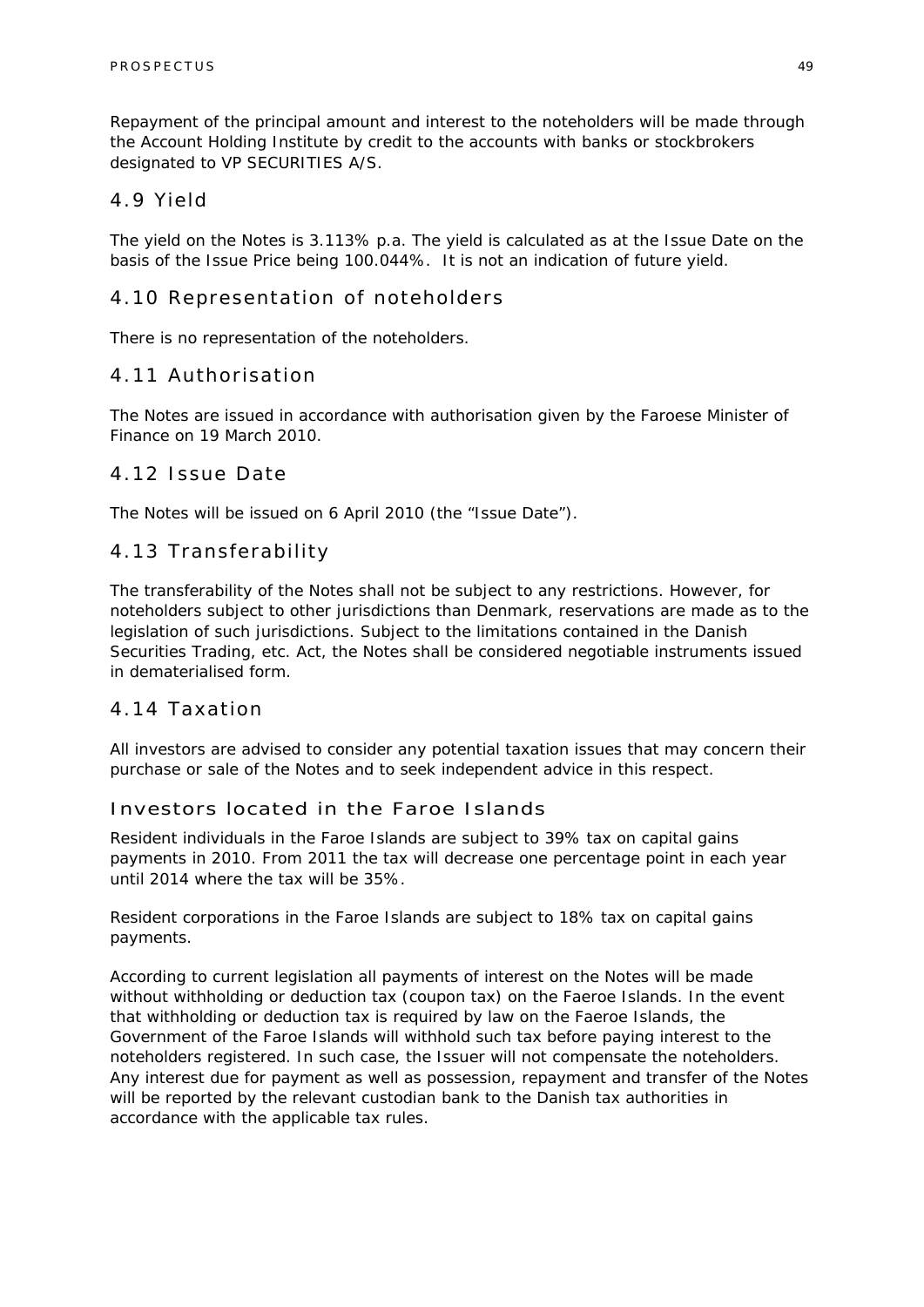Repayment of the principal amount and interest to the noteholders will be made through the Account Holding Institute by credit to the accounts with banks or stockbrokers designated to VP SECURITIES A/S.

### 4.9 Yield

The yield on the Notes is 3.113% p.a. The yield is calculated as at the Issue Date on the basis of the Issue Price being 100.044%. It is not an indication of future yield.

### 4.10 Representation of noteholders

There is no representation of the noteholders.

### 4.11 Authorisation

The Notes are issued in accordance with authorisation given by the Faroese Minister of Finance on 19 March 2010.

### 4.12 Issue Date

The Notes will be issued on 6 April 2010 (the "Issue Date").

### 4.13 Transferability

The transferability of the Notes shall not be subject to any restrictions. However, for noteholders subject to other jurisdictions than Denmark, reservations are made as to the legislation of such jurisdictions. Subject to the limitations contained in the Danish Securities Trading, etc. Act, the Notes shall be considered negotiable instruments issued in dematerialised form.

### 4.14 Taxation

All investors are advised to consider any potential taxation issues that may concern their purchase or sale of the Notes and to seek independent advice in this respect.

### Investors located in the Faroe Islands

Resident individuals in the Faroe Islands are subject to 39% tax on capital gains payments in 2010. From 2011 the tax will decrease one percentage point in each year until 2014 where the tax will be 35%.

Resident corporations in the Faroe Islands are subject to 18% tax on capital gains payments.

According to current legislation all payments of interest on the Notes will be made without withholding or deduction tax (coupon tax) on the Faeroe Islands. In the event that withholding or deduction tax is required by law on the Faeroe Islands, the Government of the Faroe Islands will withhold such tax before paying interest to the noteholders registered. In such case, the Issuer will not compensate the noteholders. Any interest due for payment as well as possession, repayment and transfer of the Notes will be reported by the relevant custodian bank to the Danish tax authorities in accordance with the applicable tax rules.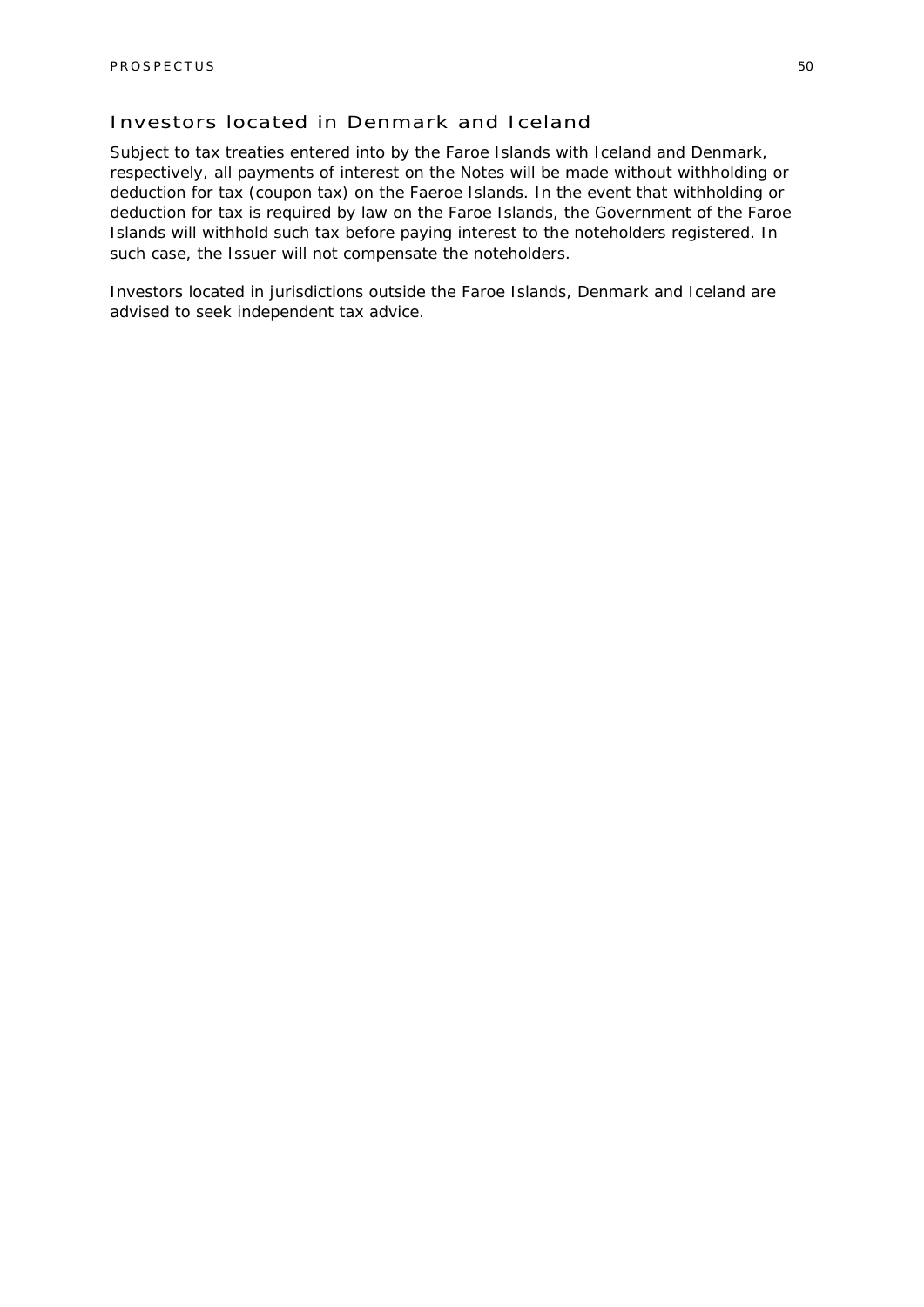### Investors located in Denmark and Iceland

Subject to tax treaties entered into by the Faroe Islands with Iceland and Denmark, respectively, all payments of interest on the Notes will be made without withholding or deduction for tax (coupon tax) on the Faeroe Islands. In the event that withholding or deduction for tax is required by law on the Faroe Islands, the Government of the Faroe Islands will withhold such tax before paying interest to the noteholders registered. In such case, the Issuer will not compensate the noteholders.

Investors located in jurisdictions outside the Faroe Islands, Denmark and Iceland are advised to seek independent tax advice.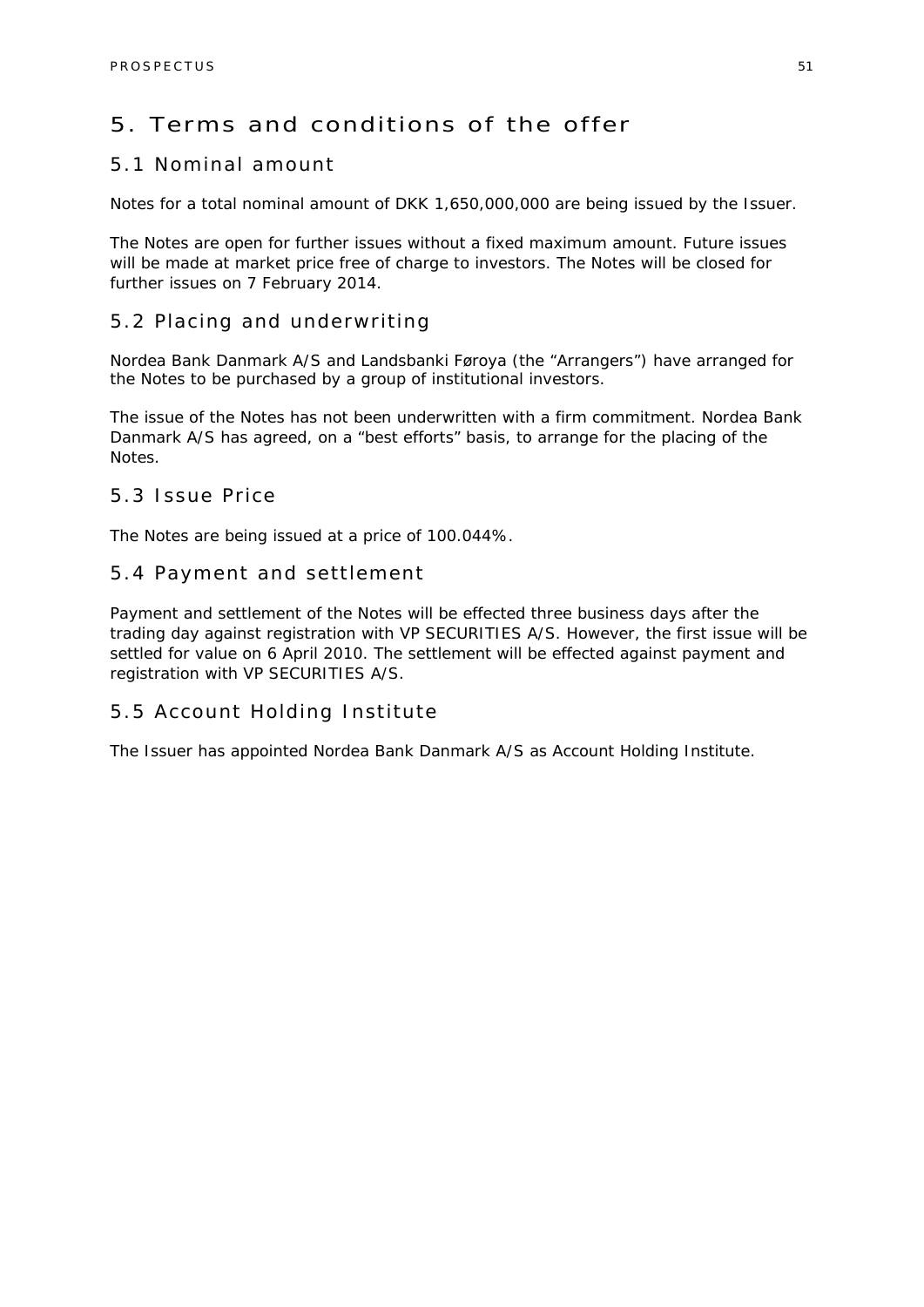### 5. Terms and conditions of the offer

### 5.1 Nominal amount

Notes for a total nominal amount of DKK 1,650,000,000 are being issued by the Issuer.

The Notes are open for further issues without a fixed maximum amount. Future issues will be made at market price free of charge to investors. The Notes will be closed for further issues on 7 February 2014.

### 5.2 Placing and underwriting

Nordea Bank Danmark A/S and Landsbanki Føroya (the "Arrangers") have arranged for the Notes to be purchased by a group of institutional investors.

The issue of the Notes has not been underwritten with a firm commitment. Nordea Bank Danmark A/S has agreed, on a "best efforts" basis, to arrange for the placing of the Notes.

### 5.3 Issue Price

The Notes are being issued at a price of 100.044%.

### 5.4 Payment and settlement

Payment and settlement of the Notes will be effected three business days after the trading day against registration with VP SECURITIES A/S. However, the first issue will be settled for value on 6 April 2010. The settlement will be effected against payment and registration with VP SECURITIES A/S.

### 5.5 Account Holding Institute

The Issuer has appointed Nordea Bank Danmark A/S as Account Holding Institute.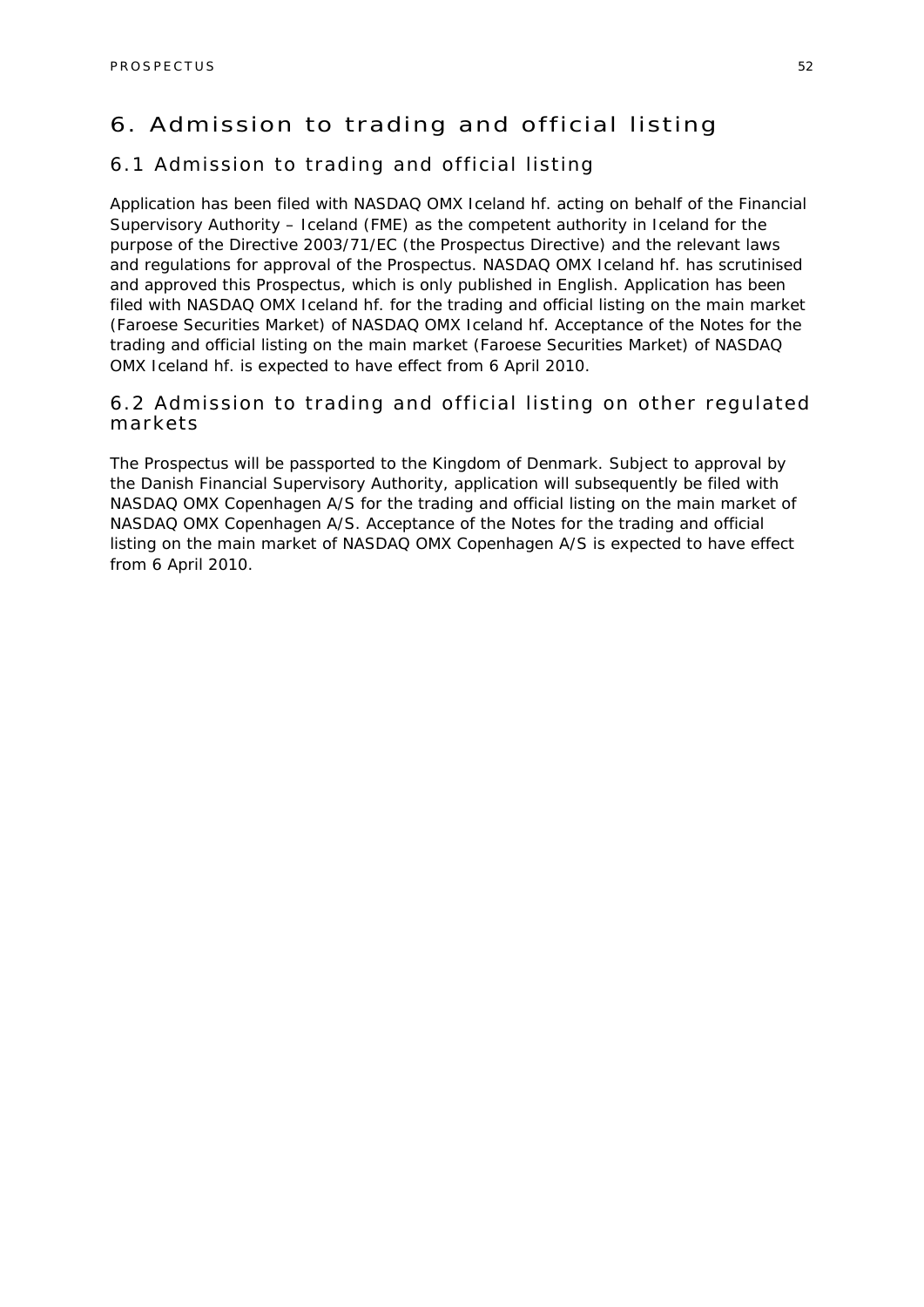### 6. Admission to trading and official listing

### 6.1 Admission to trading and official listing

Application has been filed with NASDAQ OMX Iceland hf. acting on behalf of the Financial Supervisory Authority – Iceland (FME) as the competent authority in Iceland for the purpose of the Directive 2003/71/EC (the Prospectus Directive) and the relevant laws and regulations for approval of the Prospectus. NASDAQ OMX Iceland hf. has scrutinised and approved this Prospectus, which is only published in English. Application has been filed with NASDAQ OMX Iceland hf. for the trading and official listing on the main market (Faroese Securities Market) of NASDAQ OMX Iceland hf. Acceptance of the Notes for the trading and official listing on the main market (Faroese Securities Market) of NASDAQ OMX Iceland hf. is expected to have effect from 6 April 2010.

### 6.2 Admission to trading and official listing on other regulated markets

The Prospectus will be passported to the Kingdom of Denmark. Subject to approval by the Danish Financial Supervisory Authority, application will subsequently be filed with NASDAQ OMX Copenhagen A/S for the trading and official listing on the main market of NASDAQ OMX Copenhagen A/S. Acceptance of the Notes for the trading and official listing on the main market of NASDAQ OMX Copenhagen A/S is expected to have effect from 6 April 2010.